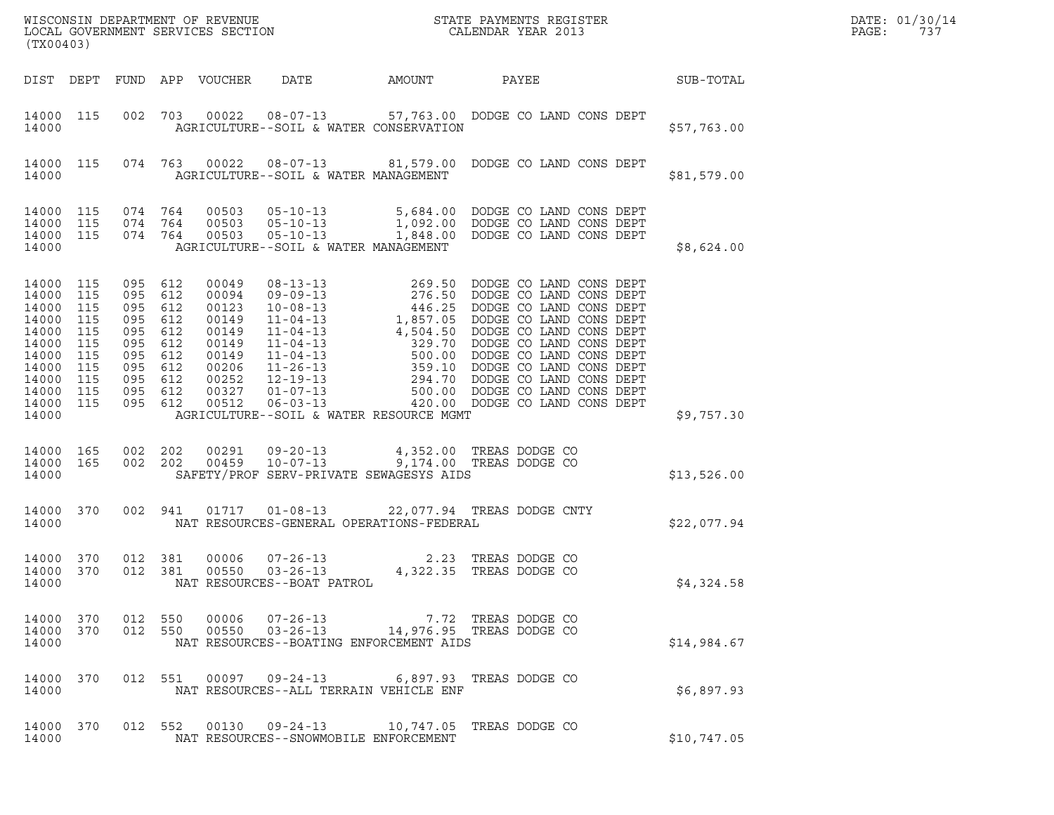| (TX00403)                                                                                                            |                                                      |                                                                                                               |            |                                                                                                 |                                         |        |                                                                                                                                                                                                                                                                                                             |  |                  | DATE: 01/30/14<br>PAGE:<br>737 |
|----------------------------------------------------------------------------------------------------------------------|------------------------------------------------------|---------------------------------------------------------------------------------------------------------------|------------|-------------------------------------------------------------------------------------------------|-----------------------------------------|--------|-------------------------------------------------------------------------------------------------------------------------------------------------------------------------------------------------------------------------------------------------------------------------------------------------------------|--|------------------|--------------------------------|
|                                                                                                                      |                                                      |                                                                                                               |            | DIST DEPT FUND APP VOUCHER                                                                      | DATE                                    | AMOUNT | PAYEE                                                                                                                                                                                                                                                                                                       |  | <b>SUB-TOTAL</b> |                                |
| 14000                                                                                                                | 14000 115                                            |                                                                                                               |            |                                                                                                 | AGRICULTURE--SOIL & WATER CONSERVATION  |        | 002 703 00022 08-07-13 57,763.00 DODGE CO LAND CONS DEPT                                                                                                                                                                                                                                                    |  | \$57,763.00      |                                |
| 14000                                                                                                                | 14000 115                                            |                                                                                                               |            |                                                                                                 | AGRICULTURE--SOIL & WATER MANAGEMENT    |        | 074 763 00022 08-07-13 81,579.00 DODGE CO LAND CONS DEPT                                                                                                                                                                                                                                                    |  | \$81,579.00      |                                |
| 14000                                                                                                                |                                                      |                                                                                                               |            |                                                                                                 | AGRICULTURE--SOIL & WATER MANAGEMENT    |        | $\begin{tabular}{lcccc} 14\,000 & 115 & 074 & 764 & 00503 & 05-10-13 & & 5,684.00 & DODGE CO LAND CONS DEPT \\ 14\,000 & 115 & 074 & 764 & 00503 & 05-10-13 & & 1,092.00 & DODGE CO LAND CONS DEPT \\ 14\,000 & 115 & 074 & 764 & 00503 & 05-10-13 & & 1,848.00 & DODGE CO LAND CONS DEPT \\ \end{tabular}$ |  | \$8,624.00       |                                |
| 14000 115<br>14000<br>14000<br>14000<br>14000<br>14000<br>14000<br>14000<br>14000<br>14000 115<br>14000 115<br>14000 | 115<br>115<br>115<br>115<br>115<br>115<br>115<br>115 | 095 612<br>095<br>095 612<br>095<br>095 612<br>095 612<br>095 612<br>095 612<br>095 612<br>095 612<br>095 612 | 612<br>612 | 00049<br>00094<br>00123<br>00149<br>00149<br>00149<br>00149<br>00206<br>00252<br>00327<br>00512 | AGRICULTURE--SOIL & WATER RESOURCE MGMT |        |                                                                                                                                                                                                                                                                                                             |  | \$9,757.30       |                                |
| 14000 165<br>14000                                                                                                   |                                                      | 14000 165 002 202<br>002 202                                                                                  |            |                                                                                                 | SAFETY/PROF SERV-PRIVATE SEWAGESYS AIDS |        | 00291  09-20-13  4,352.00 TREAS DODGE CO<br>00459  10-07-13  9,174.00 TREAS DODGE CO                                                                                                                                                                                                                        |  | \$13,526.00      |                                |
| 14000 370<br>14000                                                                                                   |                                                      |                                                                                                               |            |                                                                                                 |                                         |        | 002 941 01717 01-08-13 22,077.94 TREAS DODGE CNTY<br>NAT RESOURCES-GENERAL OPERATIONS-FEDERAL                                                                                                                                                                                                               |  | \$22,077.94      |                                |
| 14000 370<br>14000 370<br>14000                                                                                      |                                                      | 012 381<br>012 381                                                                                            |            | 00006<br>00550                                                                                  | NAT RESOURCES--BOAT PATROL              |        | 07-26-13 2.23 TREAS DODGE CO<br>03-26-13 4,322.35 TREAS DODGE CO                                                                                                                                                                                                                                            |  | \$4,324.58       |                                |
| 14000                                                                                                                |                                                      |                                                                                                               |            |                                                                                                 | NAT RESOURCES--BOATING ENFORCEMENT AIDS |        | $\begin{array}{cccccccc} 14\,0\,00 & 3\,70 & 012 & 550 & 000\,06 & 07\mbox{--}2\,6\mbox{--}13 & & & & 7.72 & \mbox{TERES DODGE CO} \\ 14\,0\,00 & 3\,70 & 012 & 550 & 00550 & 03\mbox{--}2\,6\mbox{--}13 & & & 14\,9\,7\,6\mbox{--}95 & \mbox{TERES DODGE CO} \end{array}$                                  |  | \$14,984.67      |                                |
| 14000 370<br>14000                                                                                                   |                                                      |                                                                                                               |            |                                                                                                 | NAT RESOURCES--ALL TERRAIN VEHICLE ENF  |        | 012 551 00097 09-24-13 6,897.93 TREAS DODGE CO                                                                                                                                                                                                                                                              |  | \$6,897.93       |                                |
| 14000 370<br>14000                                                                                                   |                                                      |                                                                                                               |            |                                                                                                 | NAT RESOURCES--SNOWMOBILE ENFORCEMENT   |        | 012 552 00130 09-24-13 10,747.05 TREAS DODGE CO                                                                                                                                                                                                                                                             |  | \$10,747.05      |                                |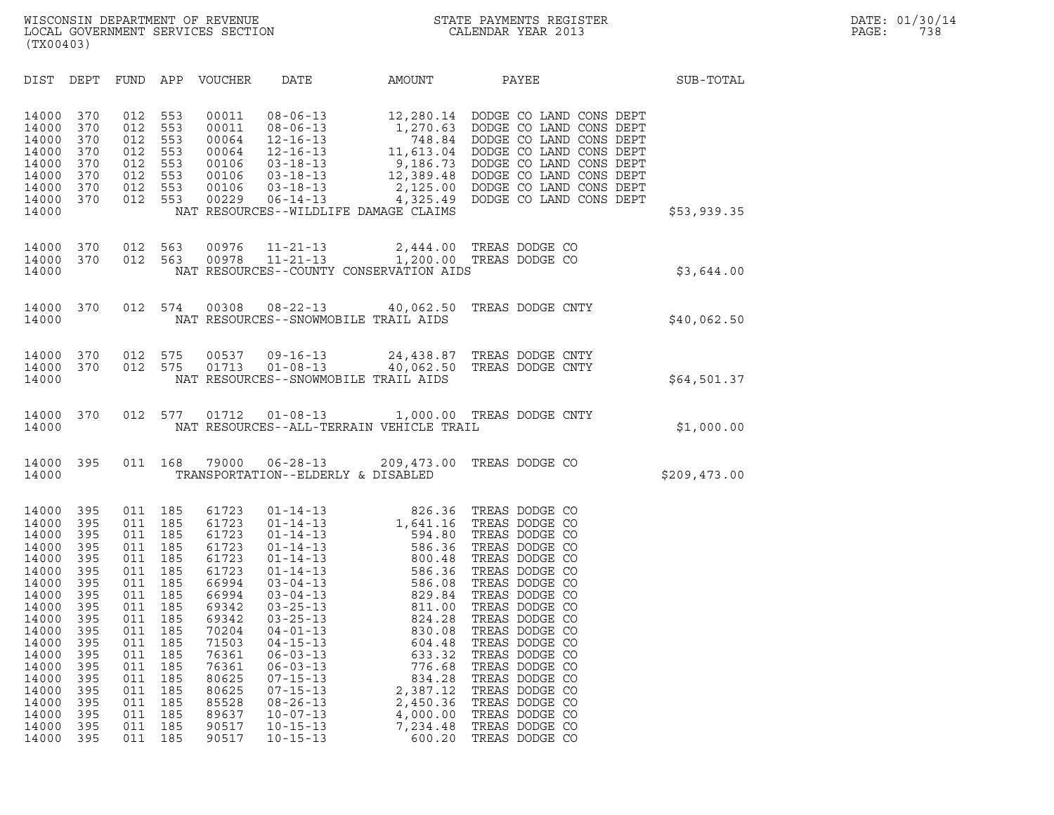| (TX00403)                                                                                                                                                                        |                                                                                                                                          |                                                                                                                                          |                                                                                                                                          |                                                                                                                                                                                  |                                                                                                                                                                                                                                                                                                                                                                      |                                                                                                                                                                                                                |                                                                                                                                                                                                                                                                                                                                                                      |              |
|----------------------------------------------------------------------------------------------------------------------------------------------------------------------------------|------------------------------------------------------------------------------------------------------------------------------------------|------------------------------------------------------------------------------------------------------------------------------------------|------------------------------------------------------------------------------------------------------------------------------------------|----------------------------------------------------------------------------------------------------------------------------------------------------------------------------------|----------------------------------------------------------------------------------------------------------------------------------------------------------------------------------------------------------------------------------------------------------------------------------------------------------------------------------------------------------------------|----------------------------------------------------------------------------------------------------------------------------------------------------------------------------------------------------------------|----------------------------------------------------------------------------------------------------------------------------------------------------------------------------------------------------------------------------------------------------------------------------------------------------------------------------------------------------------------------|--------------|
| DIST                                                                                                                                                                             | DEPT                                                                                                                                     | FUND                                                                                                                                     | APP                                                                                                                                      | <b>VOUCHER</b>                                                                                                                                                                   | DATE                                                                                                                                                                                                                                                                                                                                                                 | AMOUNT                                                                                                                                                                                                         | PAYEE                                                                                                                                                                                                                                                                                                                                                                | SUB-TOTAL    |
| 14000<br>14000<br>14000<br>14000<br>14000<br>14000<br>14000<br>14000<br>14000                                                                                                    | 370<br>370<br>370<br>370<br>370<br>370<br>370<br>370                                                                                     | 012<br>012<br>012<br>012<br>012<br>012<br>012<br>012                                                                                     | 553<br>553<br>553<br>553<br>553<br>553<br>553<br>553                                                                                     | 00011<br>00011<br>00064<br>00064<br>00106<br>00106<br>00106<br>00229                                                                                                             | $08 - 06 - 13$<br>$08 - 06 - 13$<br>$12 - 16 - 13$<br>$12 - 16 - 13$<br>$03 - 18 - 13$<br>$03 - 18 - 13$<br>$03 - 18 - 13$<br>$06 - 14 - 13$<br>NAT RESOURCES--WILDLIFE DAMAGE CLAIMS                                                                                                                                                                                |                                                                                                                                                                                                                | 12,280.14 DODGE CO LAND CONS DEPT<br>1,270.63 DODGE CO LAND CONS DEPT<br>748.84 DODGE CO LAND CONS DEPT<br>11,613.04 DODGE CO LAND CONS DEPT<br>9,186.73 DODGE CO LAND CONS DEPT<br>12,389.48 DODGE CO LAND CONS DEPT<br>2,125.00 DODGE CO LAND CONS DEPT<br>4,325.49 DODGE CO LAND CONS DEPT                                                                        | \$53,939.35  |
| 14000<br>14000<br>14000                                                                                                                                                          | 370<br>370                                                                                                                               | 012<br>012                                                                                                                               | 563<br>563                                                                                                                               | 00976<br>00978                                                                                                                                                                   | $11 - 21 - 13$<br>$11 - 21 - 13$<br>NAT RESOURCES--COUNTY CONSERVATION AIDS                                                                                                                                                                                                                                                                                          | 2,444.00<br>1,200.00                                                                                                                                                                                           | TREAS DODGE CO<br>TREAS DODGE CO                                                                                                                                                                                                                                                                                                                                     | \$3,644.00   |
| 14000<br>14000                                                                                                                                                                   | 370                                                                                                                                      | 012                                                                                                                                      | 574                                                                                                                                      | 00308                                                                                                                                                                            | $08 - 22 - 13$<br>NAT RESOURCES--SNOWMOBILE TRAIL AIDS                                                                                                                                                                                                                                                                                                               | 40,062.50                                                                                                                                                                                                      | TREAS DODGE CNTY                                                                                                                                                                                                                                                                                                                                                     | \$40,062.50  |
| 14000<br>14000<br>14000                                                                                                                                                          | 370<br>370                                                                                                                               | 012<br>012                                                                                                                               | 575<br>575                                                                                                                               | 00537<br>01713                                                                                                                                                                   | $09 - 16 - 13$<br>$01 - 08 - 13$<br>NAT RESOURCES--SNOWMOBILE TRAIL AIDS                                                                                                                                                                                                                                                                                             | 24,438.87<br>40,062.50                                                                                                                                                                                         | TREAS DODGE CNTY<br>TREAS DODGE CNTY                                                                                                                                                                                                                                                                                                                                 | \$64,501.37  |
| 14000<br>14000                                                                                                                                                                   | 370                                                                                                                                      | 012                                                                                                                                      | 577                                                                                                                                      | 01712                                                                                                                                                                            | $01 - 08 - 13$<br>NAT RESOURCES--ALL-TERRAIN VEHICLE TRAIL                                                                                                                                                                                                                                                                                                           |                                                                                                                                                                                                                | 1,000.00 TREAS DODGE CNTY                                                                                                                                                                                                                                                                                                                                            | \$1,000.00   |
| 14000<br>14000                                                                                                                                                                   | 395                                                                                                                                      | 011                                                                                                                                      | 168                                                                                                                                      | 79000                                                                                                                                                                            | $06 - 28 - 13$<br>TRANSPORTATION--ELDERLY & DISABLED                                                                                                                                                                                                                                                                                                                 | 209,473.00                                                                                                                                                                                                     | TREAS DODGE CO                                                                                                                                                                                                                                                                                                                                                       | \$209,473.00 |
| 14000<br>14000<br>14000<br>14000<br>14000<br>14000<br>14000<br>14000<br>14000<br>14000<br>14000<br>14000<br>14000<br>14000<br>14000<br>14000<br>14000<br>14000<br>14000<br>14000 | 395<br>395<br>395<br>395<br>395<br>395<br>395<br>395<br>395<br>395<br>395<br>395<br>395<br>395<br>395<br>395<br>395<br>395<br>395<br>395 | 011<br>011<br>011<br>011<br>011<br>011<br>011<br>011<br>011<br>011<br>011<br>011<br>011<br>011<br>011<br>011<br>011<br>011<br>011<br>011 | 185<br>185<br>185<br>185<br>185<br>185<br>185<br>185<br>185<br>185<br>185<br>185<br>185<br>185<br>185<br>185<br>185<br>185<br>185<br>185 | 61723<br>61723<br>61723<br>61723<br>61723<br>61723<br>66994<br>66994<br>69342<br>69342<br>70204<br>71503<br>76361<br>76361<br>80625<br>80625<br>85528<br>89637<br>90517<br>90517 | $01 - 14 - 13$<br>$01 - 14 - 13$<br>$01 - 14 - 13$<br>$01 - 14 - 13$<br>$01 - 14 - 13$<br>$01 - 14 - 13$<br>$03 - 04 - 13$<br>$03 - 04 - 13$<br>$03 - 25 - 13$<br>$03 - 25 - 13$<br>$04 - 01 - 13$<br>$04 - 15 - 13$<br>$06 - 03 - 13$<br>$06 - 03 - 13$<br>$07 - 15 - 13$<br>$07 - 15 - 13$<br>$08 - 26 - 13$<br>$10 - 07 - 13$<br>$10 - 15 - 13$<br>$10 - 15 - 13$ | 826.36<br>1,641.16<br>594.80<br>586.36<br>800.48<br>586.36<br>586.08<br>829.84<br>811.00<br>824.28<br>830.08<br>604.48<br>633.32<br>776.68<br>834.28<br>2,387.12<br>2,450.36<br>4,000.00<br>7,234.48<br>600.20 | TREAS DODGE CO<br>TREAS DODGE CO<br>TREAS DODGE CO<br>TREAS DODGE CO<br>TREAS DODGE CO<br>TREAS DODGE CO<br>TREAS DODGE CO<br>TREAS DODGE CO<br>TREAS DODGE CO<br>TREAS DODGE CO<br>TREAS DODGE CO<br>TREAS DODGE CO<br>TREAS DODGE CO<br>TREAS DODGE CO<br>TREAS DODGE CO<br>TREAS DODGE CO<br>TREAS DODGE CO<br>TREAS DODGE CO<br>TREAS DODGE CO<br>TREAS DODGE CO |              |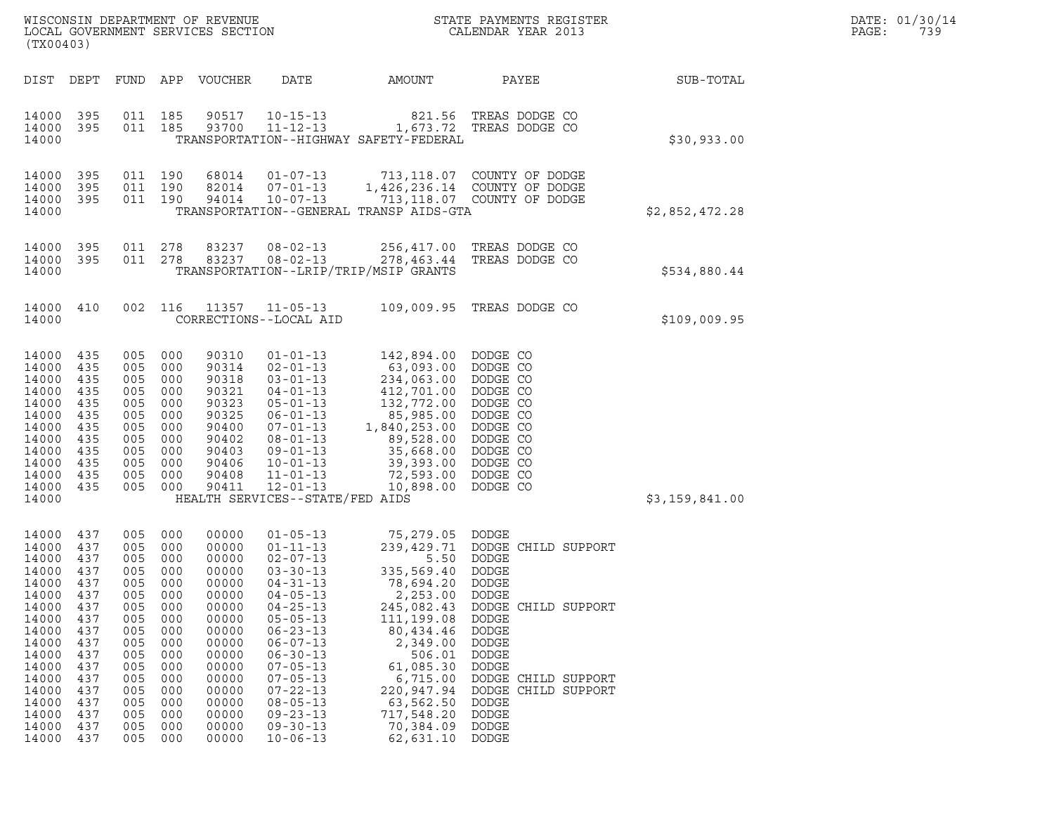|       | DATE: 01/30/14 |
|-------|----------------|
| PAGE: | 739            |

| (TX00403)                                                                                                                                                      |                                                                                                                            |                                                                                                                                |                                                                                                                     | WISCONSIN DEPARTMENT OF REVENUE<br>LOCAL GOVERNMENT SERVICES SECTION                                                                                           |                                                                                                                                                                                                                                                                                                                                  |                                                                                                                                                                                                                                 | DATE: 01/30/14<br>PAGE:<br>739                                                                                                                                                                                                |                |  |
|----------------------------------------------------------------------------------------------------------------------------------------------------------------|----------------------------------------------------------------------------------------------------------------------------|--------------------------------------------------------------------------------------------------------------------------------|---------------------------------------------------------------------------------------------------------------------|----------------------------------------------------------------------------------------------------------------------------------------------------------------|----------------------------------------------------------------------------------------------------------------------------------------------------------------------------------------------------------------------------------------------------------------------------------------------------------------------------------|---------------------------------------------------------------------------------------------------------------------------------------------------------------------------------------------------------------------------------|-------------------------------------------------------------------------------------------------------------------------------------------------------------------------------------------------------------------------------|----------------|--|
| DIST                                                                                                                                                           | DEPT                                                                                                                       |                                                                                                                                |                                                                                                                     | FUND APP VOUCHER                                                                                                                                               | DATE                                                                                                                                                                                                                                                                                                                             | AMOUNT                                                                                                                                                                                                                          | PAYEE                                                                                                                                                                                                                         | SUB-TOTAL      |  |
| 14000 395<br>14000<br>14000                                                                                                                                    | - 395                                                                                                                      | 011 185<br>011 185                                                                                                             |                                                                                                                     | 90517<br>93700                                                                                                                                                 | $10 - 15 - 13$<br>$11 - 12 - 13$                                                                                                                                                                                                                                                                                                 | TRANSPORTATION--HIGHWAY SAFETY-FEDERAL                                                                                                                                                                                          | 821.56 TREAS DODGE CO<br>1,673.72 TREAS DODGE CO                                                                                                                                                                              | \$30,933.00    |  |
| 14000<br>14000<br>14000<br>14000                                                                                                                               | 395<br>395<br>- 395                                                                                                        | 011 190<br>011 190<br>011 190                                                                                                  |                                                                                                                     | 68014<br>82014<br>94014                                                                                                                                        | 01-07-13<br>$07 - 01 - 13$<br>$10 - 07 - 13$                                                                                                                                                                                                                                                                                     | TRANSPORTATION--GENERAL TRANSP AIDS-GTA                                                                                                                                                                                         | 713,118.07 COUNTY OF DODGE<br>1,426,236.14 COUNTY OF DODGE<br>713, 118.07 COUNTY OF DODGE                                                                                                                                     | \$2,852,472.28 |  |
| 14000<br>14000 395<br>14000                                                                                                                                    | -395                                                                                                                       | 011<br>011                                                                                                                     | 278<br>278                                                                                                          | 83237<br>83237                                                                                                                                                 | $08 - 02 - 13$<br>$08 - 02 - 13$                                                                                                                                                                                                                                                                                                 | 256,417.00<br>278,463.44<br>TRANSPORTATION--LRIP/TRIP/MSIP GRANTS                                                                                                                                                               | TREAS DODGE CO<br>TREAS DODGE CO                                                                                                                                                                                              | \$534,880.44   |  |
| 14000 410<br>14000                                                                                                                                             |                                                                                                                            | 002 116                                                                                                                        |                                                                                                                     | 11357                                                                                                                                                          | $11 - 05 - 13$<br>CORRECTIONS--LOCAL AID                                                                                                                                                                                                                                                                                         |                                                                                                                                                                                                                                 | 109,009.95 TREAS DODGE CO                                                                                                                                                                                                     | \$109,009.95   |  |
| 14000<br>14000<br>14000<br>14000<br>14000<br>14000<br>14000<br>14000<br>14000<br>14000<br>14000<br>14000<br>14000                                              | 435<br>435<br>435<br>435<br>435<br>435<br>435<br>435<br>435<br>435<br>435<br>435                                           | 005<br>005<br>005<br>005<br>005<br>005<br>005<br>005<br>005<br>005<br>005<br>005                                               | 000<br>000<br>000<br>000<br>000<br>000<br>000<br>000<br>000<br>000<br>000<br>000                                    | 90310<br>90314<br>90318<br>90321<br>90323<br>90325<br>90400<br>90402<br>90403<br>90406<br>90408<br>90411                                                       | $01 - 01 - 13$<br>$02 - 01 - 13$<br>$03 - 01 - 13$<br>$04 - 01 - 13$<br>$05 - 01 - 13$<br>$06 - 01 - 13$<br>07-01-13<br>$08 - 01 - 13$<br>$09 - 01 - 13$<br>$10 - 01 - 13$<br>$11 - 01 - 13$<br>$12 - 01 - 13$<br>HEALTH SERVICES--STATE/FED AIDS                                                                                | 142,894.00 DODGE CO<br>63,093.00<br>234,063.00<br>412,701.00<br>132,772.00<br>85,985.00<br>1,840,253.00<br>89,528.00<br>35,668.00<br>39,393.00<br>72,593.00<br>10,898.00                                                        | DODGE CO<br>DODGE CO<br>DODGE CO<br>DODGE CO<br>DODGE CO<br>DODGE CO<br>DODGE CO<br>DODGE CO<br>DODGE CO<br>DODGE CO<br>DODGE CO                                                                                              | \$3,159,841.00 |  |
| 14000<br>14000<br>14000<br>14000<br>14000<br>14000<br>14000<br>14000<br>14000<br>14000<br>14000<br>14000<br>14000<br>14000<br>14000<br>14000<br>14000<br>14000 | 437<br>437<br>437<br>437<br>437<br>437<br>437<br>437<br>437<br>437<br>437<br>437<br>437<br>437<br>437<br>437<br>437<br>437 | 005<br>005<br>005<br>005 000<br>005<br>005<br>005<br>005<br>005<br>005<br>005<br>005<br>005<br>005<br>005<br>005<br>005<br>005 | 000<br>000<br>000<br>000<br>000<br>000<br>000<br>000<br>000<br>000<br>000<br>000<br>000<br>000<br>000<br>000<br>000 | 00000<br>00000<br>00000<br>00000<br>00000<br>00000<br>00000<br>00000<br>00000<br>00000<br>00000<br>00000<br>00000<br>00000<br>00000<br>00000<br>00000<br>00000 | $01 - 05 - 13$<br>$01 - 11 - 13$<br>$02 - 07 - 13$<br>$03 - 30 - 13$<br>$04 - 31 - 13$<br>$04 - 05 - 13$<br>$04 - 25 - 13$<br>$05 - 05 - 13$<br>$06 - 23 - 13$<br>$06 - 07 - 13$<br>$06 - 30 - 13$<br>$07 - 05 - 13$<br>$07 - 05 - 13$<br>$07 - 22 - 13$<br>$08 - 05 - 13$<br>$09 - 23 - 13$<br>$09 - 30 - 13$<br>$10 - 06 - 13$ | 75,279.05 DODGE<br>5.50<br>335,569.40 DODGE<br>78,694.20<br>2,253.00<br>245,082.43<br>111,199.08<br>80,434.46<br>2,349.00<br>506.01<br>61,085.30<br>6,715.00<br>220,947.94<br>63,562.50<br>717,548.20<br>70,384.09<br>62,631.10 | 239,429.71 DODGE CHILD SUPPORT<br>DODGE<br>DODGE<br>DODGE<br>DODGE CHILD SUPPORT<br><b>DODGE</b><br>DODGE<br>DODGE<br>DODGE<br>DODGE<br>DODGE CHILD SUPPORT<br>DODGE CHILD SUPPORT<br>DODGE<br>DODGE<br><b>DODGE</b><br>DODGE |                |  |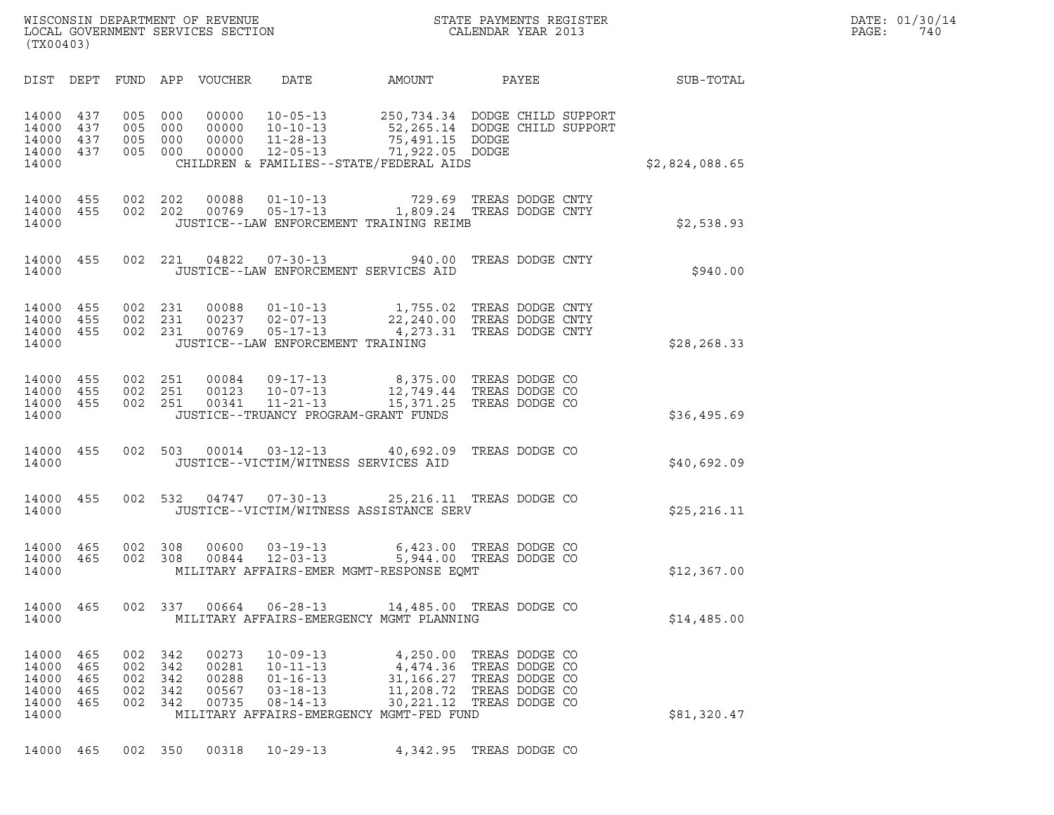| WISCONSIN DEPARTMENT OF REVENUE<br>LOCAL GOVERNMENT SERVICES SECTION<br>(TX00403) | STATE PAYMENTS REGISTER<br>CALENDAR YEAR 2013 | DATE: 01/30/14<br>PAGE:<br>740 |
|-----------------------------------------------------------------------------------|-----------------------------------------------|--------------------------------|

| (TX00403)                                          |                                 |                                 |                                 |                                           |                                                                                         |                                                                                                                                                   |                                                                                        |              |                |  |
|----------------------------------------------------|---------------------------------|---------------------------------|---------------------------------|-------------------------------------------|-----------------------------------------------------------------------------------------|---------------------------------------------------------------------------------------------------------------------------------------------------|----------------------------------------------------------------------------------------|--------------|----------------|--|
| DIST                                               | DEPT                            |                                 |                                 | FUND APP VOUCHER                          | DATE                                                                                    | AMOUNT                                                                                                                                            |                                                                                        | <b>PAYEE</b> | SUB-TOTAL      |  |
| 14000<br>14000<br>14000<br>14000<br>14000          | 437<br>437<br>437<br>437        | 005<br>005<br>005<br>005        | 000<br>000<br>000<br>000        | 00000<br>00000<br>00000<br>00000          | $10 - 05 - 13$<br>$10 - 10 - 13$<br>$11 - 28 - 13$<br>$12 - 05 - 13$                    | 250, 734.34 DODGE CHILD SUPPORT<br>52,265.14 DODGE CHILD SUPPORT<br>75,491.15 DODGE<br>71,922.05 DODGE<br>CHILDREN & FAMILIES--STATE/FEDERAL AIDS |                                                                                        |              | \$2,824,088.65 |  |
| 14000<br>14000<br>14000                            | 455<br>455                      | 002 202<br>002                  | 202                             | 00088<br>00769                            | $01 - 10 - 13$<br>$05 - 17 - 13$                                                        | 729.69<br>1,809.24 TREAS DODGE CNTY<br>JUSTICE--LAW ENFORCEMENT TRAINING REIMB                                                                    | TREAS DODGE CNTY                                                                       |              | \$2,538.93     |  |
| 14000<br>14000                                     | 455                             | 002 221                         |                                 | 04822                                     | $07 - 30 - 13$                                                                          | 940.00<br>JUSTICE--LAW ENFORCEMENT SERVICES AID                                                                                                   | TREAS DODGE CNTY                                                                       |              | \$940.00       |  |
| 14000<br>14000<br>14000<br>14000                   | 455<br>455<br>455               | 002 231<br>002<br>002           | 231<br>231                      | 00088<br>00237<br>00769                   | $01 - 10 - 13$<br>$02 - 07 - 13$<br>$05 - 17 - 13$<br>JUSTICE--LAW ENFORCEMENT TRAINING | 1,755.02<br>22,240.00<br>4,273.31                                                                                                                 | TREAS DODGE CNTY<br>TREAS DODGE CNTY<br>TREAS DODGE CNTY                               |              | \$28, 268.33   |  |
| 14000<br>14000<br>14000<br>14000                   | 455<br>455<br>455               | 002<br>002<br>002               | 251<br>251<br>251               | 00084<br>00123<br>00341                   | $09 - 17 - 13$<br>$10 - 07 - 13$<br>$11 - 21 - 13$                                      | 8,375.00<br>12,749.44<br>15,371.25<br>JUSTICE--TRUANCY PROGRAM-GRANT FUNDS                                                                        | TREAS DODGE CO<br>TREAS DODGE CO<br>TREAS DODGE CO                                     |              | \$36,495.69    |  |
| 14000<br>14000                                     | 455                             | 002                             | 503                             | 00014                                     |                                                                                         | $03 - 12 - 13$ 40,692.09<br>JUSTICE--VICTIM/WITNESS SERVICES AID                                                                                  | TREAS DODGE CO                                                                         |              | \$40,692.09    |  |
| 14000<br>14000                                     | 455                             | 002                             | 532                             | 04747                                     | $07 - 30 - 13$                                                                          | 25, 216.11 TREAS DODGE CO<br>JUSTICE--VICTIM/WITNESS ASSISTANCE SERV                                                                              |                                                                                        |              | \$25, 216.11   |  |
| 14000<br>14000<br>14000                            | 465<br>465                      | 002<br>002                      | 308<br>308                      | 00600<br>00844                            | $03 - 19 - 13$<br>$12 - 03 - 13$                                                        | 6,423.00 TREAS DODGE CO<br>5,944.00 TREAS DODGE CO<br>MILITARY AFFAIRS-EMER MGMT-RESPONSE EQMT                                                    |                                                                                        |              | \$12,367.00    |  |
| 14000<br>14000                                     | 465                             | 002                             | 337                             | 00664                                     | $06 - 28 - 13$                                                                          | 14,485.00 TREAS DODGE CO<br>MILITARY AFFAIRS-EMERGENCY MGMT PLANNING                                                                              |                                                                                        |              | \$14,485.00    |  |
| 14000<br>14000<br>14000<br>14000<br>14000<br>14000 | 465<br>465<br>465<br>465<br>465 | 002<br>002<br>002<br>002<br>002 | 342<br>342<br>342<br>342<br>342 | 00273<br>00281<br>00288<br>00567<br>00735 | $10 - 09 - 13$<br>$10 - 11 - 13$<br>$01 - 16 - 13$<br>$03 - 18 - 13$<br>$08 - 14 - 13$  | 4,250.00<br>4,474.36<br>31,166.27<br>11,208.72<br>30, 221. 12<br>MILITARY AFFAIRS-EMERGENCY MGMT-FED FUND                                         | TREAS DODGE CO<br>TREAS DODGE CO<br>TREAS DODGE CO<br>TREAS DODGE CO<br>TREAS DODGE CO |              | \$81,320.47    |  |
|                                                    |                                 |                                 |                                 |                                           |                                                                                         |                                                                                                                                                   |                                                                                        |              |                |  |

14000 465 002 350 00318 10-29-13 4,342.95 TREAS DODGE CO

(TX00403)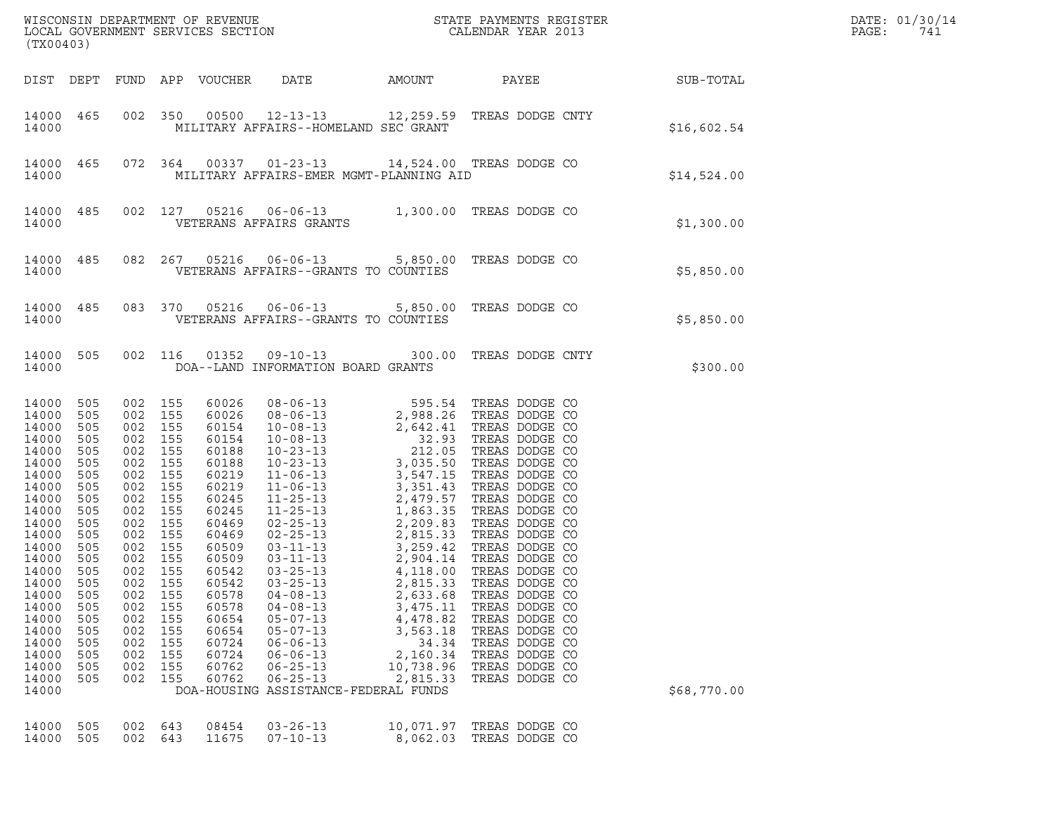| (TX00403)                                                                                                                                                                                                                     |                                                                                                                                                                      |                                                                                                                                                               |                                                                                                                                                                          |                                                                                                                                                                                                                      |                                                                                                                                                                                                                          |                                                                                                                    |                                                                                                                                                                                  |           |             | DATE: 01/30/14<br>PAGE:<br>741 |
|-------------------------------------------------------------------------------------------------------------------------------------------------------------------------------------------------------------------------------|----------------------------------------------------------------------------------------------------------------------------------------------------------------------|---------------------------------------------------------------------------------------------------------------------------------------------------------------|--------------------------------------------------------------------------------------------------------------------------------------------------------------------------|----------------------------------------------------------------------------------------------------------------------------------------------------------------------------------------------------------------------|--------------------------------------------------------------------------------------------------------------------------------------------------------------------------------------------------------------------------|--------------------------------------------------------------------------------------------------------------------|----------------------------------------------------------------------------------------------------------------------------------------------------------------------------------|-----------|-------------|--------------------------------|
| DIST DEPT                                                                                                                                                                                                                     |                                                                                                                                                                      |                                                                                                                                                               |                                                                                                                                                                          | FUND APP VOUCHER                                                                                                                                                                                                     | DATE                                                                                                                                                                                                                     | AMOUNT                                                                                                             | PAYEE                                                                                                                                                                            | SUB-TOTAL |             |                                |
| 14000 465<br>14000                                                                                                                                                                                                            |                                                                                                                                                                      |                                                                                                                                                               | 002 350                                                                                                                                                                  |                                                                                                                                                                                                                      | 00500  12-13-13  12,259.59  TREAS DODGE CNTY<br>MILITARY AFFAIRS--HOMELAND SEC GRANT                                                                                                                                     |                                                                                                                    |                                                                                                                                                                                  |           | \$16,602.54 |                                |
| 14000<br>14000                                                                                                                                                                                                                | 465                                                                                                                                                                  |                                                                                                                                                               | 072 364                                                                                                                                                                  |                                                                                                                                                                                                                      | 00337 01-23-13 14,524.00 TREAS DODGE CO<br>MILITARY AFFAIRS-EMER MGMT-PLANNING AID                                                                                                                                       |                                                                                                                    |                                                                                                                                                                                  |           | \$14,524.00 |                                |
| 14000<br>14000                                                                                                                                                                                                                | 485                                                                                                                                                                  |                                                                                                                                                               | 002 127                                                                                                                                                                  |                                                                                                                                                                                                                      | VETERANS AFFAIRS GRANTS                                                                                                                                                                                                  |                                                                                                                    |                                                                                                                                                                                  |           | \$1,300.00  |                                |
| 14000<br>14000                                                                                                                                                                                                                | 485                                                                                                                                                                  |                                                                                                                                                               | 082 267                                                                                                                                                                  |                                                                                                                                                                                                                      | 05216  06-06-13  5,850.00 TREAS DODGE CO<br>VETERANS AFFAIRS--GRANTS TO COUNTIES                                                                                                                                         |                                                                                                                    |                                                                                                                                                                                  |           | \$5,850.00  |                                |
| 14000<br>14000                                                                                                                                                                                                                | 485                                                                                                                                                                  |                                                                                                                                                               | 083 370                                                                                                                                                                  |                                                                                                                                                                                                                      | 05216  06-06-13  5,850.00 TREAS DODGE CO<br>VETERANS AFFAIRS--GRANTS TO COUNTIES                                                                                                                                         |                                                                                                                    |                                                                                                                                                                                  |           | \$5,850.00  |                                |
| 14000<br>14000                                                                                                                                                                                                                | 505                                                                                                                                                                  |                                                                                                                                                               | 002 116                                                                                                                                                                  | 01352                                                                                                                                                                                                                | 09-10-13 300.00<br>DOA--LAND INFORMATION BOARD GRANTS                                                                                                                                                                    |                                                                                                                    | TREAS DODGE CNTY                                                                                                                                                                 |           | \$300.00    |                                |
| 14000<br>14000<br>14000<br>14000<br>14000<br>14000<br>14000<br>14000<br>14000<br>14000<br>14000<br>14000<br>14000<br>14000<br>14000<br>14000<br>14000<br>14000<br>14000<br>14000<br>14000<br>14000<br>14000<br>14000<br>14000 | 505<br>505<br>505<br>505<br>505<br>505<br>505<br>505<br>505<br>505<br>505<br>505<br>505<br>505<br>505<br>505<br>505<br>505<br>505<br>505<br>505<br>505<br>505<br>505 | 002<br>002<br>002<br>002<br>002<br>002<br>002<br>002<br>002<br>002<br>002<br>002<br>002<br>002<br>002<br>002<br>002<br>002<br>002<br>002<br>002<br>002<br>002 | 002 155<br>155<br>155<br>155<br>155<br>155<br>155<br>155<br>155<br>155<br>155<br>155<br>155<br>155<br>155<br>155<br>155<br>155<br>155<br>155<br>155<br>155<br>155<br>155 | 60026<br>60026<br>60154<br>60154<br>60188<br>60188<br>60219<br>60219<br>60245<br>60245<br>60469<br>60469<br>60509<br>60509<br>60542<br>60542<br>60578<br>60578<br>60654<br>60654<br>60724<br>60724<br>60762<br>60762 | $03 - 25 - 13$<br>$03 - 25 - 13$<br>$04 - 08 - 13$<br>$04 - 08 - 13$<br>$05 - 07 - 13$<br>$05 - 07 - 13$<br>$06 - 06 - 13$<br>$06 - 06 - 13$<br>$06 - 25 - 13$<br>$06 - 25 - 13$<br>DOA-HOUSING ASSISTANCE-FEDERAL FUNDS | 4,118.00<br>2,815.33<br>2,633.68<br>3,475.11<br>4,478.82<br>3,563.18<br>34.34<br>2,160.34<br>10,738.96<br>2,815.33 | TREAS DODGE CO<br>TREAS DODGE CO<br>TREAS DODGE CO<br>TREAS DODGE CO<br>TREAS DODGE CO<br>TREAS DODGE CO<br>TREAS DODGE CO<br>TREAS DODGE CO<br>TREAS DODGE CO<br>TREAS DODGE CO |           | \$68,770.00 |                                |
| 14000<br>14000                                                                                                                                                                                                                | 505<br>505                                                                                                                                                           | 002<br>002                                                                                                                                                    | 643<br>643                                                                                                                                                               | 08454<br>11675                                                                                                                                                                                                       | $03 - 26 - 13$<br>$07 - 10 - 13$                                                                                                                                                                                         | 10,071.97<br>8,062.03                                                                                              | TREAS DODGE CO<br>TREAS DODGE CO                                                                                                                                                 |           |             |                                |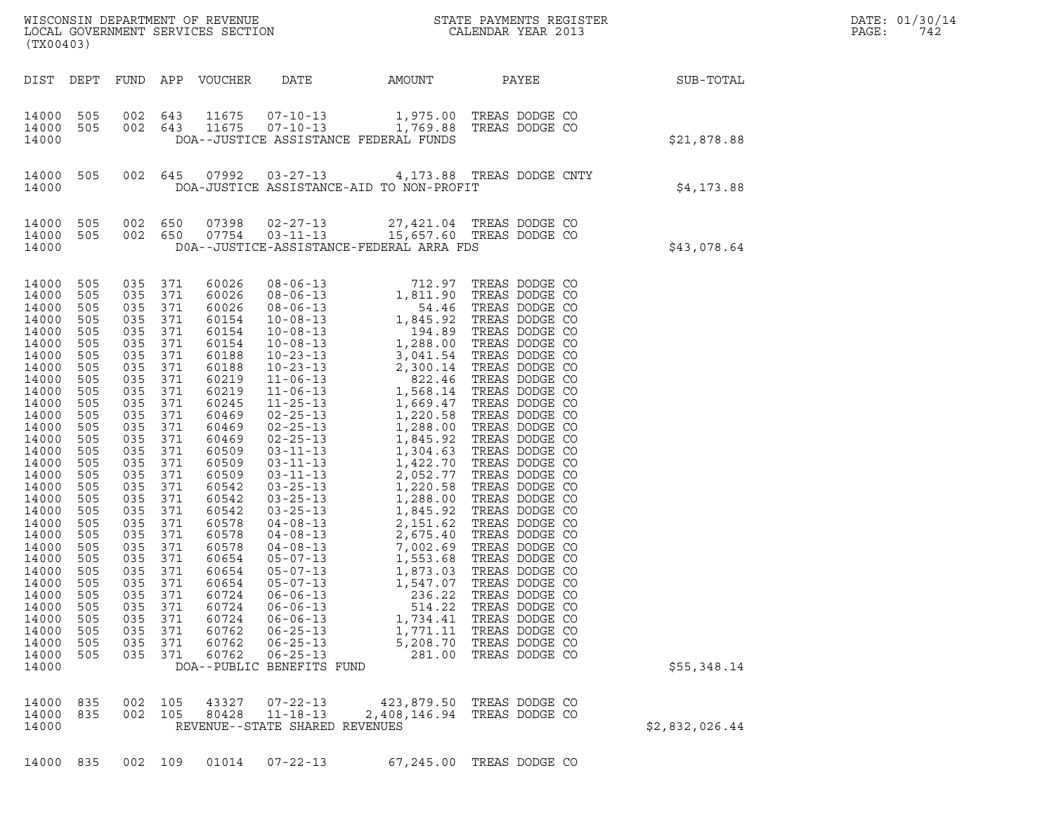| WISCONSIN DEPARTMENT OF REVENUE<br>LOCAL GOVERNMENT SERVICES SECTION<br>(TX00403) | STATE PAYMENTS REGISTER<br>CALENDAR YEAR 2013 | DATE: 01/30/14<br>PAGE:<br>742 |
|-----------------------------------------------------------------------------------|-----------------------------------------------|--------------------------------|

DIST DEPT FUND APP VOUCHER DATE AMOUNT PAYEE SUB-TOTAL 14000 505 002 643 11675 07-10-13 1,975.00 TREAS DODGE CO 14000 505 002 643 11675 07-10-13 1,975.00 TREASDODGE CO<br>14000 505 002 643 11675 07-10-13 1,769.88 TREASDODGE CO<br>14000 DOA--JUSTICE ASSISTANCE FEDERAL FUNDS <sup>14000</sup> DOA--JUSTICE ASSISTANCE FEDERAL FUNDS \$21,878.88 14000 505 002 645 07992 03-27-13 4,173.88 TREAS DODGE CNTY <sup>14000</sup> DOA-JUSTICE ASSISTANCE-AID TO NON-PROFIT \$4,173.88 14000 505 002 650 07398 02-27-13 27,421.04 TREAS DODGE CO 14000 505 002 650 07754 03-11-13 15,657.60 TREAS DODGE CO <sup>14000</sup> D0A--JUSTICE-ASSISTANCE-FEDERAL ARRA FDS \$43,078.64 14000 505 035 371 60026 08-06-13 712.97 TREAS DODGE CO 14000 505 035 371 60026 08-06-13 712.97 TREAS DODGE CO<br>14000 505 035 371 60026 08-06-13 712.97 TREAS DODGE CO<br>14000 505 035 371 60026 08-06-13 54.46 TREAS DODGE CO 14000 505 035 371 60026 08-06-13 712.97 TREAS DODGE CO<br>14000 505 035 371 60026 08-06-13 1,811.90 TREAS DODGE CO<br>14000 505 035 371 60026 08-06-13 54.46 TREAS DODGE CO<br>14000 505 035 371 60154 10-08-13 1,845.92 TREAS DODGE CO 14000 505 035 371 60026 08-06-13 1,811.90 TREAS DODGE CO<br>14000 505 035 371 60026 08-06-13 1,811.90 TREAS DODGE CO<br>14000 505 035 371 60026 08-06-13 54.46 TREAS DODGE CO<br>14000 505 035 371 60154 10-08-13 1,845.92 TREAS DODGE 14000 505 035 371 60026 08-06-13 1,811.90 TREAS DODGE CO<br>14000 505 035 371 60026 08-06-13 54.46 TREAS DODGE CO<br>14000 505 035 371 60154 10-08-13 1,845.92 TREAS DODGE CO<br>14000 505 035 371 60154 10-08-13 1288.00 TREAS DODGE C 14000 505 035 371 60026 08-06-13 54.46 TREAS DODGE CO<br>14000 505 035 371 60154 10-08-13 1,845.92 TREAS DODGE CO<br>14000 505 035 371 60154 10-08-13 1,288.00 TREAS DODGE CO<br>14000 505 035 371 60154 10-08-13 1,288.00 TREAS DODGE 14000 505 035 371 60154 10-08-13 1,845.92 TREAS DODGE CO<br>14000 505 035 371 60154 10-08-13 194.89 TREAS DODGE CO<br>14000 505 035 371 60154 10-08-13 1,288.00 TREAS DODGE CO<br>14000 505 035 371 60188 10-23-13 2,300.14 TREAS DODGE 14000 505 035 371 60154 10-08-13 194.89 TREAS DODGE CO<br>14000 505 035 371 60154 10-08-13 1,288.00 TREAS DODGE CO<br>14000 505 035 371 60188 10-23-13 3,041.54 TREAS DODGE CO<br>14000 505 035 371 60219 11-06-13 822.46 TREAS DODGE C 14000 505 035 371 60154 10-08-13 1,288.00 TREAS DODGE CO<br>14000 505 035 371 60188 10-23-13 3,041.54 TREAS DODGE CO<br>14000 505 035 371 60219 11-06-13 822.46 TREAS DODGE CO<br>14000 505 035 371 60219 11-06-13 1,568.14 TREAS DODGE 14000 505 035 371 60188 10-23-13 3,041.54 TREAS DODGE CO<br>14000 505 035 371 60188 10-23-13 2,300.14 TREAS DODGE CO<br>14000 505 035 371 60219 11-06-13 1,568.14 TREAS DODGE CO<br>14000 505 035 371 60219 11-06-13 1,568.14 TREAS DOD 14000 505 035 371 60188 10-23-13 2,300.14 TREAS DODGE CO<br>14000 505 035 371 60219 11-06-13 1,568.14 TREAS DODGE CO<br>14000 505 035 371 60219 11-06-13 1,568.14 TREAS DODGE CO<br>14000 505 035 371 60469 02-25-13 1,220.58 TREAS DOD 14000 505 035 371 60219 11-06-13 1,568.14 TREAS DODGE CO<br>14000 505 035 371 60219 11-06-13 1,568.14 TREAS DODGE CO<br>14000 505 035 371 60469 02-25-13 1,669.69 1,669.47 TREAS DODGE CO<br>14000 505 035 371 60469 02-25-13 1,220.58 14000 505 035 371 60219 11-06-13 1,568.14 TREAS DODGE CO<br>14000 505 035 371 60245 11-25-13 1,669.47 TREAS DODGE CO<br>14000 505 035 371 60469 02-25-13 1,220.58 TREAS DODGE CO<br>14000 505 035 371 60469 02-25-13 1,288.00 TREAS DOD 14000 505 035 371 60245 11-25-13 1,669.47 TREAS DODGE CO<br>14000 505 035 371 60469 02-25-13 1,220.58 TREAS DODGE CO<br>14000 505 035 371 60469 02-25-13 1,288.00 TREAS DODGE CO<br>14000 505 035 371 60469 02-25-13 1,845.92 TREAS DOD 14000 505 035 371 60469 02-25-13 1,220.58 TREAS DODGE CO<br>14000 505 035 371 60469 02-25-13 1,288.00 TREAS DODGE CO<br>14000 505 035 371 60469 02-25-13 1,845.92 TREAS DODGE CO<br>14000 505 035 371 60509 03-11-13 1,304.63 TREAS DOD 14000 505 035 371 60469 02-25-13 1,288.00 TREAS DODGE CO<br>14000 505 035 371 60469 02-25-13 1,845.92 TREAS DODGE CO<br>14000 505 035 371 60509 03-11-13 1,304.63 TREAS DODGE CO<br>14000 505 035 371 60509 03-11-13 1,422.70 TREAS DOD 14000 505 035 371 60469 02-25-13 1,845.92 TREAS DODGE CO<br>14000 505 035 371 60509 03-11-13 1,304.63 TREAS DODGE CO<br>14000 505 035 371 60509 03-11-13 1,422.77 TREAS DODGE CO<br>14000 505 035 371 60509 03-11-13 2,052.77 TREAS DOD 14000 505 035 371 60509 03-11-13 1,304.63 TREAS DODGE CO<br>14000 505 035 371 60509 03-11-13 1,422.70 TREAS DODGE CO<br>14000 505 035 371 60542 03-11-13 1,220.58 TREAS DODGE CO<br>14000 505 035 371 60542 03-25-13 1,220.58 TREAS DOD 14000 505 035 371 60509 03-11-13 1,422.70 TREAS DODGE CO<br>14000 505 035 371 60509 03-11-13 2,052.77 TREAS DODGE CO<br>14000 505 035 371 60542 03-25-13 1,220.58 TREAS DODGE CO<br>14000 505 035 371 60542 03-25-13 1,288.00 TREAS DOD 14000 505 035 371 60509 03-11-13 2,052.77 TREAS DODGE CO<br>14000 505 035 371 60542 03-25-13 1,220.58 TREAS DODGE CO<br>14000 505 035 371 60542 03-25-13 1,288.00 TREAS DODGE CO<br>14000 505 035 371 60542 03-25-13 1,845.92 TREAS DOD 14000 505 035 371 60542 03-25-13 1,220.58 TREAS DODGE CO<br>14000 505 035 371 60542 03-25-13 1,288.00 TREAS DODGE CO<br>14000 505 035 371 60578 04-08-13 2,151.62 TREAS DODGE CO<br>14000 505 035 371 60578 04-08-13 2,675.40 TREAS DOD 14000 505 035 371 60542 03-25-13 1,288.00 TREAS DODGE CO<br>14000 505 035 371 60542 03-25-13 1,845.92 TREAS DODGE CO<br>14000 505 035 371 60578 04-08-13 2,151.62 TREAS DODGE CO<br>14000 505 035 371 60578 04-08-13 2,675.40 TREAS DOD 14000 505 035 371 60542 03-25-13 1,845.92 TREAS DODGE CO<br>14000 505 035 371 60578 04-08-13 2,151.62 TREAS DODGE CO<br>14000 505 035 371 60578 04-08-13 2,675.40 TREAS DODGE CO<br>14000 505 035 371 60578 04-08-13 7,002.69 TREAS DOD 14000 505 035 371 60578 04-08-13 2,151.62 TREAS DODGE CO<br>14000 505 035 371 60578 04-08-13 2,675.40 TREAS DODGE CO<br>14000 505 035 371 60654 05-07-13 1,553.68 TREAS DODGE CO<br>14000 505 035 371 60654 05-07-13 1,873.03 TREAS DOD 14000 505 035 371 60578 04-08-13 2,675.40 TREAS DODGE CO<br>14000 505 035 371 60578 04-08-13 7,002.69 TREAS DODGE CO<br>14000 505 035 371 60654 05-07-13 1,553.68 TREAS DODGE CO<br>14000 505 035 371 60654 05-07-13 1,873.03 TREAS DOD 14000 505 035 371 60578 04-08-13 7,002.69 TREAS DODGE CO<br>14000 505 035 371 60654 05-07-13 1,553.68 TREAS DODGE CO<br>14000 505 035 371 60654 05-07-13 1,873.03 TREAS DODGE CO<br>14000 505 035 371 60654 05-07-13 1,547.07 TREAS DOD 14000 505 035 371 60654 05-07-13 1,553.68 TREAS DODGE CO<br>14000 505 035 371 60654 05-07-13 1,873.03 TREAS DODGE CO<br>14000 505 035 371 60654 05-07-13 1,547.07 TREAS DODGE CO<br>14000 505 035 371 60724 06-06-13 514.22 TREAS DODGE 14000 505 035 371 60654 05-07-13 1,873.03 TREAS DODGE CO<br>14000 505 035 371 60654 05-07-13 1,547.07 TREAS DODGE CO<br>14000 505 035 371 60724 06-06-13 514.22 TREAS DODGE CO<br>14000 505 035 371 60724 06-06-13 1,734.41 TREAS DODGE 14000 505 035 371 60654 05-07-13 1,547.07 TREAS DODGE CO<br>14000 505 035 371 60724 06-06-13 236.22 TREAS DODGE CO<br>14000 505 035 371 60724 06-06-13 5734.41 TREAS DODGE CO<br>14000 505 035 371 60724 06-06-13 1,734.41 TREAS DODGE 14000 505 035 371 60724 06-06-13 236.22 TREAS DODGE CO<br>14000 505 035 371 60724 06-06-13 514.22 TREAS DODGE CO<br>14000 505 035 371 60762 06-06-13 1,734.41 TREAS DODGE CO<br>14000 505 035 371 60762 06-25-13 5,208.70 TREAS DODGE C 14000 505 035 371 60724 06-06-13 514.22 TREAS DODGE CO<br>14000 505 035 371 60724 06-06-13 1,734.41 TREAS DODGE CO<br>14000 505 035 371 60762 06-25-13 5,208.70 TREAS DODGE CO<br>14000 505 035 371 60762 06-25-13 5,208.70 TREAS DODGE 14000 505 035 371 60724 06-06-13 1,734.41 TREAS DODGE CO<br>14000 505 035 371 60762 06-25-13 1,771.11 TREAS DODGE CO<br>14000 505 035 371 60762 06-25-13 5,208.70 TREAS DODGE CO<br>14000 505 035 371 60762 06-25-13 281.00 TREAS DODGE <sup>14000</sup> DOA--PUBLIC BENEFITS FUND \$55,348.14 14000 835 002 105 43327 07-22-13 423,879.50 TREAS DODGE CO 14000 835 002 105 43327 07-22-13 423,879.50 TREASDODGE CO<br>14000 835 002 105 80428 11-18-13 2,408,146.94 TREASDODGE CO<br>14000 REVENUE--STATE SHAREDREVENUES 14000 835 002 105 43327 07-22-13 423,879.50 TREASDODGE CO<br>14000 835 002 105 80428 11-18-13 2,408,146.94 TREASDODGE CO \$2,832,026.44<br>14000 REVENUE--STATE SHARED REVENUES 14000 835 002 109 01014 07-22-13 67,245.00 TREAS DODGE CO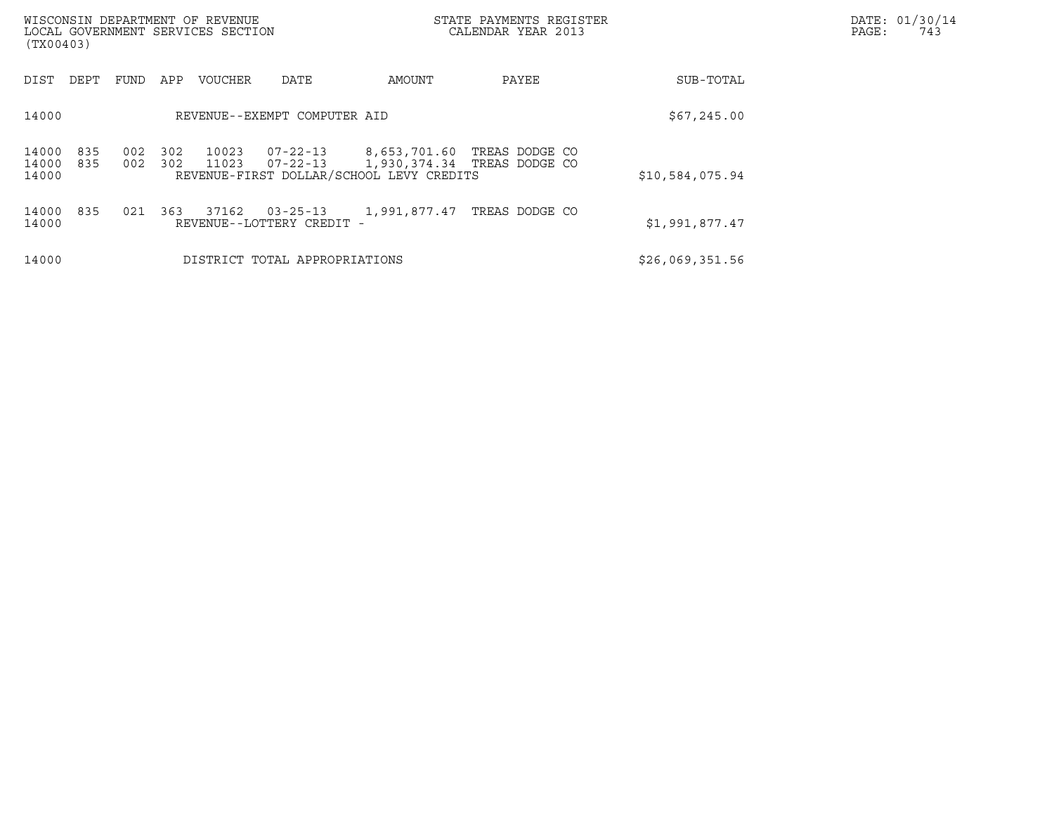| (TX00403)               |            |            |            | WISCONSIN DEPARTMENT OF REVENUE<br>LOCAL GOVERNMENT SERVICES SECTION |                                             |                                          | STATE PAYMENTS REGISTER<br>CALENDAR YEAR 2013                         |                 | DATE: 01/30/14<br>PAGE:<br>743 |
|-------------------------|------------|------------|------------|----------------------------------------------------------------------|---------------------------------------------|------------------------------------------|-----------------------------------------------------------------------|-----------------|--------------------------------|
| DIST                    | DEPT       | FUND       | APP        | <b>VOUCHER</b>                                                       | DATE                                        | AMOUNT                                   | PAYEE                                                                 | SUB-TOTAL       |                                |
| 14000                   |            |            |            |                                                                      | REVENUE--EXEMPT COMPUTER AID                |                                          |                                                                       | \$67,245.00     |                                |
| 14000<br>14000<br>14000 | 835<br>835 | 002<br>002 | 302<br>302 | 10023<br>11023                                                       | 07-22-13                                    | REVENUE-FIRST DOLLAR/SCHOOL LEVY CREDITS | 07-22-13 8,653,701.60 TREAS DODGE CO<br>1,930,374.34   TREAS DODGE CO | \$10,584,075.94 |                                |
| 14000<br>14000          | 835        | 021        | 363        | 37162                                                                | $03 - 25 - 13$<br>REVENUE--LOTTERY CREDIT - |                                          | 1,991,877.47 TREAS DODGE CO                                           | \$1,991,877.47  |                                |
| 14000                   |            |            |            |                                                                      | DISTRICT TOTAL APPROPRIATIONS               |                                          |                                                                       | \$26,069,351.56 |                                |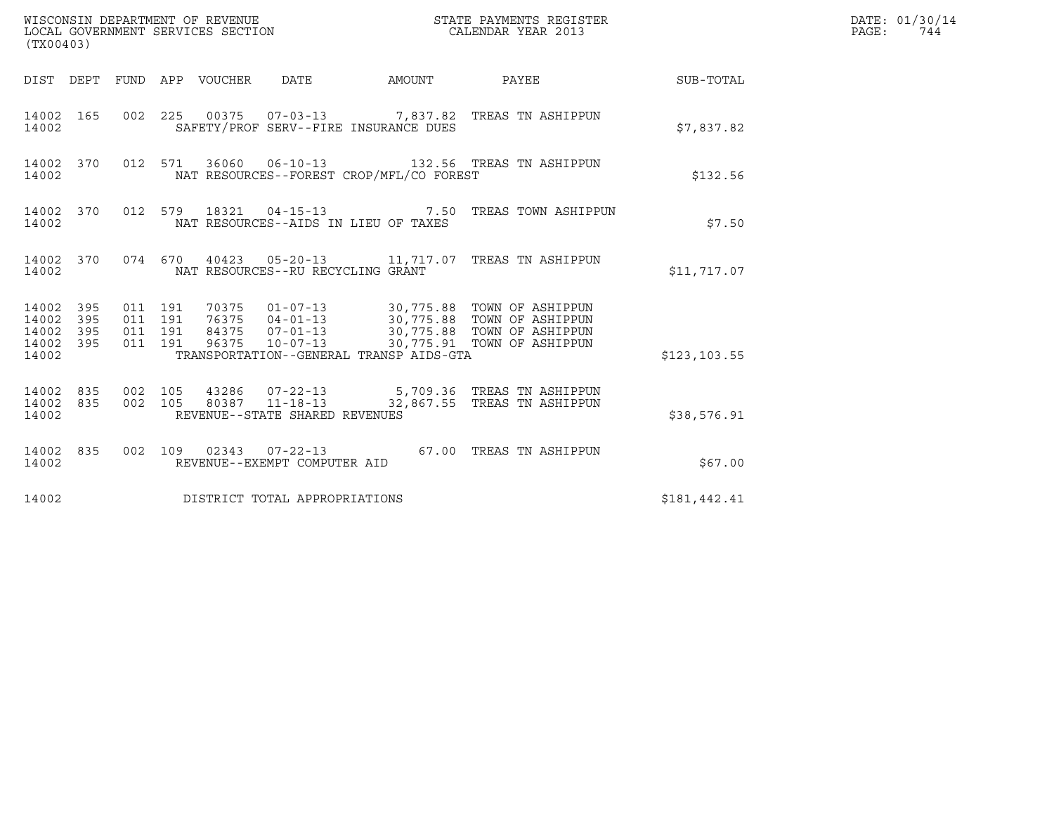| (TX00403)                                         |            |                                          |  |                                   |                                          |                                                                                                                                                                                     |               | DATE: 01/30/14<br>PAGE:<br>744 |
|---------------------------------------------------|------------|------------------------------------------|--|-----------------------------------|------------------------------------------|-------------------------------------------------------------------------------------------------------------------------------------------------------------------------------------|---------------|--------------------------------|
|                                                   |            |                                          |  |                                   | DIST DEPT FUND APP VOUCHER DATE AMOUNT   | PAYEE                                                                                                                                                                               | SUB-TOTAL     |                                |
| 14002                                             | 14002 165  |                                          |  |                                   | SAFETY/PROF SERV--FIRE INSURANCE DUES    | 002 225 00375 07-03-13 7,837.82 TREAS TN ASHIPPUN                                                                                                                                   | \$7,837.82    |                                |
| 14002                                             | 14002 370  |                                          |  |                                   | NAT RESOURCES--FOREST CROP/MFL/CO FOREST | 012 571 36060 06-10-13 132.56 TREAS TN ASHIPPUN                                                                                                                                     | \$132.56      |                                |
| 14002                                             | 14002 370  |                                          |  |                                   | NAT RESOURCES--AIDS IN LIEU OF TAXES     | 012 579 18321 04-15-13 7.50 TREAS TOWN ASHIPPUN                                                                                                                                     | \$7.50        |                                |
| 14002                                             |            |                                          |  | NAT RESOURCES--RU RECYCLING GRANT |                                          | 14002 370 074 670 40423 05-20-13 11,717.07 TREAS TN ASHIPPUN                                                                                                                        | \$11,717.07   |                                |
| 14002 395<br>14002<br>14002<br>14002 395<br>14002 | 395<br>395 | 011 191<br>011 191<br>011 191<br>011 191 |  |                                   | TRANSPORTATION--GENERAL TRANSP AIDS-GTA  | 70375  01-07-13  30,775.88  TOWN OF ASHIPPUN<br>76375 04-01-13 30,775.88 TOWN OF ASHIPPUN<br>84375 07-01-13 30,775.88 TOWN OF ASHIPPUN<br>96375 10-07-13 30,775.91 TOWN OF ASHIPPUN | \$123, 103.55 |                                |
| 14002 835<br>14002 835<br>14002                   |            | 002 105<br>002 105                       |  | REVENUE--STATE SHARED REVENUES    |                                          | 43286  07-22-13  5,709.36  TREAS TN ASHIPPUN<br>80387  11-18-13  32,867.55  TREAS TN ASHIPPUN                                                                                       | \$38,576.91   |                                |
| 14002                                             | 14002 835  |                                          |  | REVENUE--EXEMPT COMPUTER AID      |                                          | 002 109 02343 07-22-13 67.00 TREAS TN ASHIPPUN                                                                                                                                      | \$67.00       |                                |
| 14002                                             |            |                                          |  | DISTRICT TOTAL APPROPRIATIONS     |                                          |                                                                                                                                                                                     | \$181,442.41  |                                |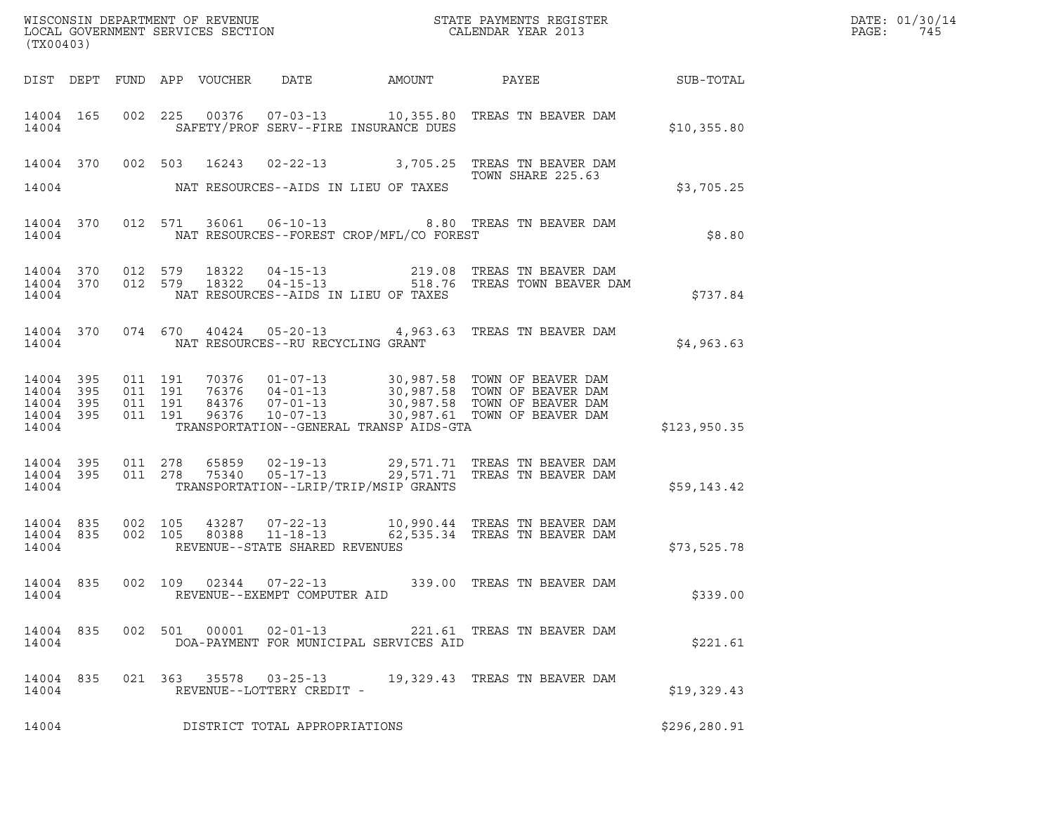| (TX00403)                        |                                |  |                                                                  |                                              |                                                                                                                                                                                                                          |               | DATE: 01/30/14<br>$\mathtt{PAGE:}$<br>745 |
|----------------------------------|--------------------------------|--|------------------------------------------------------------------|----------------------------------------------|--------------------------------------------------------------------------------------------------------------------------------------------------------------------------------------------------------------------------|---------------|-------------------------------------------|
|                                  |                                |  |                                                                  | DIST DEPT FUND APP VOUCHER DATE AMOUNT PAYEE |                                                                                                                                                                                                                          | SUB-TOTAL     |                                           |
| 14004                            | 14004 165                      |  |                                                                  | SAFETY/PROF SERV--FIRE INSURANCE DUES        | 002 225 00376 07-03-13 10,355.80 TREAS TN BEAVER DAM                                                                                                                                                                     | \$10,355.80   |                                           |
| 14004                            |                                |  |                                                                  | NAT RESOURCES--AIDS IN LIEU OF TAXES         | 14004 370 002 503 16243 02-22-13 3,705.25 TREAS TN BEAVER DAM<br>TOWN SHARE 225.63                                                                                                                                       | \$3,705.25    |                                           |
| 14004                            |                                |  |                                                                  | NAT RESOURCES--FOREST CROP/MFL/CO FOREST     | 14004 370 012 571 36061 06-10-13 8.80 TREAS TN BEAVER DAM                                                                                                                                                                | \$8.80        |                                           |
| 14004                            |                                |  |                                                                  | NAT RESOURCES--AIDS IN LIEU OF TAXES         | $\begin{array}{cccccccc} 14\,004 & 370 & 012 & 579 & 18322 & 04-15-13 & & & 219.08 & \text{TREAS TN BEAVER DAM} \\ 14\,004 & 370 & 012 & 579 & 18322 & 04-15-13 & & & 518.76 & \text{TREAS TOWN BEAVER DAM} \end{array}$ | \$737.84      |                                           |
| 14004                            |                                |  | NAT RESOURCES--RU RECYCLING GRANT                                |                                              | 14004 370 074 670 40424 05-20-13 4,963.63 TREAS TN BEAVER DAM                                                                                                                                                            | \$4,963.63    |                                           |
| 14004<br>14004<br>14004<br>14004 | 14004 395<br>395<br>395<br>395 |  |                                                                  | TRANSPORTATION--GENERAL TRANSP AIDS-GTA      |                                                                                                                                                                                                                          | \$123,950.35  |                                           |
| 14004 395<br>14004               | 14004 395                      |  |                                                                  | TRANSPORTATION--LRIP/TRIP/MSIP GRANTS        | 011  278  65859  02-19-13  29,571.71  TREAS TN BEAVER DAM<br>011  278  75340  05-17-13  29,571.71  TREAS TN BEAVER DAM                                                                                                   | \$59,143.42   |                                           |
| 14004 835<br>14004               | 14004 835                      |  | REVENUE--STATE SHARED REVENUES                                   |                                              | 002 105 43287 07-22-13 10,990.44 TREAS TN BEAVER DAM<br>002 105 80388 11-18-13 62,535.34 TREAS TN BEAVER DAM                                                                                                             | \$73,525.78   |                                           |
| 14004                            |                                |  | 14004 835 002 109 02344 07-22-13<br>REVENUE--EXEMPT COMPUTER AID |                                              | 339.00 TREAS TN BEAVER DAM                                                                                                                                                                                               | \$339.00      |                                           |
| 14004 835<br>14004               |                                |  |                                                                  | DOA-PAYMENT FOR MUNICIPAL SERVICES AID       | 002 501 00001 02-01-13 221.61 TREAS TN BEAVER DAM                                                                                                                                                                        | \$221.61      |                                           |
| 14004 835<br>14004               |                                |  | REVENUE--LOTTERY CREDIT -                                        |                                              | 021  363  35578  03-25-13  19,329.43  TREAS TN BEAVER DAM                                                                                                                                                                | \$19,329.43   |                                           |
| 14004                            |                                |  | DISTRICT TOTAL APPROPRIATIONS                                    |                                              |                                                                                                                                                                                                                          | \$296, 280.91 |                                           |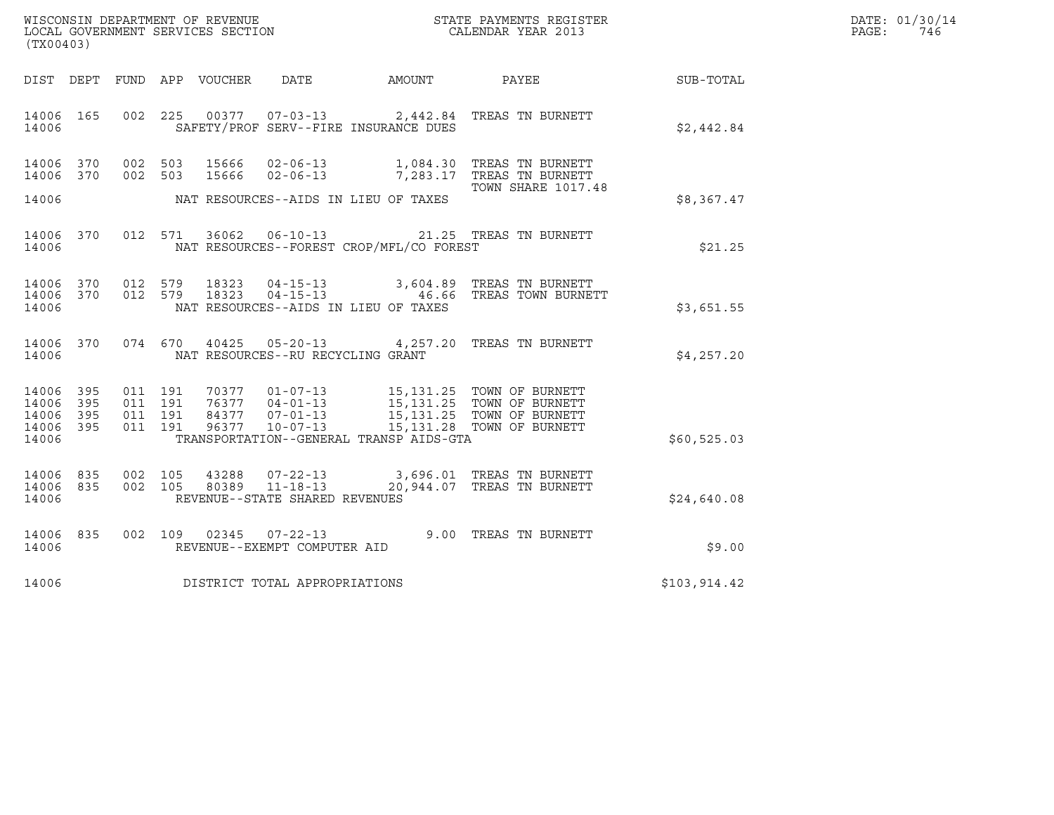| (TX00403)                                             |     |                    |                    |                                                  |                                          | $\tt WISCONSIM DEPARTMENT OF REVENUE$ $\tt STATE$ PAYMENTS REGISTER LOCAL GOVERNMENT SERVICES SECTION $\tt CALENDAR$ YEAR 2013                                           |              | DATE: 01/30/14<br>$\mathtt{PAGE}$ :<br>746 |
|-------------------------------------------------------|-----|--------------------|--------------------|--------------------------------------------------|------------------------------------------|--------------------------------------------------------------------------------------------------------------------------------------------------------------------------|--------------|--------------------------------------------|
|                                                       |     |                    |                    |                                                  |                                          | DIST DEPT FUND APP VOUCHER DATE AMOUNT PAYEE                                                                                                                             | SUB-TOTAL    |                                            |
| 14006 165<br>14006                                    |     |                    |                    |                                                  | SAFETY/PROF SERV--FIRE INSURANCE DUES    | 002 225 00377 07-03-13 2,442.84 TREAS TN BURNETT                                                                                                                         | \$2,442.84   |                                            |
| 14006 370<br>14006 370                                |     |                    |                    |                                                  |                                          | 002 503 15666 02-06-13 1,084.30 TREAS TN BURNETT 002 503 15666 02-06-13 7,283.17 TREAS TN BURNETT                                                                        |              |                                            |
| 14006                                                 |     |                    |                    |                                                  | NAT RESOURCES--AIDS IN LIEU OF TAXES     | <b>TOWN SHARE 1017.48</b>                                                                                                                                                | \$8,367.47   |                                            |
| 14006 370<br>14006                                    |     |                    |                    |                                                  | NAT RESOURCES--FOREST CROP/MFL/CO FOREST | 012 571 36062 06-10-13 21.25 TREAS TN BURNETT                                                                                                                            | \$21.25      |                                            |
| 14006<br>14006 370<br>14006                           | 370 |                    |                    |                                                  | NAT RESOURCES--AIDS IN LIEU OF TAXES     | 012 579 18323 04-15-13 3,604.89 TREAS TN BURNETT<br>012 579 18323 04-15-13 46.66 TREAS TOWN BURNETT                                                                      | \$3,651.55   |                                            |
| 14006 370<br>14006                                    |     |                    |                    | NAT RESOURCES--RU RECYCLING GRANT                |                                          | 074 670 40425 05-20-13 4,257.20 TREAS TN BURNETT                                                                                                                         | \$4,257.20   |                                            |
| 14006 395<br>14006<br>14006 395<br>14006 395<br>14006 | 395 | 011 191<br>011 191 | 011 191<br>011 191 | 96377 10-07-13                                   | TRANSPORTATION--GENERAL TRANSP AIDS-GTA  | 70377  01-07-13   15,131.25   TOWN OF BURNETT<br>76377  04-01-13  15,131.25  TOWN OF BURNETT<br>84377  07-01-13  15,131.25  TOWN OF BURNETT<br>15,131.28 TOWN OF BURNETT | \$60,525.03  |                                            |
|                                                       |     |                    |                    |                                                  |                                          |                                                                                                                                                                          |              |                                            |
| 14006 835<br>14006 835<br>14006                       |     |                    | 002 105<br>002 105 | 80389 11-18-13<br>REVENUE--STATE SHARED REVENUES |                                          | 43288  07-22-13  3,696.01  TREAS TN BURNETT<br>20,944.07 TREAS TN BURNETT                                                                                                | \$24,640.08  |                                            |
| 14006 835<br>14006                                    |     |                    |                    | REVENUE--EXEMPT COMPUTER AID                     |                                          | 002 109 02345 07-22-13 9.00 TREAS TN BURNETT                                                                                                                             | \$9.00       |                                            |
| 14006                                                 |     |                    |                    | DISTRICT TOTAL APPROPRIATIONS                    |                                          |                                                                                                                                                                          | \$103,914.42 |                                            |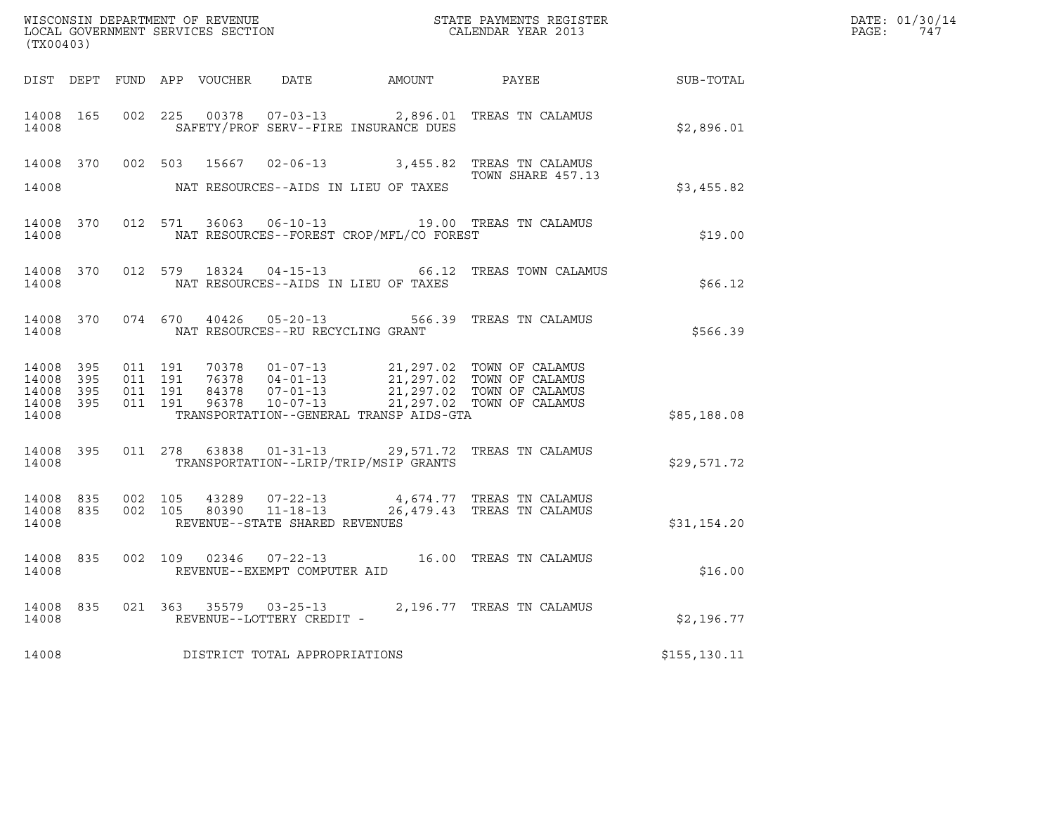| (TX00403)                                             |           |         |                               | LOCAL GOVERNMENT SERVICES SECTION |                                   |                                          |                                                                                                                                                                                          |              | DATE: 01/30/14<br>PAGE: 747 |
|-------------------------------------------------------|-----------|---------|-------------------------------|-----------------------------------|-----------------------------------|------------------------------------------|------------------------------------------------------------------------------------------------------------------------------------------------------------------------------------------|--------------|-----------------------------|
|                                                       |           |         |                               |                                   |                                   |                                          | DIST DEPT FUND APP VOUCHER DATE AMOUNT PAYEE TO SUB-TOTAL                                                                                                                                |              |                             |
| 14008                                                 | 14008 165 |         |                               |                                   |                                   | SAFETY/PROF SERV--FIRE INSURANCE DUES    | 002 225 00378 07-03-13 2,896.01 TREAS TN CALAMUS                                                                                                                                         | \$2,896.01   |                             |
|                                                       |           |         |                               |                                   |                                   |                                          | 14008 370 002 503 15667 02-06-13 3,455.82 TREAS TN CALAMUS<br>TOWN SHARE 457.13                                                                                                          |              |                             |
| 14008                                                 |           |         |                               |                                   |                                   | NAT RESOURCES--AIDS IN LIEU OF TAXES     |                                                                                                                                                                                          | \$3,455.82   |                             |
| 14008                                                 | 14008 370 |         |                               |                                   |                                   | NAT RESOURCES--FOREST CROP/MFL/CO FOREST | 012 571 36063 06-10-13 19.00 TREAS TN CALAMUS                                                                                                                                            | \$19.00      |                             |
| 14008                                                 | 14008 370 |         |                               |                                   |                                   | NAT RESOURCES--AIDS IN LIEU OF TAXES     | 012 579 18324 04-15-13 66.12 TREAS TOWN CALAMUS                                                                                                                                          | \$66.12      |                             |
| 14008                                                 |           |         |                               |                                   | NAT RESOURCES--RU RECYCLING GRANT |                                          | 14008 370 074 670 40426 05-20-13 566.39 TREAS TN CALAMUS                                                                                                                                 | \$566.39     |                             |
| 14008 395<br>14008 395<br>14008<br>14008 395<br>14008 | 395       | 011 191 | 011 191<br>011 191<br>011 191 |                                   |                                   | TRANSPORTATION--GENERAL TRANSP AIDS-GTA  | 70378  01-07-13  21,297.02  TOWN OF CALAMUS<br>76378  04-01-13  21,297.02  TOWN OF CALAMUS<br>84378  07-01-13  21,297.02  TOWN OF CALAMUS<br>96378  10-07-13  21,297.02  TOWN OF CALAMUS | \$85,188.08  |                             |
| 14008                                                 | 14008 395 |         |                               |                                   |                                   | TRANSPORTATION--LRIP/TRIP/MSIP GRANTS    | 011 278 63838 01-31-13 29,571.72 TREAS TN CALAMUS                                                                                                                                        | \$29,571.72  |                             |
| 14008 835<br>14008                                    | 14008 835 |         |                               |                                   | REVENUE--STATE SHARED REVENUES    |                                          | 002 105 43289 07-22-13 4,674.77 TREAS TN CALAMUS<br>002 105 80390 11-18-13 26,479.43 TREAS TN CALAMUS                                                                                    | \$31,154.20  |                             |
| 14008                                                 | 14008 835 |         |                               |                                   | REVENUE--EXEMPT COMPUTER AID      |                                          | 002 109 02346 07-22-13 16.00 TREAS TN CALAMUS                                                                                                                                            | \$16.00      |                             |
| 14008                                                 | 14008 835 |         |                               |                                   | REVENUE--LOTTERY CREDIT -         |                                          |                                                                                                                                                                                          | \$2,196.77   |                             |
| 14008                                                 |           |         |                               |                                   | DISTRICT TOTAL APPROPRIATIONS     |                                          |                                                                                                                                                                                          | \$155,130.11 |                             |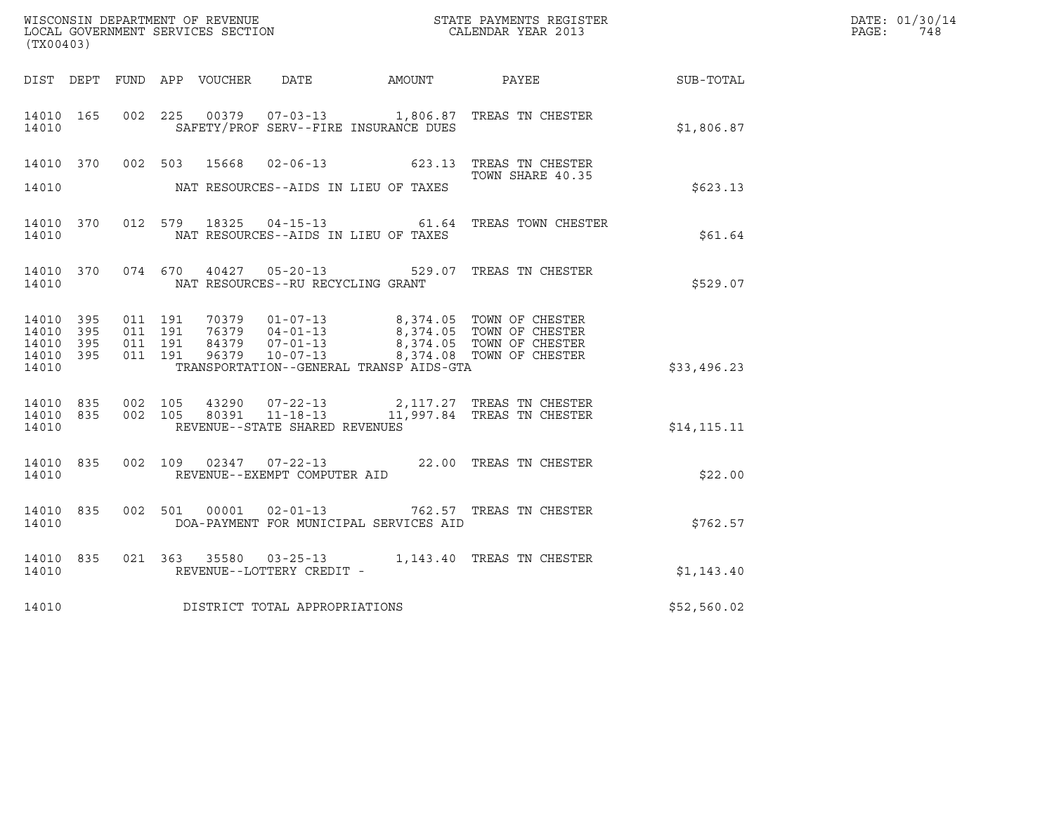|                                                   |            |                               |         |                                   |                                         | WISCONSIN DEPARTMENT OF REVENUE<br>LOCAL GOVERNMENT SERVICES SECTION CALENDAR YEAR 2013                                                                                                                       |              | DATE: 01/30/14<br>PAGE: 748 |
|---------------------------------------------------|------------|-------------------------------|---------|-----------------------------------|-----------------------------------------|---------------------------------------------------------------------------------------------------------------------------------------------------------------------------------------------------------------|--------------|-----------------------------|
| (TX00403)                                         |            |                               |         |                                   |                                         |                                                                                                                                                                                                               |              |                             |
|                                                   |            |                               |         |                                   |                                         | DIST DEPT FUND APP VOUCHER DATE AMOUNT PAYEE TO SUB-TOTAL                                                                                                                                                     |              |                             |
| 14010 165<br>14010                                |            |                               |         |                                   | SAFETY/PROF SERV--FIRE INSURANCE DUES   | 002 225 00379 07-03-13 1,806.87 TREAS TN CHESTER                                                                                                                                                              | \$1,806.87   |                             |
|                                                   |            |                               |         |                                   |                                         | 14010 370 002 503 15668 02-06-13 623.13 TREAS TN CHESTER                                                                                                                                                      |              |                             |
| 14010                                             |            |                               |         |                                   | NAT RESOURCES--AIDS IN LIEU OF TAXES    | TOWN SHARE 40.35                                                                                                                                                                                              | \$623.13     |                             |
| 14010                                             |            |                               |         |                                   | NAT RESOURCES--AIDS IN LIEU OF TAXES    | 14010 370 012 579 18325 04-15-13 61.64 TREAS TOWN CHESTER                                                                                                                                                     | \$61.64      |                             |
| 14010                                             |            |                               |         | NAT RESOURCES--RU RECYCLING GRANT |                                         | 14010 370 074 670 40427 05-20-13 529.07 TREAS TN CHESTER                                                                                                                                                      | \$529.07     |                             |
| 14010 395<br>14010 395<br>14010<br>14010<br>14010 | 395<br>395 | 011 191<br>011 191<br>011 191 | 011 191 |                                   | TRANSPORTATION--GENERAL TRANSP AIDS-GTA | 70379  01-07-13  8,374.05  TOWN OF CHESTER<br>76379  04-01-13  8,374.05  TOWN OF CHESTER<br>84379  07-01-13  8,374.05  TOWN OF CHESTER<br>96379  10-07-13  8,374.08  TOWN OF CHESTER                          | \$33,496.23  |                             |
| 14010                                             |            |                               |         | REVENUE--STATE SHARED REVENUES    |                                         | $\begin{array}{cccccccc} 14010 & 835 & 002 & 105 & 43290 & 07-22-13 & & 2,117.27 & \text{TREAS TN CHESTER} \\ 14010 & 835 & 002 & 105 & 80391 & 11-18-13 & & 11,997.84 & \text{TREAS TN CHESTER} \end{array}$ | \$14, 115.11 |                             |
| 14010                                             |            |                               |         | REVENUE--EXEMPT COMPUTER AID      |                                         | 14010 835 002 109 02347 07-22-13 22.00 TREAS TN CHESTER                                                                                                                                                       | \$22.00      |                             |
| 14010                                             |            |                               |         |                                   | DOA-PAYMENT FOR MUNICIPAL SERVICES AID  | 14010 835 002 501 00001 02-01-13 762.57 TREAS TN CHESTER                                                                                                                                                      | \$762.57     |                             |
| 14010 835<br>14010                                |            |                               |         | REVENUE--LOTTERY CREDIT -         |                                         | 021 363 35580 03-25-13 1,143.40 TREAS TN CHESTER                                                                                                                                                              | \$1,143.40   |                             |
| 14010                                             |            |                               |         | DISTRICT TOTAL APPROPRIATIONS     |                                         |                                                                                                                                                                                                               | \$52,560.02  |                             |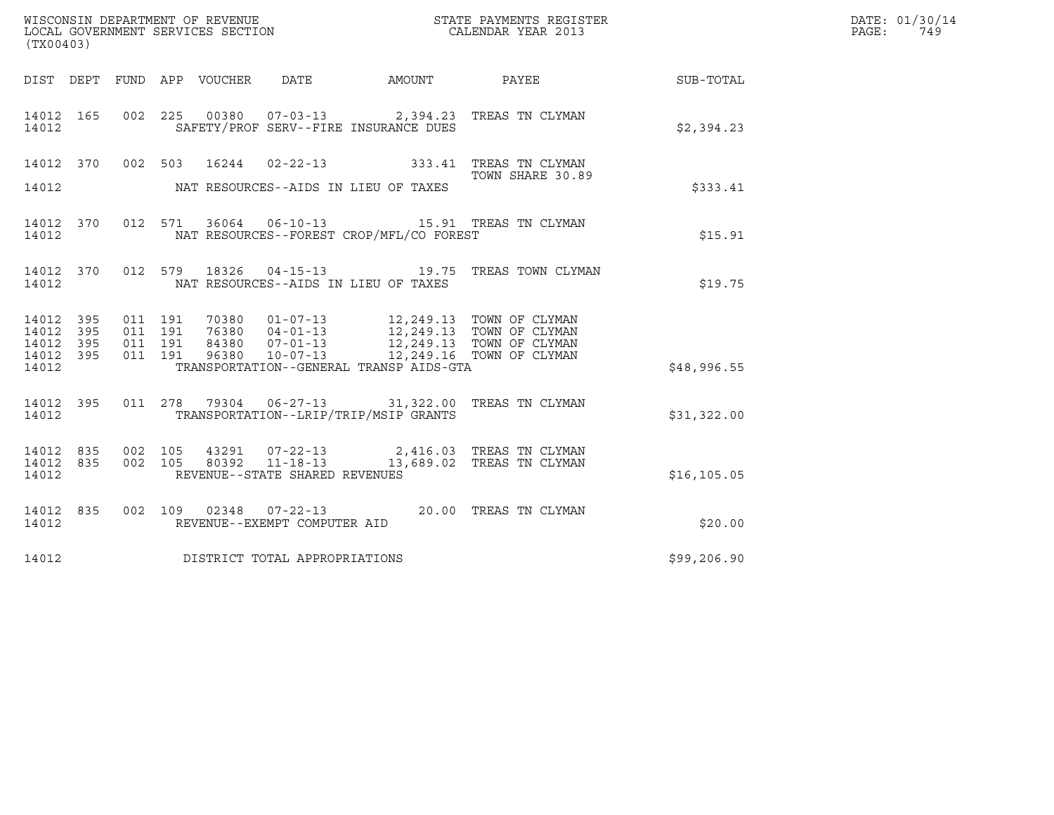| (TX00403)                       |            |                    |                                 |                                |                                          |                                                                                                                                                                                      |              | DATE: 01/30/14<br>PAGE:<br>749 |
|---------------------------------|------------|--------------------|---------------------------------|--------------------------------|------------------------------------------|--------------------------------------------------------------------------------------------------------------------------------------------------------------------------------------|--------------|--------------------------------|
|                                 |            |                    | DIST DEPT FUND APP VOUCHER DATE |                                |                                          |                                                                                                                                                                                      |              |                                |
| 14012 165<br>14012              |            |                    |                                 |                                | SAFETY/PROF SERV--FIRE INSURANCE DUES    | 002 225 00380 07-03-13 2,394.23 TREAS TN CLYMAN                                                                                                                                      | \$2,394.23   |                                |
|                                 |            |                    |                                 |                                |                                          | 14012 370 002 503 16244 02-22-13 333.41 TREAS TN CLYMAN<br>TOWN SHARE 30.89                                                                                                          |              |                                |
| 14012                           |            |                    |                                 |                                | NAT RESOURCES--AIDS IN LIEU OF TAXES     |                                                                                                                                                                                      | \$333.41     |                                |
| 14012 370<br>14012              |            |                    |                                 |                                | NAT RESOURCES--FOREST CROP/MFL/CO FOREST | 012 571 36064 06-10-13 15.91 TREAS TN CLYMAN                                                                                                                                         | \$15.91      |                                |
| 14012 370<br>14012              |            |                    |                                 |                                | NAT RESOURCES--AIDS IN LIEU OF TAXES     | 012 579 18326 04-15-13 19.75 TREAS TOWN CLYMAN                                                                                                                                       | \$19.75      |                                |
| 14012<br>14012                  | 395<br>395 | 011 191<br>011 191 |                                 |                                |                                          |                                                                                                                                                                                      |              |                                |
| 14012<br>14012 395              | 395        | 011 191<br>011 191 |                                 |                                |                                          | 70380  01-07-13  12,249.13  TOWN OF CLYMAN<br>76380  04-01-13  12,249.13  TOWN OF CLYMAN<br>84380  07-01-13  12,249.13  TOWN OF CLYMAN<br>96380  10-07-13  12,249.16  TOWN OF CLYMAN |              |                                |
| 14012                           |            |                    |                                 |                                | TRANSPORTATION--GENERAL TRANSP AIDS-GTA  |                                                                                                                                                                                      | \$48,996.55  |                                |
| 14012 395<br>14012              |            |                    |                                 |                                | TRANSPORTATION--LRIP/TRIP/MSIP GRANTS    | 011  278  79304  06-27-13  31,322.00 TREAS TN CLYMAN                                                                                                                                 | \$31,322.00  |                                |
| 14012 835<br>14012 835<br>14012 |            |                    |                                 | REVENUE--STATE SHARED REVENUES |                                          | 002 105 43291 07-22-13 2,416.03 TREAS TN CLYMAN 002 105 80392 11-18-13 13,689.02 TREAS TN CLYMAN                                                                                     | \$16, 105.05 |                                |
|                                 |            |                    |                                 |                                |                                          | 002 109 02348 07-22-13 20.00 TREAS TN CLYMAN                                                                                                                                         |              |                                |
| 14012 835<br>14012              |            |                    |                                 | REVENUE--EXEMPT COMPUTER AID   |                                          |                                                                                                                                                                                      | \$20.00      |                                |
| 14012                           |            |                    |                                 | DISTRICT TOTAL APPROPRIATIONS  |                                          |                                                                                                                                                                                      | \$99,206.90  |                                |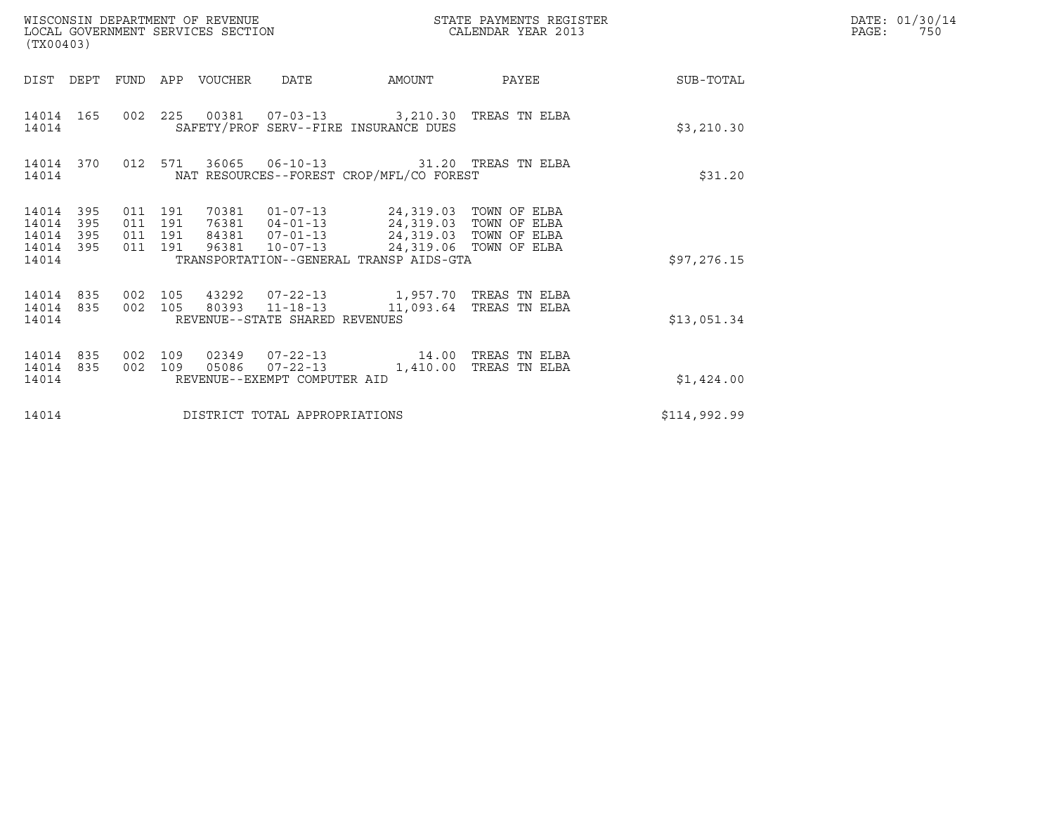| (TX00403)                                 |                            |                                          |         | WISCONSIN DEPARTMENT OF REVENUE<br>LOCAL GOVERNMENT SERVICES SECTION |                                | STATE PAYMENTS REGISTER<br>CALENDAR YEAR 2013                                                                                                                                                                           |       | DATE: 01/30/14<br>PAGE:<br>750 |  |
|-------------------------------------------|----------------------------|------------------------------------------|---------|----------------------------------------------------------------------|--------------------------------|-------------------------------------------------------------------------------------------------------------------------------------------------------------------------------------------------------------------------|-------|--------------------------------|--|
|                                           | DIST DEPT                  |                                          |         | FUND APP VOUCHER                                                     | DATE                           | AMOUNT                                                                                                                                                                                                                  | PAYEE | SUB-TOTAL                      |  |
| 14014 165<br>14014                        |                            |                                          |         |                                                                      |                                | 002 225 00381 07-03-13 3,210.30 TREAS TN ELBA<br>SAFETY/PROF SERV--FIRE INSURANCE DUES                                                                                                                                  |       | \$3,210.30                     |  |
| 14014                                     | 14014 370                  |                                          | 012 571 |                                                                      |                                | 36065  06-10-13  31.20  TREAS TN ELBA<br>NAT RESOURCES--FOREST CROP/MFL/CO FOREST                                                                                                                                       |       | \$31.20                        |  |
| 14014<br>14014<br>14014<br>14014<br>14014 | - 395<br>395<br>395<br>395 | 011 191<br>011 191<br>011 191<br>011 191 |         |                                                                      |                                | 70381  01-07-13  24,319.03  TOWN OF ELBA<br>76381  04-01-13  24,319.03  TOWN OF ELBA<br>84381  07-01-13  24,319.03  TOWN OF ELBA<br>96381  10-07-13  24,319.06  TOWN OF ELBA<br>TRANSPORTATION--GENERAL TRANSP AIDS-GTA |       | \$97, 276.15                   |  |
| 14014<br>14014 835<br>14014               | 835                        | 002 105<br>002 105                       |         |                                                                      | REVENUE--STATE SHARED REVENUES | 80393  11-18-13  11,093.64  TREAS TN ELBA                                                                                                                                                                               |       | \$13,051.34                    |  |
| 14014<br>14014<br>14014                   | 835<br>835                 | 002 109<br>002 109                       |         |                                                                      | REVENUE--EXEMPT COMPUTER AID   | 02349  07-22-13  14.00  TREAS TN ELBA<br>05086  07-22-13  1,410.00 TREAS TN ELBA                                                                                                                                        |       | \$1,424.00                     |  |
| 14014                                     |                            |                                          |         |                                                                      | DISTRICT TOTAL APPROPRIATIONS  |                                                                                                                                                                                                                         |       | \$114,992.99                   |  |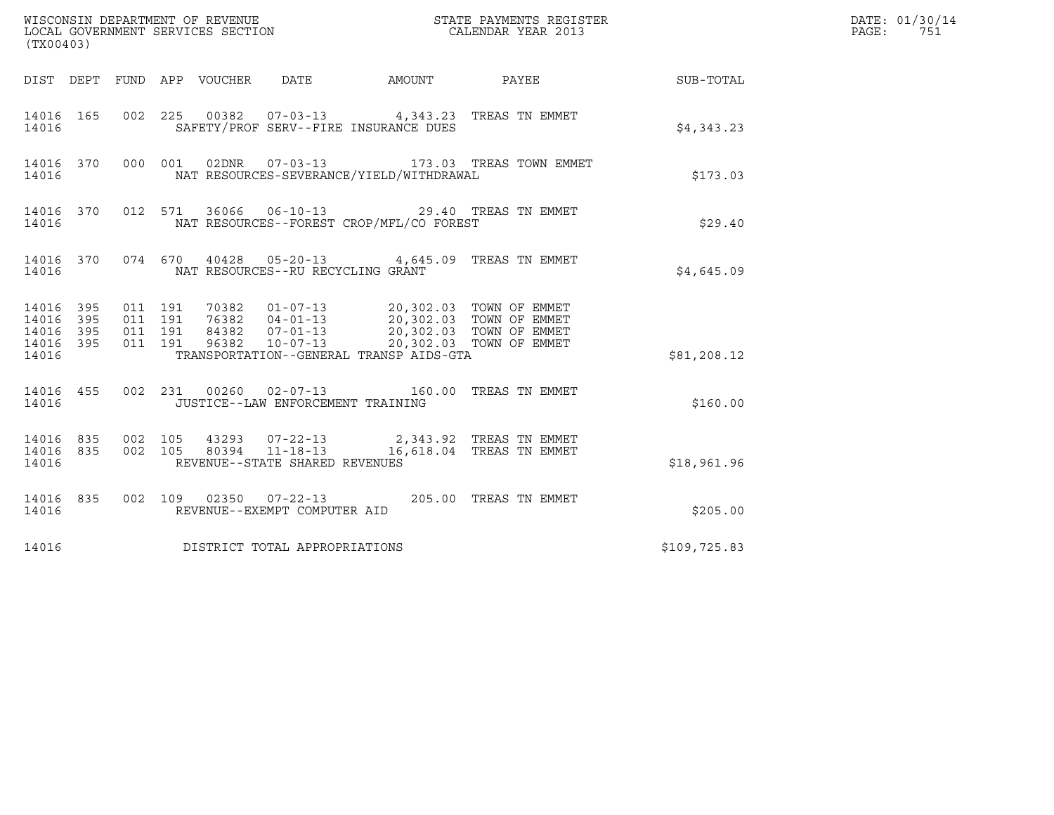| (TX00403)                                         |            |                                          |                                 |                                   |                                          |                                                                                                                                                                                              |              | DATE: 01/30/14<br>$\mathtt{PAGE:}$<br>751 |
|---------------------------------------------------|------------|------------------------------------------|---------------------------------|-----------------------------------|------------------------------------------|----------------------------------------------------------------------------------------------------------------------------------------------------------------------------------------------|--------------|-------------------------------------------|
|                                                   |            |                                          | DIST DEPT FUND APP VOUCHER DATE |                                   |                                          | AMOUNT PAYEE SUB-TOTAL                                                                                                                                                                       |              |                                           |
| 14016 165<br>14016                                |            |                                          |                                 |                                   | SAFETY/PROF SERV--FIRE INSURANCE DUES    | 002 225 00382 07-03-13 4,343.23 TREAS TN EMMET                                                                                                                                               | \$4,343.23   |                                           |
| 14016 370<br>14016                                |            |                                          |                                 |                                   | NAT RESOURCES-SEVERANCE/YIELD/WITHDRAWAL | 000 001 02DNR  07-03-13  173.03 TREAS TOWN EMMET                                                                                                                                             | \$173.03     |                                           |
| 14016 370<br>14016                                |            |                                          | 012 571                         |                                   | NAT RESOURCES--FOREST CROP/MFL/CO FOREST | 36066  06-10-13  29.40 TREAS TN EMMET                                                                                                                                                        | \$29.40      |                                           |
| 14016                                             |            |                                          |                                 | NAT RESOURCES--RU RECYCLING GRANT |                                          | 14016 370 074 670 40428 05-20-13 4,645.09 TREAS TN EMMET                                                                                                                                     | \$4,645.09   |                                           |
| 14016 395<br>14016<br>14016<br>14016 395<br>14016 | 395<br>395 | 011 191<br>011 191<br>011 191<br>011 191 |                                 |                                   | TRANSPORTATION--GENERAL TRANSP AIDS-GTA  | 70382   01-07-13   20,302.03   TOWN OF EMMET<br>76382   04-01-13   20,302.03   TOWN OF EMMET<br>84382   07-01-13   20,302.03   TOWN OF EMMET<br>96382   10-07-13   20,302.03   TOWN OF EMMET | \$81,208.12  |                                           |
| 14016                                             |            |                                          |                                 | JUSTICE--LAW ENFORCEMENT TRAINING |                                          | 14016 455 002 231 00260 02-07-13 160.00 TREAS TN EMMET                                                                                                                                       | \$160.00     |                                           |
| 14016                                             |            |                                          |                                 | REVENUE--STATE SHARED REVENUES    |                                          | $14016$ 835 002 105 43293 07-22-13 2,343.92 TREAS TN EMMET<br>14016 835 002 105 80394 11-18-13 16,618.04 TREAS TN EMMET                                                                      | \$18,961.96  |                                           |
| 14016 835<br>14016                                |            |                                          |                                 | REVENUE--EXEMPT COMPUTER AID      |                                          | 002 109 02350 07-22-13 205.00 TREAS TN EMMET                                                                                                                                                 | \$205.00     |                                           |
| 14016                                             |            |                                          |                                 | DISTRICT TOTAL APPROPRIATIONS     |                                          |                                                                                                                                                                                              | \$109,725.83 |                                           |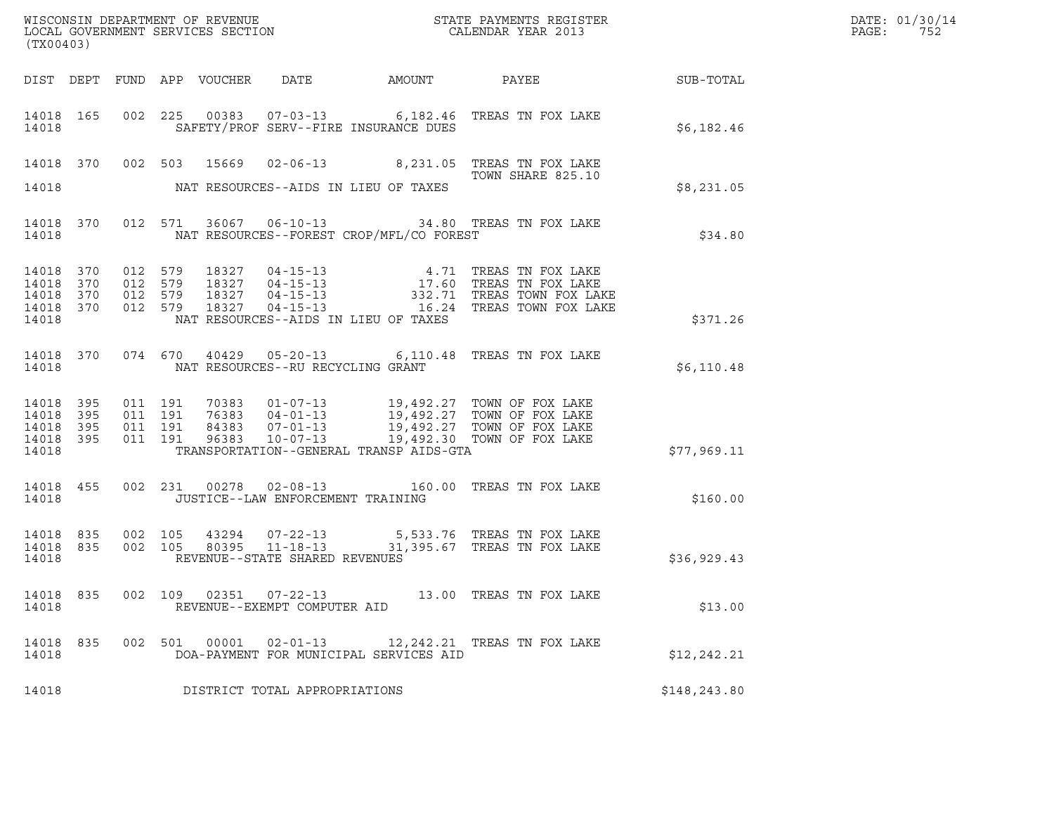| <b>SUB-TOTAL</b>                                                                                                                                                                                                                                                                                                                                 |  |
|--------------------------------------------------------------------------------------------------------------------------------------------------------------------------------------------------------------------------------------------------------------------------------------------------------------------------------------------------|--|
|                                                                                                                                                                                                                                                                                                                                                  |  |
| 14018 165 002 225 00383 07-03-13 6,182.46 TREAS TN FOX LAKE<br>14018<br>SAFETY/PROF SERV--FIRE INSURANCE DUES<br>\$6,182.46                                                                                                                                                                                                                      |  |
| 14018 370 002 503 15669 02-06-13 8,231.05 TREAS TN FOX LAKE<br>TOWN SHARE 825.10                                                                                                                                                                                                                                                                 |  |
| 14018<br>NAT RESOURCES--AIDS IN LIEU OF TAXES<br>\$8,231.05                                                                                                                                                                                                                                                                                      |  |
| 14018 370 012 571 36067 06-10-13 34.80 TREAS TN FOX LAKE<br>NAT RESOURCES--FOREST CROP/MFL/CO FOREST<br>\$34.80<br>14018                                                                                                                                                                                                                         |  |
| 012 579 18327 04-15-13 4.71 TREAS TN FOX LAKE<br>012 579 18327 04-15-13 17.60 TREAS TN FOX LAKE<br>012 579 18327 04-15-13 332.71 TREAS TOWN FOX LAKE<br>012 579 18327 04-15-13 16.24 TREAS TOWN FOX LAKE<br>14018<br>370<br>14018<br>370<br>14018<br>370<br>14018<br>370<br>14018<br>NAT RESOURCES--AIDS IN LIEU OF TAXES<br>\$371.26            |  |
| 14018 370 074 670 40429 05-20-13 6,110.48 TREAS TN FOX LAKE<br>NAT RESOURCES--RU RECYCLING GRANT<br>14018<br>\$6,110.48                                                                                                                                                                                                                          |  |
| 011 191 70383 01-07-13 19,492.27 TOWN OF FOX LAKE<br>011 191 76383 04-01-13 19,492.27 TOWN OF FOX LAKE<br>011 191 84383 07-01-13 19,492.27 TOWN OF FOX LAKE<br>011 191 96383 10-07-13 19,492.30 TOWN OF FOX LAKE<br>14018 395<br>14018<br>395<br>14018<br>395<br>14018<br>395<br>14018<br>TRANSPORTATION--GENERAL TRANSP AIDS-GTA<br>\$77,969.11 |  |
| 002 231 00278 02-08-13 160.00 TREAS TN FOX LAKE<br>14018 455<br>14018<br>JUSTICE--LAW ENFORCEMENT TRAINING<br>\$160.00                                                                                                                                                                                                                           |  |
| 14018 835<br>002   105   43294   07-22-13   5,533.76   TREAS TN FOX LAKE   002   105   80395   11-18-13   31,395.67   TREAS TN FOX LAKE<br>14018 835<br>14018<br>REVENUE--STATE SHARED REVENUES<br>\$36,929.43                                                                                                                                   |  |
| 14018 835<br>002 109 02351 07-22-13<br>13.00 TREAS TN FOX LAKE<br>14018<br>REVENUE--EXEMPT COMPUTER AID<br>\$13.00                                                                                                                                                                                                                               |  |
| 14018 835<br>002 501 00001 02-01-13<br>12,242.21 TREAS TN FOX LAKE<br>DOA-PAYMENT FOR MUNICIPAL SERVICES AID<br>14018<br>\$12, 242.21                                                                                                                                                                                                            |  |
| 14018<br>DISTRICT TOTAL APPROPRIATIONS<br>\$148,243.80                                                                                                                                                                                                                                                                                           |  |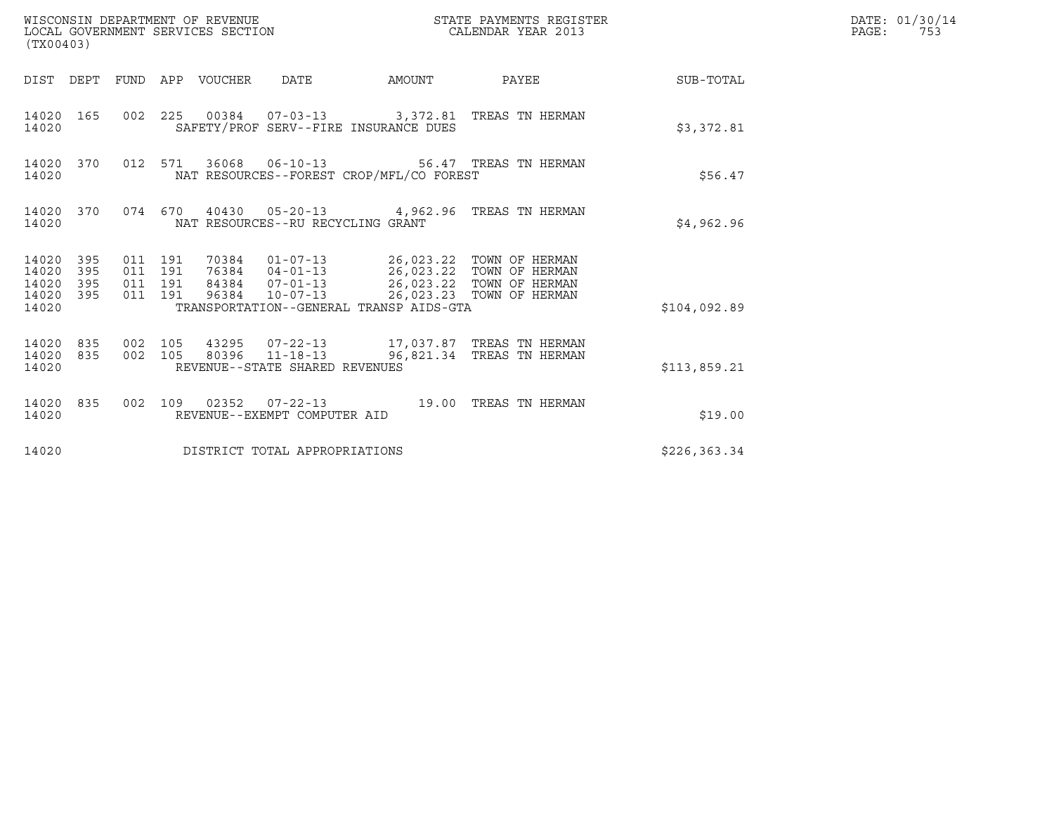| (TX00403)                                         |            |                                          | WISCONSIN DEPARTMENT OF REVENUE<br>LOCAL GOVERNMENT SERVICES SECTION |                                   |                                                                                                                                     | STATE PAYMENTS REGISTER<br>CALENDAR YEAR 2013             |                        | DATE: 01/30/14<br>PAGE:<br>753 |
|---------------------------------------------------|------------|------------------------------------------|----------------------------------------------------------------------|-----------------------------------|-------------------------------------------------------------------------------------------------------------------------------------|-----------------------------------------------------------|------------------------|--------------------------------|
|                                                   |            |                                          | DIST DEPT FUND APP VOUCHER DATE                                      |                                   |                                                                                                                                     |                                                           | AMOUNT PAYEE SUB-TOTAL |                                |
| 14020 165<br>14020                                |            |                                          |                                                                      |                                   | SAFETY/PROF SERV--FIRE INSURANCE DUES                                                                                               | 002 225 00384 07-03-13 3,372.81 TREAS TN HERMAN           | \$3,372.81             |                                |
| 14020 370<br>14020                                |            |                                          |                                                                      |                                   | NAT RESOURCES--FOREST CROP/MFL/CO FOREST                                                                                            | 012 571 36068 06-10-13 56.47 TREAS TN HERMAN              | \$56.47                |                                |
| 14020                                             |            |                                          |                                                                      | NAT RESOURCES--RU RECYCLING GRANT |                                                                                                                                     | 14020 370 074 670 40430 05-20-13 4,962.96 TREAS TN HERMAN | \$4,962.96             |                                |
| 14020 395<br>14020<br>14020<br>14020 395<br>14020 | 395<br>395 | 011 191<br>011 191<br>011 191<br>011 191 |                                                                      |                                   | 84384  07-01-13  26,023.22  TOWN OF HERMAN<br>96384  10-07-13  26,023.23  TOWN OF HERMAN<br>TRANSPORTATION--GENERAL TRANSP AIDS-GTA |                                                           | \$104,092.89           |                                |
| 14020 835<br>14020                                | 14020 835  | 002 105                                  |                                                                      | REVENUE--STATE SHARED REVENUES    |                                                                                                                                     | 002 105 80396 11-18-13 96,821.34 TREAS TN HERMAN          | \$113,859.21           |                                |
| 14020                                             | 14020 835  |                                          |                                                                      | REVENUE--EXEMPT COMPUTER AID      |                                                                                                                                     | 002 109 02352 07-22-13 19.00 TREAS TN HERMAN              | \$19.00                |                                |
| 14020                                             |            |                                          |                                                                      | DISTRICT TOTAL APPROPRIATIONS     |                                                                                                                                     |                                                           | \$226, 363.34          |                                |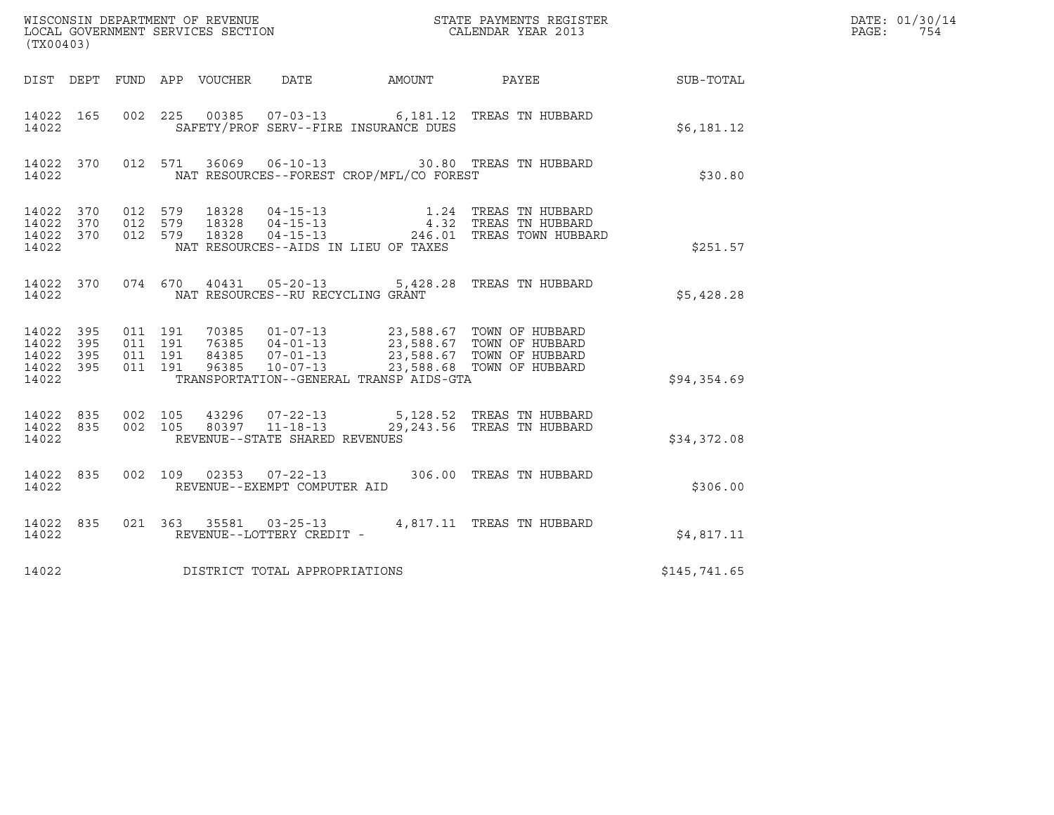| (TX00403)                                         |            |                               |                    |                                 |                                                  |                                          |                                                                                                                                                                                          |                  | DATE: 01/30/14<br>PAGE:<br>754 |
|---------------------------------------------------|------------|-------------------------------|--------------------|---------------------------------|--------------------------------------------------|------------------------------------------|------------------------------------------------------------------------------------------------------------------------------------------------------------------------------------------|------------------|--------------------------------|
|                                                   |            |                               |                    | DIST DEPT FUND APP VOUCHER DATE |                                                  | AMOUNT                                   | <b>PAYEE</b>                                                                                                                                                                             | <b>SUB-TOTAL</b> |                                |
| 14022 165<br>14022                                |            |                               | 002 225            |                                 |                                                  | SAFETY/PROF SERV--FIRE INSURANCE DUES    | 00385  07-03-13   6,181.12   TREAS TN HUBBARD                                                                                                                                            | \$6,181.12       |                                |
| 14022 370<br>14022                                |            |                               | 012 571            |                                 |                                                  | NAT RESOURCES--FOREST CROP/MFL/CO FOREST | 36069  06-10-13  30.80  TREAS TN HUBBARD                                                                                                                                                 | \$30.80          |                                |
| 14022 370<br>14022 370<br>14022 370<br>14022      |            | 012 579<br>012 579<br>012 579 |                    |                                 |                                                  | NAT RESOURCES--AIDS IN LIEU OF TAXES     | 1.24 TREAS TN HUBBARD                                                                                                                                                                    | \$251.57         |                                |
| 14022 370<br>14022                                |            |                               |                    |                                 | NAT RESOURCES--RU RECYCLING GRANT                |                                          | 074 670 40431 05-20-13 5,428.28 TREAS TN HUBBARD                                                                                                                                         | \$5,428.28       |                                |
| 14022 395<br>14022<br>14022<br>14022 395<br>14022 | 395<br>395 | 011 191<br>011 191            | 011 191<br>011 191 |                                 |                                                  | TRANSPORTATION--GENERAL TRANSP AIDS-GTA  | 70385  01-07-13  23,588.67  TOWN OF HUBBARD<br>76385  04-01-13  23,588.67  TOWN OF HUBBARD<br>84385  07-01-13  23,588.67  TOWN OF HUBBARD<br>96385  10-07-13  23,588.68  TOWN OF HUBBARD | \$94,354.69      |                                |
| 14022 835<br>14022 835<br>14022                   |            | 002 105<br>002 105            |                    |                                 | 80397 11-18-13<br>REVENUE--STATE SHARED REVENUES |                                          | 43296  07-22-13  5,128.52  TREAS TN HUBBARD<br>29,243.56 TREAS TN HUBBARD                                                                                                                | \$34,372.08      |                                |
| 14022 835<br>14022                                |            |                               |                    |                                 | REVENUE--EXEMPT COMPUTER AID                     |                                          | 002 109 02353 07-22-13 306.00 TREAS TN HUBBARD                                                                                                                                           | \$306.00         |                                |
| 14022 835<br>14022                                |            |                               |                    |                                 | REVENUE--LOTTERY CREDIT -                        |                                          | 021 363 35581 03-25-13 4,817.11 TREAS TN HUBBARD                                                                                                                                         | \$4,817.11       |                                |
| 14022                                             |            |                               |                    |                                 | DISTRICT TOTAL APPROPRIATIONS                    |                                          |                                                                                                                                                                                          | \$145,741.65     |                                |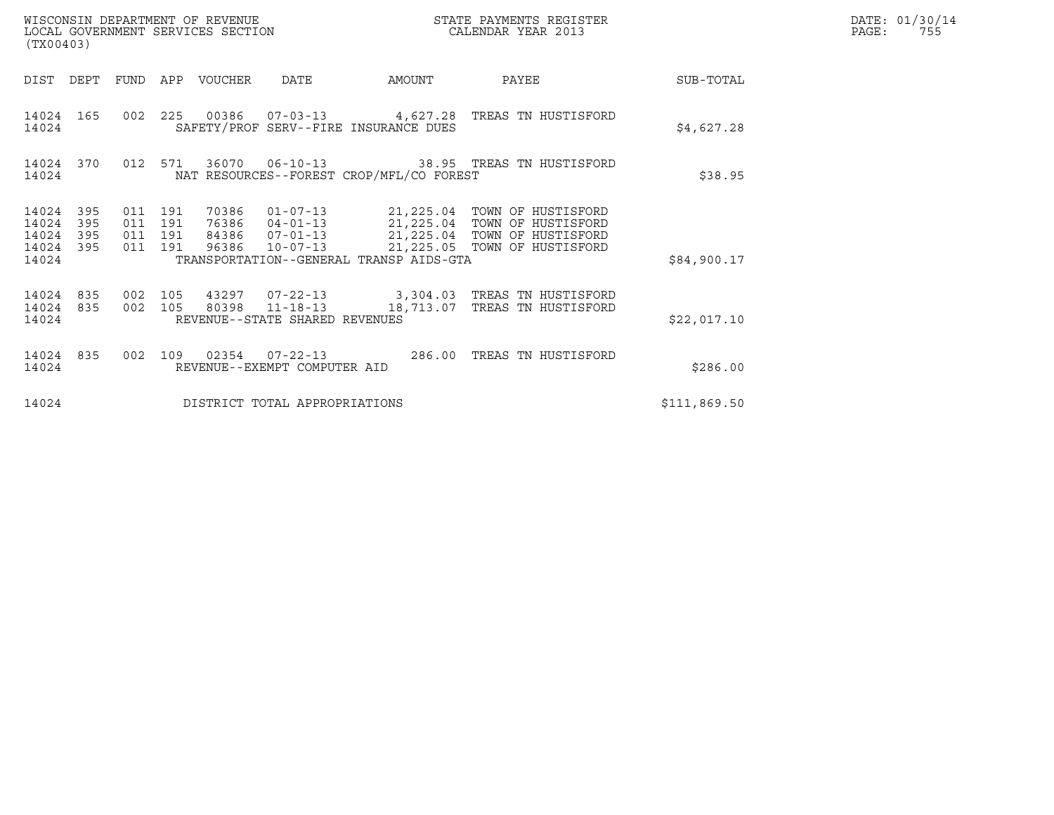| (TX00403)                                 |                          |         |                               | WISCONSIN DEPARTMENT OF REVENUE<br>LOCAL GOVERNMENT SERVICES SECTION |                                |                                          | STATE PAYMENTS REGISTER<br>CALENDAR YEAR 2013                                                                                                                                |              | DATE: 01/30/14<br>PAGE:<br>755 |
|-------------------------------------------|--------------------------|---------|-------------------------------|----------------------------------------------------------------------|--------------------------------|------------------------------------------|------------------------------------------------------------------------------------------------------------------------------------------------------------------------------|--------------|--------------------------------|
|                                           |                          |         |                               | DIST DEPT FUND APP VOUCHER DATE                                      |                                | AMOUNT                                   | PAYEE                                                                                                                                                                        | SUB-TOTAL    |                                |
| 14024                                     | 14024 165                |         |                               |                                                                      |                                | SAFETY/PROF SERV--FIRE INSURANCE DUES    | 002  225  00386  07-03-13  4,627.28  TREAS TN HUSTISFORD                                                                                                                     | \$4,627.28   |                                |
| 14024                                     | 14024 370                |         | 012 571                       |                                                                      |                                | NAT RESOURCES--FOREST CROP/MFL/CO FOREST | 36070  06-10-13  38.95  TREAS TN HUSTISFORD                                                                                                                                  | \$38.95      |                                |
| 14024<br>14024<br>14024<br>14024<br>14024 | 395<br>395<br>395<br>395 | 011 191 | 011 191<br>011 191<br>011 191 | 70386                                                                | 96386 10-07-13                 | TRANSPORTATION--GENERAL TRANSP AIDS-GTA  | 01-07-13    21,225.04 TOWN OF HUSTISFORD<br>76386  04-01-13  21,225.04  TOWN OF HUSTISFORD<br>84386  07-01-13  21,225.04  TOWN OF HUSTISFORD<br>21,225.05 TOWN OF HUSTISFORD | \$84,900.17  |                                |
| 14024<br>14024<br>14024                   | 835<br>835               | 002 105 | 002 105                       |                                                                      | REVENUE--STATE SHARED REVENUES |                                          | 80398  11-18-13  18,713.07  TREAS TN HUSTISFORD                                                                                                                              | \$22,017.10  |                                |
| 14024 835<br>14024                        |                          |         |                               |                                                                      | REVENUE--EXEMPT COMPUTER AID   |                                          | 002 109 02354 07-22-13 286.00 TREAS TN HUSTISFORD                                                                                                                            | \$286.00     |                                |
| 14024                                     |                          |         |                               |                                                                      | DISTRICT TOTAL APPROPRIATIONS  |                                          |                                                                                                                                                                              | \$111,869.50 |                                |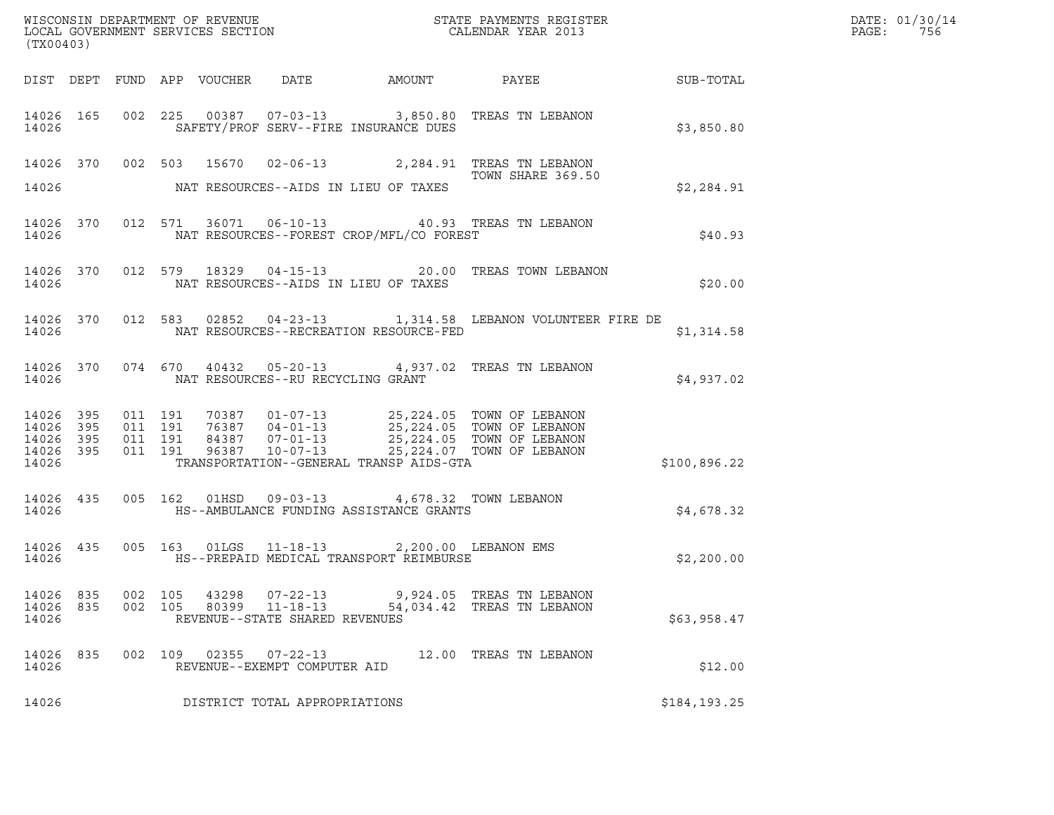| (TX00403)                   |     |                    |                |                                                                    |                                                                                                  |                                                                                                                                                                                                                                                                                                     |                                                        |  |
|-----------------------------|-----|--------------------|----------------|--------------------------------------------------------------------|--------------------------------------------------------------------------------------------------|-----------------------------------------------------------------------------------------------------------------------------------------------------------------------------------------------------------------------------------------------------------------------------------------------------|--------------------------------------------------------|--|
|                             |     |                    |                |                                                                    |                                                                                                  |                                                                                                                                                                                                                                                                                                     | DIST DEPT FUND APP VOUCHER DATE AMOUNT PAYEE SUB-TOTAL |  |
| 14026                       |     |                    |                |                                                                    | SAFETY/PROF SERV--FIRE INSURANCE DUES                                                            | 14026 165 002 225 00387 07-03-13 3,850.80 TREAS TN LEBANON                                                                                                                                                                                                                                          | \$3,850.80                                             |  |
|                             |     |                    |                |                                                                    | 14026 MAT RESOURCES--AIDS IN LIEU OF TAXES                                                       | 14026 370 002 503 15670 02-06-13 2,284.91 TREAS TN LEBANON<br>TOWN SHARE 369.50<br>TOWN SHARE 369.50                                                                                                                                                                                                | \$2,284.91                                             |  |
| 14026                       |     |                    |                |                                                                    | NAT RESOURCES--FOREST CROP/MFL/CO FOREST                                                         | 14026 370 012 571 36071 06-10-13 40.93 TREAS TN LEBANON                                                                                                                                                                                                                                             | \$40.93                                                |  |
|                             |     |                    |                |                                                                    | 14026 MAT RESOURCES--AIDS IN LIEU OF TAXES                                                       | 14026 370 012 579 18329 04-15-13 20.00 TREAS TOWN LEBANON                                                                                                                                                                                                                                           | \$20.00                                                |  |
|                             |     |                    |                |                                                                    |                                                                                                  | 14026 370 012 583 02852 04-23-13 1,314.58 LEBANON VOLUNTEER FIRE DE                                                                                                                                                                                                                                 | \$1,314.58                                             |  |
|                             |     |                    |                |                                                                    |                                                                                                  | 14026 370 074 670 40432 05-20-13 4,937.02 TREAS TN LEBANON                                                                                                                                                                                                                                          | \$4,937.02                                             |  |
| 14026                       |     |                    |                |                                                                    | TRANSPORTATION--GENERAL TRANSP AIDS-GTA                                                          | $\begin{tabular}{cccccc} 14\,026 & 395 & 011 & 191 & 70387 & 01-07-13 & 25,224.05 & TOWN OF LEBANON \\ 14\,026 & 395 & 011 & 191 & 76387 & 04-01-13 & 25,224.05 & TOWN OF LEBANON \\ 14\,026 & 395 & 011 & 191 & 84387 & 07-01-13 & 25,224.05 & TOWN OF LEBANON \\ 14\,026 & 395 & 011 & 191 & 963$ | \$100,896.22                                           |  |
|                             |     |                    |                |                                                                    | 14026 435 005 162 01HSD 09-03-13 4,678.32 TOWN LEBANON                                           |                                                                                                                                                                                                                                                                                                     | \$4,678.32                                             |  |
| 14026                       |     |                    |                |                                                                    | 14026 435 005 163 01LGS 11-18-13 2,200.00 LEBANON EMS<br>HS--PREPAID MEDICAL TRANSPORT REIMBURSE |                                                                                                                                                                                                                                                                                                     | \$2,200.00                                             |  |
| 14026 835<br>14026<br>14026 | 835 | 002 105<br>002 105 | 43298<br>80399 | $07 - 22 - 13$<br>$11 - 18 - 13$<br>REVENUE--STATE SHARED REVENUES |                                                                                                  | 9,924.05 TREAS TN LEBANON<br>54,034.42 TREAS TN LEBANON                                                                                                                                                                                                                                             | \$63,958.47                                            |  |
| 14026<br>14026              | 835 | 002 109            | 02355          | $07 - 22 - 13$<br>REVENUE--EXEMPT COMPUTER AID                     |                                                                                                  | 12.00 TREAS TN LEBANON                                                                                                                                                                                                                                                                              | \$12.00                                                |  |
| 14026                       |     |                    |                | DISTRICT TOTAL APPROPRIATIONS                                      |                                                                                                  |                                                                                                                                                                                                                                                                                                     | \$184,193.25                                           |  |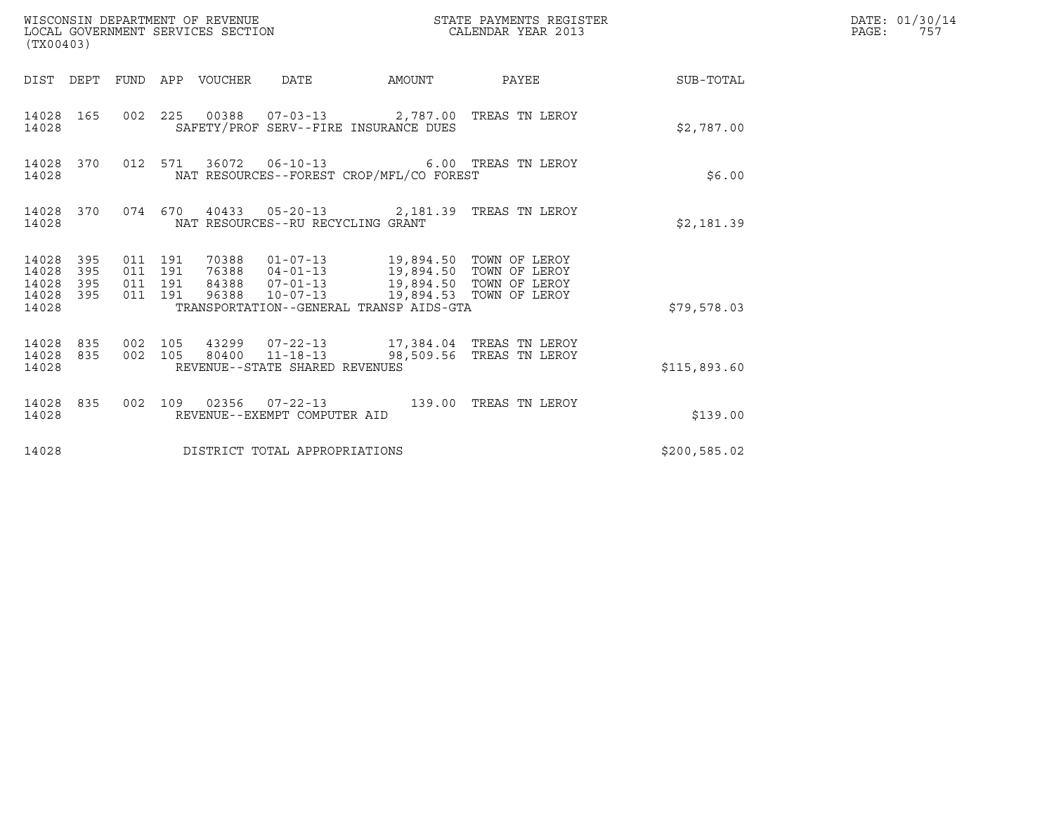| (TX00403)                                     |                   |                               |         | WISCONSIN DEPARTMENT OF REVENUE<br>LOCAL GOVERNMENT SERVICES SECTION |                                   |                                                                                                                                   | STATE PAYMENTS REGISTER<br>CALENDAR YEAR 2013 |                        | DATE: 01/30/14<br>PAGE:<br>757 |
|-----------------------------------------------|-------------------|-------------------------------|---------|----------------------------------------------------------------------|-----------------------------------|-----------------------------------------------------------------------------------------------------------------------------------|-----------------------------------------------|------------------------|--------------------------------|
|                                               |                   |                               |         | DIST DEPT FUND APP VOUCHER DATE                                      |                                   |                                                                                                                                   |                                               | AMOUNT PAYEE SUB-TOTAL |                                |
| 14028                                         | 14028 165         |                               |         |                                                                      |                                   | 002  225  00388  07-03-13  2,787.00 TREAS TN LEROY<br>SAFETY/PROF SERV--FIRE INSURANCE DUES                                       |                                               | \$2,787.00             |                                |
| 14028                                         | 14028 370         |                               |         |                                                                      |                                   | 012 571 36072 06-10-13 6.00 TREAS TN LEROY<br>NAT RESOURCES--FOREST CROP/MFL/CO FOREST                                            |                                               | \$6.00                 |                                |
| 14028                                         |                   |                               |         |                                                                      | NAT RESOURCES--RU RECYCLING GRANT | 14028 370 074 670 40433 05-20-13 2,181.39 TREAS TN LEROY                                                                          |                                               | \$2,181.39             |                                |
| 14028<br>14028<br>14028<br>14028 395<br>14028 | 395<br>395<br>395 | 011 191<br>011 191<br>011 191 | 011 191 |                                                                      |                                   | 84388  07-01-13  19,894.50  TOWN OF LEROY<br>96388  10-07-13  19,894.53  TOWN OF LEROY<br>TRANSPORTATION--GENERAL TRANSP AIDS-GTA |                                               | \$79,578.03            |                                |
| 14028 835<br>14028                            |                   | 14028 835 002 105             |         |                                                                      | REVENUE--STATE SHARED REVENUES    | 43299  07-22-13  17,384.04 TREAS TN LEROY<br>002 105 80400 11-18-13 98,509.56 TREAS TN LEROY                                      |                                               | \$115,893.60           |                                |
| 14028                                         | 14028 835         |                               |         |                                                                      | REVENUE--EXEMPT COMPUTER AID      | 002 109 02356 07-22-13 139.00 TREAS TN LEROY                                                                                      |                                               | \$139.00               |                                |
| 14028                                         |                   |                               |         |                                                                      | DISTRICT TOTAL APPROPRIATIONS     |                                                                                                                                   |                                               | \$200, 585.02          |                                |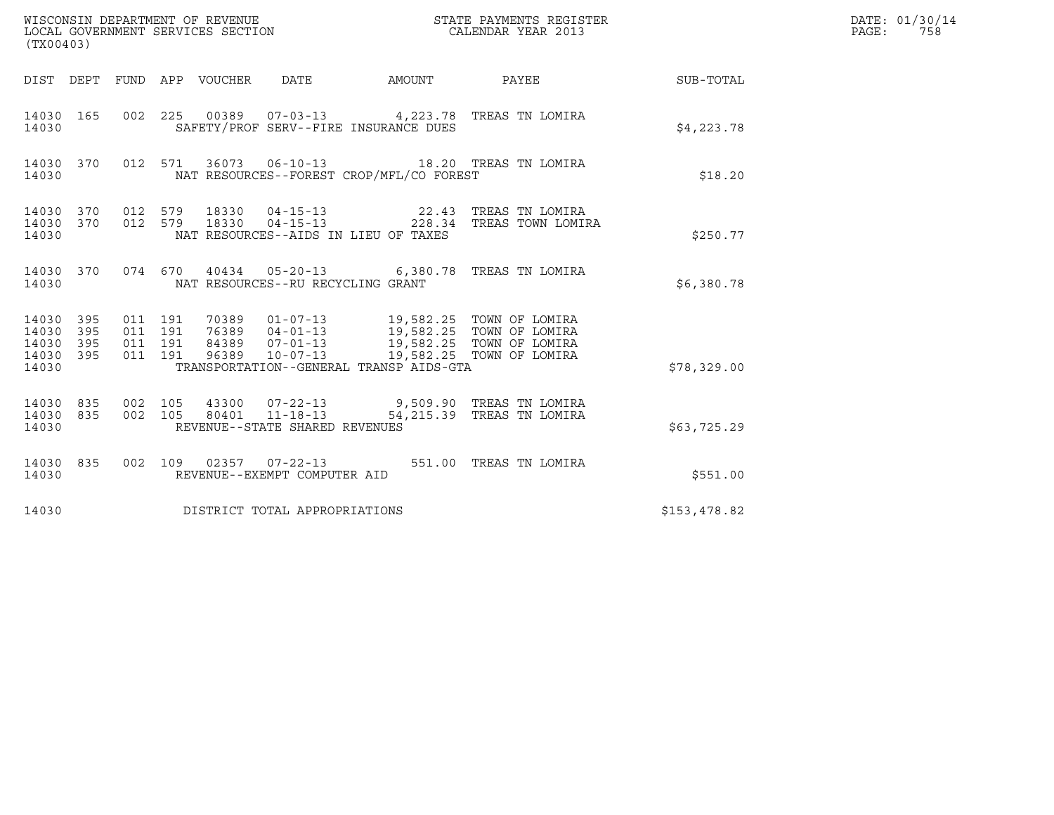| (TX00403)                                         |            |                                          |         |       | WISCONSIN DEPARTMENT OF REVENUE<br>LOCAL GOVERNMENT SERVICES SECTION<br>(TX00403) |                                                                                                                                                                                                               | STATE PAYMENTS REGISTER<br>CALENDAR YEAR 2013                                         |              | DATE: 01/30/14<br>PAGE: 758 |
|---------------------------------------------------|------------|------------------------------------------|---------|-------|-----------------------------------------------------------------------------------|---------------------------------------------------------------------------------------------------------------------------------------------------------------------------------------------------------------|---------------------------------------------------------------------------------------|--------------|-----------------------------|
|                                                   |            |                                          |         |       |                                                                                   |                                                                                                                                                                                                               | DIST DEPT FUND APP VOUCHER DATE AMOUNT PAYEE TO SUB-TOTAL                             |              |                             |
| 14030 165<br>14030                                |            |                                          |         |       |                                                                                   | SAFETY/PROF SERV--FIRE INSURANCE DUES                                                                                                                                                                         | 002 225 00389 07-03-13 4,223.78 TREAS TN LOMIRA                                       | \$4.223.78   |                             |
| 14030 370<br>14030                                |            |                                          |         |       |                                                                                   | NAT RESOURCES--FOREST CROP/MFL/CO FOREST                                                                                                                                                                      | 012 571 36073 06-10-13 18.20 TREAS TN LOMIRA                                          | \$18.20      |                             |
| 14030 370<br>14030 370<br>14030                   |            | 012 579                                  | 012 579 | 18330 |                                                                                   | NAT RESOURCES--AIDS IN LIEU OF TAXES                                                                                                                                                                          | 18330  04-15-13  22.43  TREAS TN LOMIRA<br>18330  04-15-13  228.34  TREAS TOWN LOMIRA | \$250.77     |                             |
| 14030 370<br>14030                                |            |                                          |         |       | NAT RESOURCES--RU RECYCLING GRANT                                                 |                                                                                                                                                                                                               | 074 670 40434 05-20-13 6,380.78 TREAS TN LOMIRA                                       | \$6,380.78   |                             |
| 14030 395<br>14030<br>14030<br>14030 395<br>14030 | 395<br>395 | 011 191<br>011 191<br>011 191<br>011 191 |         | 96389 | $10 - 07 - 13$                                                                    | 70389  01-07-13  19,582.25  TOWN OF LOMIRA<br>76389  04-01-13  19,582.25  TOWN OF LOMIRA<br>84389  07-01-13  19,582.25  TOWN OF LOMIRA<br>19,582.25 TOWN OF LOMIRA<br>TRANSPORTATION--GENERAL TRANSP AIDS-GTA |                                                                                       | \$78,329.00  |                             |
| 14030 835<br>14030 835<br>14030                   |            | 002 105<br>002 105                       |         |       | 80401  11-18-13<br>REVENUE--STATE SHARED REVENUES                                 |                                                                                                                                                                                                               | 43300  07-22-13  9,509.90 TREAS TN LOMIRA<br>54,215.39 TREAS TN LOMIRA                | \$63,725.29  |                             |
| 14030 835<br>14030                                |            |                                          |         |       | REVENUE--EXEMPT COMPUTER AID                                                      |                                                                                                                                                                                                               | 002 109 02357 07-22-13 551.00 TREAS TN LOMIRA                                         | \$551.00     |                             |
| 14030                                             |            |                                          |         |       | DISTRICT TOTAL APPROPRIATIONS                                                     |                                                                                                                                                                                                               |                                                                                       | \$153,478.82 |                             |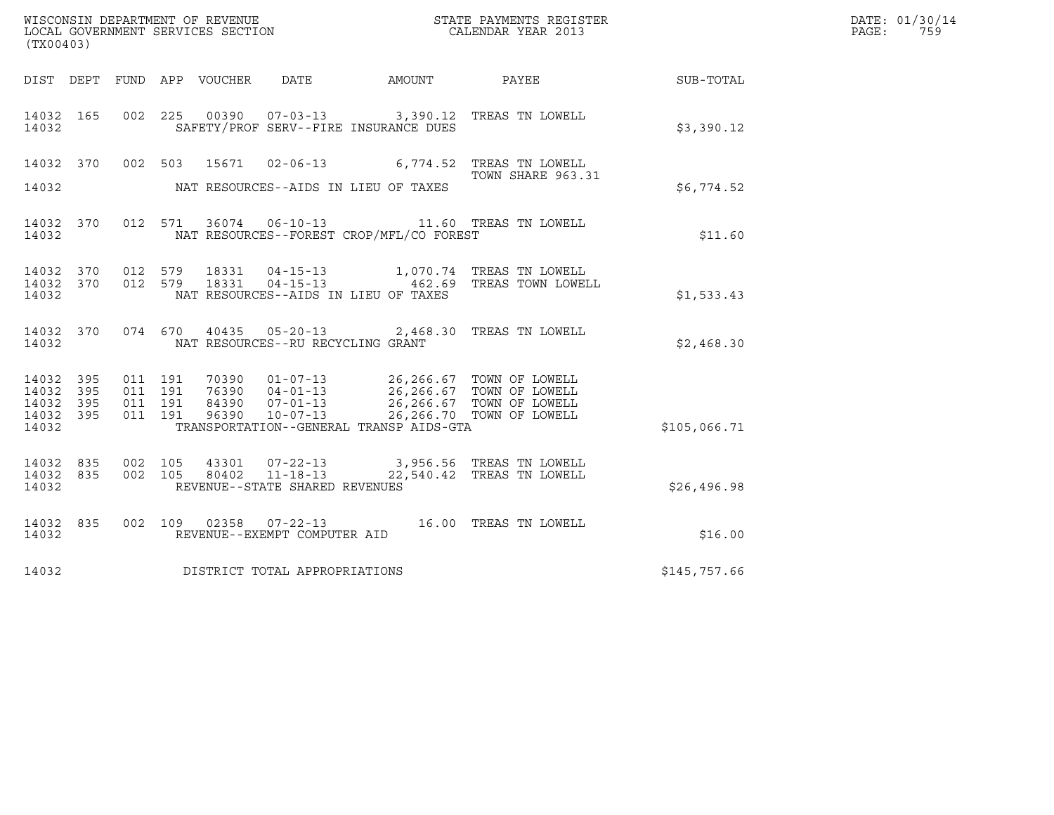| (TX00403)                                             |     |         |                               |                |                                                  |                                              | ${\tt WISCOONSIM\ DEPARTMENT\ OF\ REVENUE}\ {\tt LOCALENDAR\ VERA}$ LOCAL GOVERNMENT SERVICES SECTION ${\tt LOCALENDAR\ VERAR\ 2013}$                                    |              | DATE: 01/30/14<br>PAGE:<br>759 |
|-------------------------------------------------------|-----|---------|-------------------------------|----------------|--------------------------------------------------|----------------------------------------------|--------------------------------------------------------------------------------------------------------------------------------------------------------------------------|--------------|--------------------------------|
|                                                       |     |         |                               |                |                                                  | DIST DEPT FUND APP VOUCHER DATE AMOUNT PAYEE |                                                                                                                                                                          | SUB-TOTAL    |                                |
| 14032 165<br>14032                                    |     |         |                               |                |                                                  | SAFETY/PROF SERV--FIRE INSURANCE DUES        | 002 225 00390 07-03-13 3,390.12 TREAS TN LOWELL                                                                                                                          | \$3,390.12   |                                |
| 14032 370<br>14032                                    |     |         | 002 503                       |                |                                                  | NAT RESOURCES--AIDS IN LIEU OF TAXES         | 15671  02-06-13   6,774.52   TREAS TN LOWELL<br>TOWN SHARE 963.31                                                                                                        | \$6,774.52   |                                |
| 14032 370<br>14032                                    |     |         |                               |                |                                                  | NAT RESOURCES--FOREST CROP/MFL/CO FOREST     | 012 571 36074 06-10-13 11.60 TREAS TN LOWELL                                                                                                                             | \$11.60      |                                |
| 14032 370 012 579<br>14032 370<br>14032               |     | 012 579 |                               | 18331          | 18331  04-15-13                                  | NAT RESOURCES--AIDS IN LIEU OF TAXES         | 1,070.74 TREAS TN LOWELL<br>04-15-13 462.69 TREAS TOWN LOWELL                                                                                                            | \$1,533.43   |                                |
| 14032 370<br>14032                                    |     |         |                               |                | NAT RESOURCES--RU RECYCLING GRANT                |                                              | 074 670 40435 05-20-13 2,468.30 TREAS TN LOWELL                                                                                                                          | \$2,468.30   |                                |
| 14032 395<br>14032 395<br>14032<br>14032 395<br>14032 | 395 | 011 191 | 011 191<br>011 191<br>011 191 |                |                                                  | TRANSPORTATION--GENERAL TRANSP AIDS-GTA      | 10390 01-07-13 26,266.67 TOWN OF LOWELL<br>16390 04-01-13 26,266.67 TOWN OF LOWELL<br>84390 07-01-13 26,266.67 TOWN OF LOWELL<br>96390 10-07-13 26,266.70 TOWN OF LOWELL | \$105,066.71 |                                |
| 14032 835<br>14032 835<br>14032                       |     |         | 002 105<br>002 105            | 43301<br>80402 | $11 - 18 - 13$<br>REVENUE--STATE SHARED REVENUES |                                              | 07-22-13 3,956.56 TREAS TN LOWELL<br>22,540.42 TREAS TN LOWELL                                                                                                           | \$26,496.98  |                                |
| 14032 835<br>14032                                    |     |         |                               |                | REVENUE--EXEMPT COMPUTER AID                     |                                              | 002 109 02358 07-22-13 16.00 TREAS TN LOWELL                                                                                                                             | \$16.00      |                                |
| 14032                                                 |     |         |                               |                | DISTRICT TOTAL APPROPRIATIONS                    |                                              |                                                                                                                                                                          | \$145,757.66 |                                |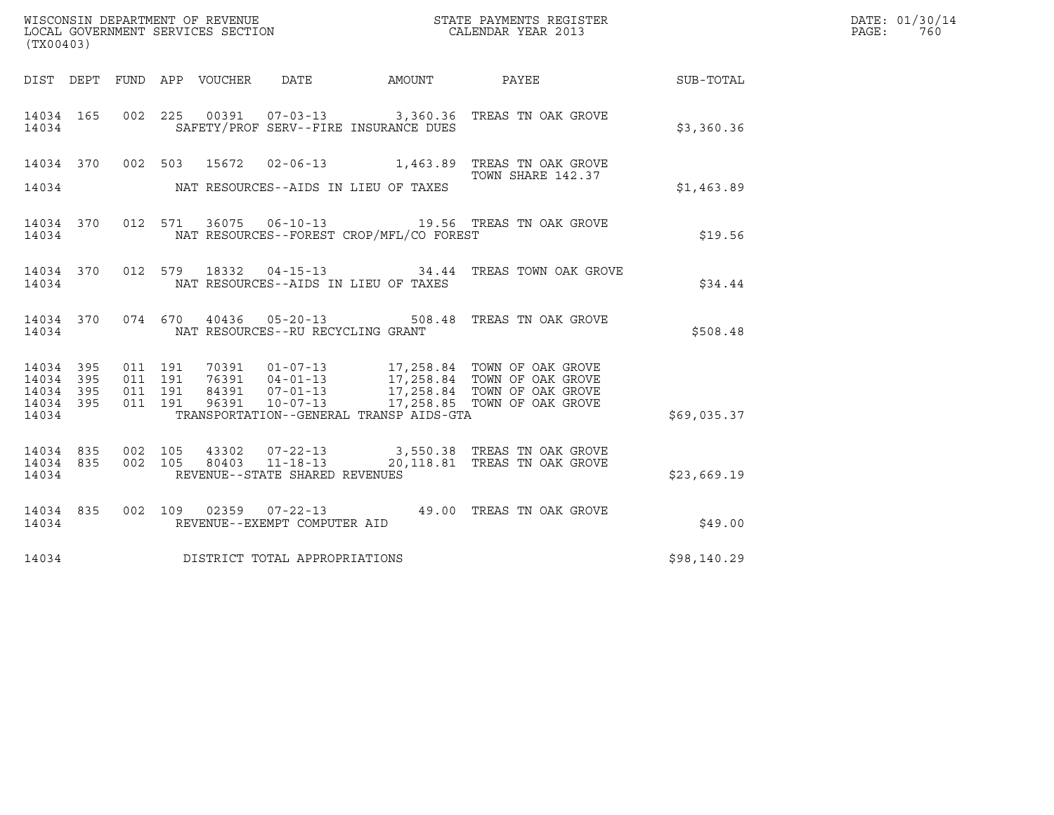| WISCONSIN DEPARTMENT OF REVENUE   | STATE PAYMENTS REGISTER | DATE: 01/30/14 |
|-----------------------------------|-------------------------|----------------|
| LOCAL GOVERNMENT SERVICES SECTION | CALENDAR YEAR 2013      | 760<br>PAGE :  |

| (TX00403) |  |  |                                      |                                                | WISCONSIN DEPARTMENT OF REVENUE<br>LOCAL GOVERNMENT SERVICES SECTION<br>CALENDAR YEAR 2013                                                                                                                                                                                                                            |             | DATE: 01/30/14<br>PAGE: 760 |
|-----------|--|--|--------------------------------------|------------------------------------------------|-----------------------------------------------------------------------------------------------------------------------------------------------------------------------------------------------------------------------------------------------------------------------------------------------------------------------|-------------|-----------------------------|
|           |  |  |                                      |                                                | DIST DEPT FUND APP VOUCHER DATE AMOUNT PAYEE PAYER SUB-TOTAL                                                                                                                                                                                                                                                          |             |                             |
|           |  |  |                                      | 14034 SAFETY/PROF SERV--FIRE INSURANCE DUES    | 14034 165 002 225 00391 07-03-13 3,360.36 TREAS TN OAK GROVE                                                                                                                                                                                                                                                          | \$3,360.36  |                             |
|           |  |  |                                      |                                                | 14034 370 002 503 15672 02-06-13 1,463.89 TREAS TN OAK GROVE<br>TOWN SHARE 142.37                                                                                                                                                                                                                                     |             |                             |
|           |  |  |                                      | 14034 NAT RESOURCES--AIDS IN LIEU OF TAXES     |                                                                                                                                                                                                                                                                                                                       | \$1,463.89  |                             |
|           |  |  |                                      | 14034 NAT RESOURCES--FOREST CROP/MFL/CO FOREST | 14034 370 012 571 36075 06-10-13 19.56 TREAS TN OAK GROVE                                                                                                                                                                                                                                                             | \$19.56     |                             |
|           |  |  |                                      | 14034 MAT RESOURCES--AIDS IN LIEU OF TAXES     | 14034 370 012 579 18332 04-15-13 34.44 TREAS TOWN OAK GROVE                                                                                                                                                                                                                                                           | \$34.44     |                             |
|           |  |  |                                      | 14034 NAT RESOURCES--RU RECYCLING GRANT        | 14034 370 074 670 40436 05-20-13 508.48 TREAS TN OAK GROVE                                                                                                                                                                                                                                                            | \$508.48    |                             |
|           |  |  |                                      |                                                | $\begin{array}{cccccccc} 14034 & 395 & 011 & 191 & 70391 & 01-07-13 & 17,258.84 & \text{TOWN OF OAK GROVE} \\ 14034 & 395 & 011 & 191 & 76391 & 04-01-13 & 17,258.84 & \text{TOWN OF OAK GROVE} \\ 14034 & 395 & 011 & 191 & 84391 & 07-01-13 & 17,258.84 & \text{TOWN OF OAK GROVE} \\ 14034 & 395 & 011 & 191 & 84$ |             |                             |
|           |  |  |                                      |                                                |                                                                                                                                                                                                                                                                                                                       |             |                             |
| 14034     |  |  |                                      |                                                | TRANSPORTATION--GENERAL TRANSP AIDS-GTA                                                                                                                                                                                                                                                                               | \$69,035.37 |                             |
|           |  |  |                                      |                                                | $\begin{array}{cccccccc} 14034 & 835 & 002 & 105 & 43302 & 07-22-13 & & 3,550.38 & \text{TREAS TN OAK GROVE} \\ 14034 & 835 & 002 & 105 & 80403 & 11-18-13 & & 20,118.81 & \text{TREAS TN OAK GROVE} \end{array}$                                                                                                     |             |                             |
|           |  |  | 14034 REVENUE--STATE SHARED REVENUES |                                                |                                                                                                                                                                                                                                                                                                                       | \$23,669.19 |                             |
|           |  |  | 14034 REVENUE--EXEMPT COMPUTER AID   |                                                | 14034 835 002 109 02359 07-22-13 49.00 TREAS TN OAK GROVE                                                                                                                                                                                                                                                             | \$49.00     |                             |
|           |  |  | 14034 DISTRICT TOTAL APPROPRIATIONS  |                                                |                                                                                                                                                                                                                                                                                                                       | \$98,140.29 |                             |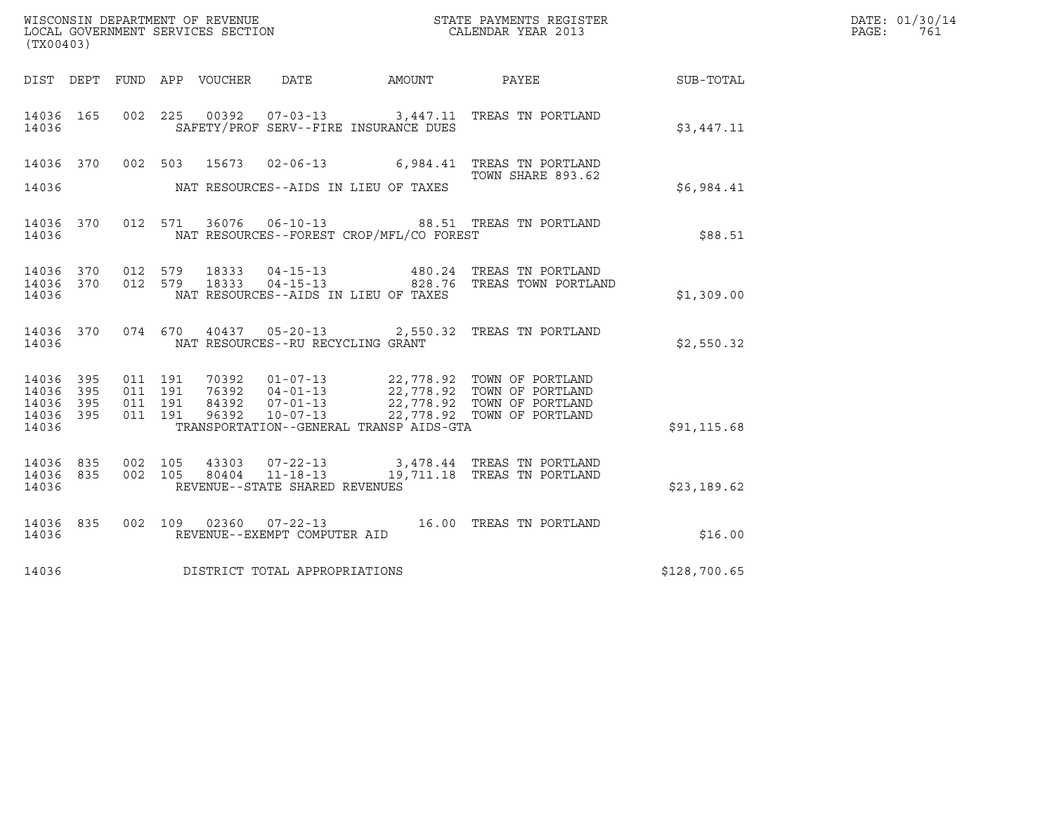|                                               |                   |                    |                    |                                 |                                                  |                                          |                                                                                                                                                                                              |              | DATE: 01/30/14 |
|-----------------------------------------------|-------------------|--------------------|--------------------|---------------------------------|--------------------------------------------------|------------------------------------------|----------------------------------------------------------------------------------------------------------------------------------------------------------------------------------------------|--------------|----------------|
| (TX00403)                                     |                   |                    |                    |                                 |                                                  |                                          |                                                                                                                                                                                              |              | PAGE:<br>761   |
|                                               |                   |                    |                    | DIST DEPT FUND APP VOUCHER DATE |                                                  | AMOUNT                                   | <b>PAYEE</b>                                                                                                                                                                                 | SUB-TOTAL    |                |
| 14036 165<br>14036                            |                   |                    |                    |                                 |                                                  | SAFETY/PROF SERV--FIRE INSURANCE DUES    | 002 225 00392 07-03-13 3,447.11 TREAS TN PORTLAND                                                                                                                                            | \$3.447.11   |                |
| 14036                                         |                   |                    |                    |                                 |                                                  | NAT RESOURCES--AIDS IN LIEU OF TAXES     | 14036 370 002 503 15673 02-06-13 6,984.41 TREAS TN PORTLAND<br>TOWN SHARE 893.62                                                                                                             | \$6,984.41   |                |
| 14036                                         |                   |                    |                    |                                 |                                                  | NAT RESOURCES--FOREST CROP/MFL/CO FOREST | 14036 370 012 571 36076 06-10-13 88.51 TREAS TN PORTLAND                                                                                                                                     | \$88.51      |                |
| 14036 370<br>14036                            |                   |                    |                    |                                 | 14036 370 012 579 18333 04-15-13                 | NAT RESOURCES--AIDS IN LIEU OF TAXES     | 480.24 TREAS TN PORTLAND<br>012 579 18333 04-15-13 828.76 TREAS TOWN PORTLAND                                                                                                                | \$1,309.00   |                |
| 14036 370<br>14036                            |                   |                    |                    |                                 | NAT RESOURCES--RU RECYCLING GRANT                |                                          | 074 670 40437 05-20-13 2,550.32 TREAS TN PORTLAND                                                                                                                                            | \$2,550.32   |                |
| 14036 395<br>14036<br>14036<br>14036<br>14036 | 395<br>395<br>395 | 011 191<br>011 191 | 011 191<br>011 191 |                                 |                                                  | TRANSPORTATION--GENERAL TRANSP AIDS-GTA  | 70392  01-07-13  22,778.92  TOWN OF PORTLAND<br>76392  04-01-13  22,778.92  TOWN OF PORTLAND<br>84392  07-01-13  22,778.92  TOWN OF PORTLAND<br>96392  10-07-13  22,778.92  TOWN OF PORTLAND | \$91, 115.68 |                |
| 14036 835<br>14036 835<br>14036               |                   | 002 105            | 002 105            | 43303<br>80404                  | $11 - 18 - 13$<br>REVENUE--STATE SHARED REVENUES |                                          | 07-22-13 3,478.44 TREAS TN PORTLAND<br>19,711.18 TREAS TN PORTLAND                                                                                                                           | \$23,189.62  |                |
| 14036 835<br>14036                            |                   |                    |                    |                                 | REVENUE--EXEMPT COMPUTER AID                     |                                          |                                                                                                                                                                                              | \$16.00      |                |
| 14036                                         |                   |                    |                    |                                 | DISTRICT TOTAL APPROPRIATIONS                    |                                          |                                                                                                                                                                                              | \$128,700.65 |                |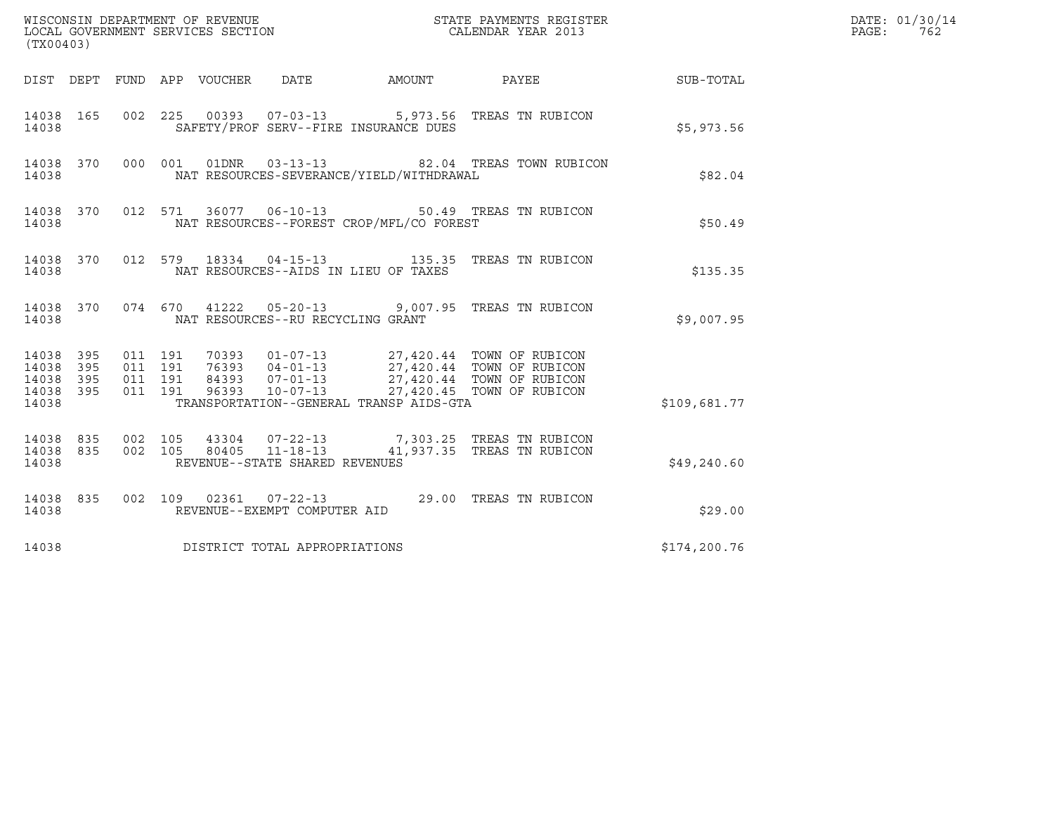| (TX00403)                                             |     |                                          |  |                                          |  |                                                                                             |              | DATE: 01/30/14<br>$\mathtt{PAGE:}$ | 762 |
|-------------------------------------------------------|-----|------------------------------------------|--|------------------------------------------|--|---------------------------------------------------------------------------------------------|--------------|------------------------------------|-----|
|                                                       |     |                                          |  |                                          |  | DIST DEPT FUND APP VOUCHER DATE AMOUNT PAYEE THE SUB-TOTAL                                  |              |                                    |     |
| 14038 165<br>14038                                    |     |                                          |  | SAFETY/PROF SERV--FIRE INSURANCE DUES    |  | 002 225 00393 07-03-13 5,973.56 TREAS TN RUBICON                                            | \$5,973.56   |                                    |     |
| 14038 370<br>14038                                    |     |                                          |  | NAT RESOURCES-SEVERANCE/YIELD/WITHDRAWAL |  | 000 001 01DNR 03-13-13 82.04 TREAS TOWN RUBICON                                             | \$82.04      |                                    |     |
| 14038                                                 |     |                                          |  | NAT RESOURCES--FOREST CROP/MFL/CO FOREST |  | 14038 370 012 571 36077 06-10-13 50.49 TREAS TN RUBICON                                     | \$50.49      |                                    |     |
| 14038                                                 |     |                                          |  | NAT RESOURCES--AIDS IN LIEU OF TAXES     |  | 14038 370 012 579 18334 04-15-13 135.35 TREAS TN RUBICON                                    | \$135.35     |                                    |     |
| 14038                                                 |     |                                          |  | NAT RESOURCES--RU RECYCLING GRANT        |  | 14038 370 074 670 41222 05-20-13 9,007.95 TREAS TN RUBICON                                  | \$9,007.95   |                                    |     |
| 14038 395<br>14038 395<br>14038<br>14038 395<br>14038 | 395 | 011 191<br>011 191<br>011 191<br>011 191 |  | TRANSPORTATION--GENERAL TRANSP AIDS-GTA  |  |                                                                                             | \$109,681.77 |                                    |     |
| 14038 835 002 105<br>14038 835<br>14038               |     | 002 105                                  |  | REVENUE--STATE SHARED REVENUES           |  | 43304  07-22-13  7,303.25  TREAS TN RUBICON<br>80405  11-18-13  41,937.35  TREAS TN RUBICON | \$49,240.60  |                                    |     |
| 14038 835<br>14038                                    |     |                                          |  | REVENUE--EXEMPT COMPUTER AID             |  | 002 109 02361 07-22-13 29.00 TREAS TN RUBICON                                               | \$29.00      |                                    |     |
| 14038                                                 |     |                                          |  | DISTRICT TOTAL APPROPRIATIONS            |  |                                                                                             | \$174,200.76 |                                    |     |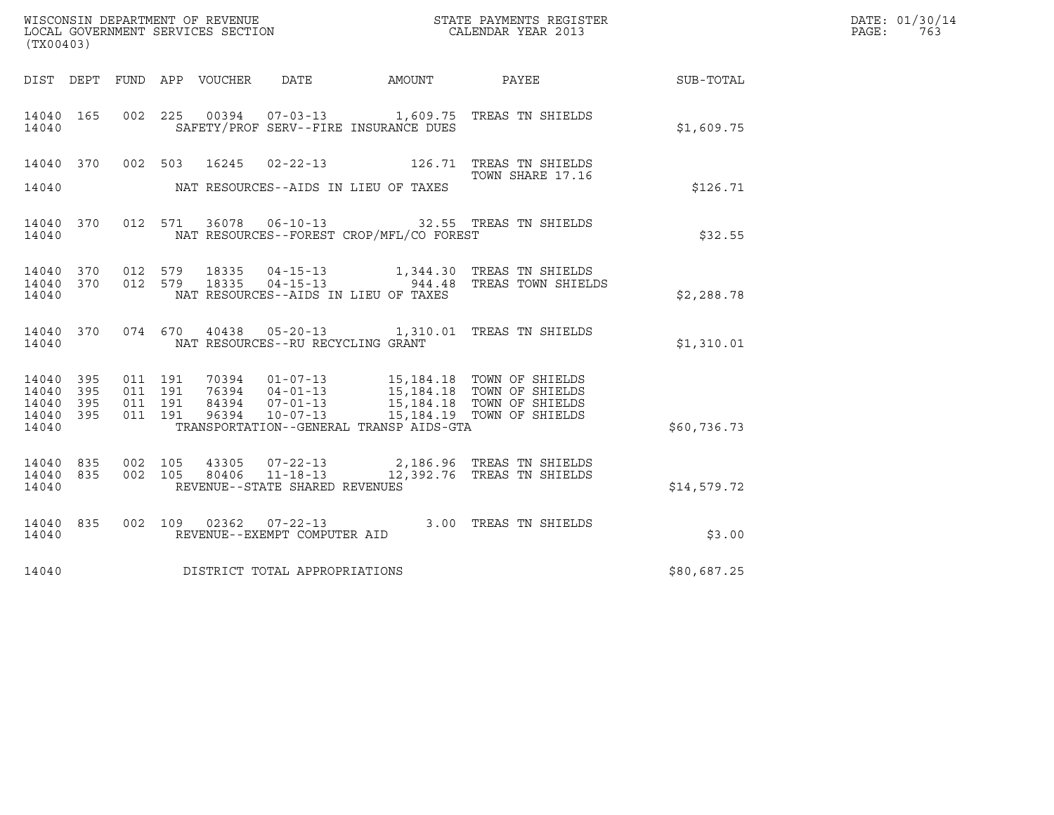| (TX00403)                                 |                            |                    |                    |                                 | WISCONSIN DEPARTMENT OF REVENUE<br>LOCAL GOVERNMENT SERVICES SECTION |                                          | STATE PAYMENTS REGISTER<br>CALENDAR YEAR 2013                                                                                                                                                        |             | DATE: 01/30/14<br>PAGE:<br>763 |
|-------------------------------------------|----------------------------|--------------------|--------------------|---------------------------------|----------------------------------------------------------------------|------------------------------------------|------------------------------------------------------------------------------------------------------------------------------------------------------------------------------------------------------|-------------|--------------------------------|
|                                           |                            |                    |                    | DIST DEPT FUND APP VOUCHER DATE |                                                                      | AMOUNT                                   | <b>PAYEE</b>                                                                                                                                                                                         | SUB-TOTAL   |                                |
| 14040 165<br>14040                        |                            |                    |                    |                                 |                                                                      | SAFETY/PROF SERV--FIRE INSURANCE DUES    | 002 225 00394 07-03-13 1,609.75 TREAS TN SHIELDS                                                                                                                                                     | \$1,609.75  |                                |
| 14040                                     |                            |                    |                    | 14040 370 002 503 16245         |                                                                      | NAT RESOURCES--AIDS IN LIEU OF TAXES     | TOWN SHARE 17.16                                                                                                                                                                                     | \$126.71    |                                |
| 14040                                     |                            |                    |                    |                                 |                                                                      | NAT RESOURCES--FOREST CROP/MFL/CO FOREST | 14040 370 012 571 36078 06-10-13 32.55 TREAS TN SHIELDS                                                                                                                                              | \$32.55     |                                |
| 14040<br>14040                            | 370                        |                    |                    |                                 | 14040 370 012 579 18335 04-15-13                                     | NAT RESOURCES--AIDS IN LIEU OF TAXES     | 1,344.30 TREAS TN SHIELDS<br>012 579 18335 04-15-13 944.48 TREAS TOWN SHIELDS                                                                                                                        | \$2,288.78  |                                |
| 14040 370<br>14040                        |                            |                    | 074 670            |                                 | NAT RESOURCES--RU RECYCLING GRANT                                    |                                          | 40438  05-20-13  1,310.01  TREAS TN SHIELDS                                                                                                                                                          | \$1,310.01  |                                |
| 14040<br>14040<br>14040<br>14040<br>14040 | - 395<br>395<br>395<br>395 | 011 191<br>011 191 | 011 191<br>011 191 |                                 |                                                                      | TRANSPORTATION--GENERAL TRANSP AIDS-GTA  | 70394   01-07-13   15,184.18   TOWN OF SHIELDS<br>76394   04-01-13   15,184.18   TOWN OF SHIELDS<br>84394   07-01-13   15,184.18   TOWN OF SHIELDS<br>96394   10-07-13   15,184.19   TOWN OF SHIELDS | \$60,736.73 |                                |
| 14040 835<br>14040<br>14040               | 835                        |                    | 002 105<br>002 105 | 43305<br>80406                  | $11 - 18 - 13$<br>REVENUE--STATE SHARED REVENUES                     |                                          | 07-22-13 2,186.96 TREAS TN SHIELDS<br>12,392.76 TREAS TN SHIELDS                                                                                                                                     | \$14,579.72 |                                |
| 14040 835<br>14040                        |                            |                    |                    |                                 | REVENUE--EXEMPT COMPUTER AID                                         |                                          | 002 109 02362 07-22-13 3.00 TREAS TN SHIELDS                                                                                                                                                         | \$3.00      |                                |
| 14040                                     |                            |                    |                    |                                 | DISTRICT TOTAL APPROPRIATIONS                                        |                                          |                                                                                                                                                                                                      | \$80,687.25 |                                |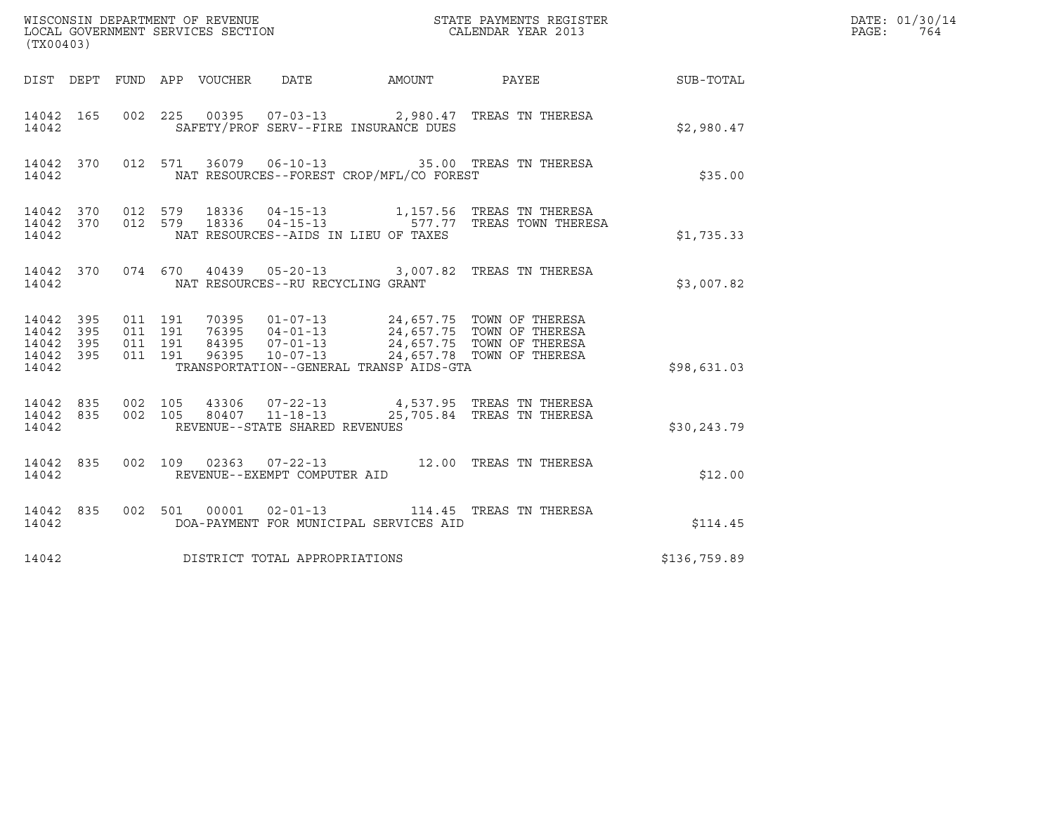| (TX00403)                                             |     |                                          |  |                                   | ${\tt WISCOONSIM} \begin{tabular}{lcccc} DEPARTMENT OF REVENUE & & & & & & \begin{tabular}{l} \bf STATE \end{tabular} \end{tabular} \begin{tabular}{lcccc} \bf RTATE \end{tabular} \end{tabular} \begin{tabular}{lcccc} \bf RTATE \end{tabular} \end{tabular} \begin{tabular}{lcccc} \bf RTATE \end{tabular} \end{tabular} \begin{tabular}{lcccc} \bf RTATE \end{tabular} \end{tabular} \begin{tabular}{lcccc} \bf RTATE \end{tabular} \end{tabular} \begin{tabular}{lcccc} \bf RTATE \end{tabular} \end{tabular} \begin{tabular}{lcccc} \bf RTATE \end{$ |                                                                                                                                                                                                               | DATE: 01/30/14<br>PAGE:<br>764 |  |
|-------------------------------------------------------|-----|------------------------------------------|--|-----------------------------------|-----------------------------------------------------------------------------------------------------------------------------------------------------------------------------------------------------------------------------------------------------------------------------------------------------------------------------------------------------------------------------------------------------------------------------------------------------------------------------------------------------------------------------------------------------------|---------------------------------------------------------------------------------------------------------------------------------------------------------------------------------------------------------------|--------------------------------|--|
|                                                       |     |                                          |  |                                   |                                                                                                                                                                                                                                                                                                                                                                                                                                                                                                                                                           | DIST DEPT FUND APP VOUCHER DATE AMOUNT PAYEE THE SUB-TOTAL                                                                                                                                                    |                                |  |
| 14042                                                 |     |                                          |  |                                   | SAFETY/PROF SERV--FIRE INSURANCE DUES                                                                                                                                                                                                                                                                                                                                                                                                                                                                                                                     | 14042 165 002 225 00395 07-03-13 2,980.47 TREAS TN THERESA                                                                                                                                                    | \$2,980.47                     |  |
| 14042                                                 |     |                                          |  |                                   | NAT RESOURCES--FOREST CROP/MFL/CO FOREST                                                                                                                                                                                                                                                                                                                                                                                                                                                                                                                  | 14042 370 012 571 36079 06-10-13 35.00 TREAS TN THERESA                                                                                                                                                       | \$35.00                        |  |
| 14042                                                 |     |                                          |  |                                   | NAT RESOURCES--AIDS IN LIEU OF TAXES                                                                                                                                                                                                                                                                                                                                                                                                                                                                                                                      | $\begin{array}{cccccccc} 14042 & 370 & 012 & 579 & 18336 & 04-15-13 & & 1,157.56 & \text{TREAS TN THERESA} \\ 14042 & 370 & 012 & 579 & 18336 & 04-15-13 & & 577.77 & \text{TREAS TOWN THERESA} \end{array}$  | \$1,735.33                     |  |
| 14042                                                 |     |                                          |  | NAT RESOURCES--RU RECYCLING GRANT |                                                                                                                                                                                                                                                                                                                                                                                                                                                                                                                                                           | 14042 370 074 670 40439 05-20-13 3,007.82 TREAS TN THERESA                                                                                                                                                    | \$3,007.82                     |  |
| 14042 395<br>14042<br>14042 395<br>14042 395<br>14042 | 395 | 011 191<br>011 191<br>011 191<br>011 191 |  |                                   | TRANSPORTATION--GENERAL TRANSP AIDS-GTA                                                                                                                                                                                                                                                                                                                                                                                                                                                                                                                   | 70395  01-07-13  24,657.75  TOWN OF THERESA<br>76395  04-01-13  24,657.75  TOWN OF THERESA<br>84395  07-01-13  24,657.75  TOWN OF THERESA<br>96395  10-07-13  24,657.78  TOWN OF THERESA                      | \$98,631.03                    |  |
| 14042                                                 |     |                                          |  | REVENUE--STATE SHARED REVENUES    |                                                                                                                                                                                                                                                                                                                                                                                                                                                                                                                                                           | $\begin{array}{cccccccc} 14042 & 835 & 002 & 105 & 43306 & 07-22-13 & & 4,537.95 & \text{TREAS TN THERESA} \\ 14042 & 835 & 002 & 105 & 80407 & 11-18-13 & & 25,705.84 & \text{TREAS TN THERESA} \end{array}$ | \$30,243.79                    |  |
| 14042                                                 |     |                                          |  | REVENUE--EXEMPT COMPUTER AID      |                                                                                                                                                                                                                                                                                                                                                                                                                                                                                                                                                           | 14042 835 002 109 02363 07-22-13 12.00 TREAS TN THERESA                                                                                                                                                       | \$12.00                        |  |
| 14042                                                 |     |                                          |  |                                   | DOA-PAYMENT FOR MUNICIPAL SERVICES AID                                                                                                                                                                                                                                                                                                                                                                                                                                                                                                                    | 14042 835 002 501 00001 02-01-13 114.45 TREAS TN THERESA                                                                                                                                                      | \$114.45                       |  |
| 14042                                                 |     |                                          |  | DISTRICT TOTAL APPROPRIATIONS     |                                                                                                                                                                                                                                                                                                                                                                                                                                                                                                                                                           |                                                                                                                                                                                                               | \$136,759.89                   |  |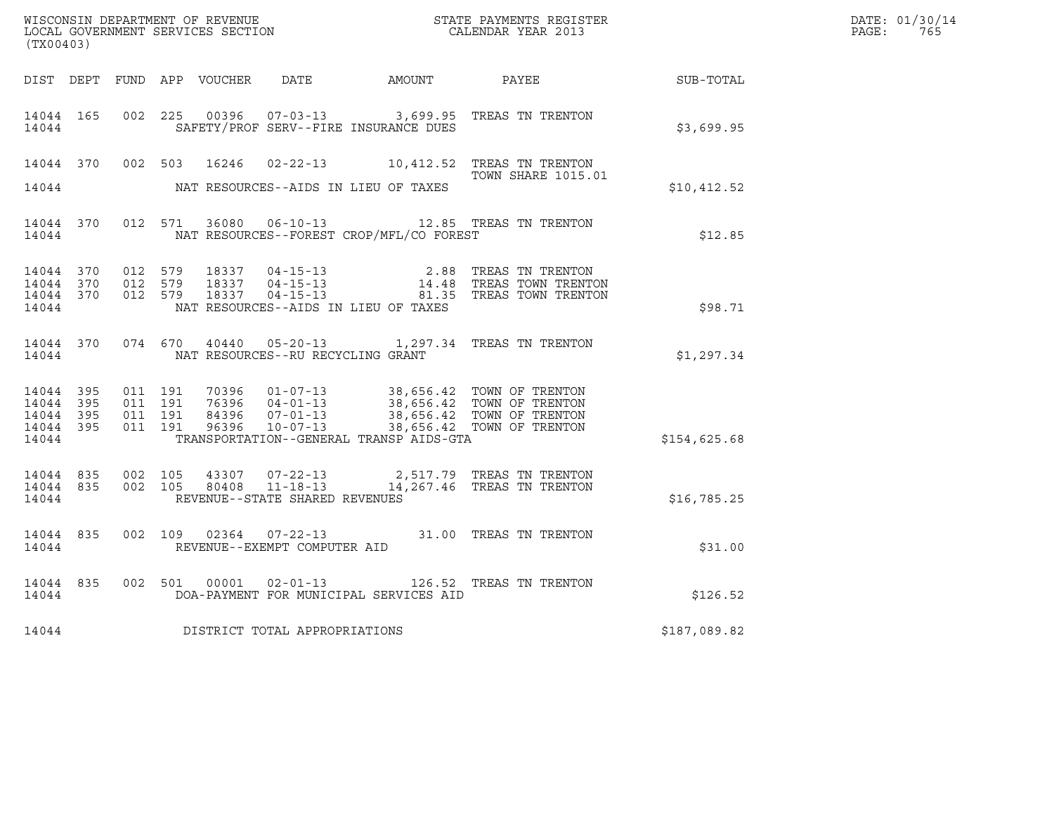| (TX00403)                                                 |                                         |                               |       |                                                   |                                          | $\tt WISCONSIM DEPARTMENT OF REVENUE$ $\tt TOCAL EONDRNENTS REGISTER$<br>LOCAL GOVERNMENT SERVICES SECTION<br>$\tt CALENDAR YEAR$<br>2013 |              | DATE: 01/30/14<br>PAGE: 765 |
|-----------------------------------------------------------|-----------------------------------------|-------------------------------|-------|---------------------------------------------------|------------------------------------------|-------------------------------------------------------------------------------------------------------------------------------------------|--------------|-----------------------------|
|                                                           |                                         |                               |       |                                                   |                                          | DIST DEPT FUND APP VOUCHER DATE AMOUNT PAYEE THE SUB-TOTAL                                                                                |              |                             |
| 14044 165<br>14044                                        | 002 225                                 |                               |       |                                                   | SAFETY/PROF SERV--FIRE INSURANCE DUES    | 00396  07-03-13  3,699.95  TREAS TN TRENTON                                                                                               | \$3,699.95   |                             |
|                                                           | 14044 370 002 503                       |                               | 16246 |                                                   |                                          | 02-22-13 10,412.52 TREAS TN TRENTON<br><b>TOWN SHARE 1015.01</b>                                                                          |              |                             |
| 14044                                                     |                                         |                               |       |                                                   | NAT RESOURCES--AIDS IN LIEU OF TAXES     |                                                                                                                                           | \$10,412.52  |                             |
| 14044 370<br>14044                                        |                                         | 012 571                       |       |                                                   | NAT RESOURCES--FOREST CROP/MFL/CO FOREST | 36080  06-10-13  12.85  TREAS TN TRENTON                                                                                                  | \$12.85      |                             |
| 14044 370<br>14044 370<br>14044                           | 14044 370 012 579<br>012 579<br>012 579 |                               |       |                                                   | NAT RESOURCES--AIDS IN LIEU OF TAXES     | 18337  04-15-13  2.88  TREAS TN TRENTON<br>18337  04-15-13  14.48  TREAS TOWN TRENTON<br>18337  04-15-13  81.35  TREAS TOWN TRENTON       | \$98.71      |                             |
| 14044                                                     |                                         |                               |       | NAT RESOURCES--RU RECYCLING GRANT                 |                                          | 14044 370 074 670 40440 05-20-13 1,297.34 TREAS TN TRENTON                                                                                | \$1,297.34   |                             |
| 14044 395<br>14044 395<br>14044 395<br>14044 395<br>14044 | 011 191                                 | 011 191<br>011 191<br>011 191 |       |                                                   | TRANSPORTATION--GENERAL TRANSP AIDS-GTA  |                                                                                                                                           | \$154,625.68 |                             |
| 14044 835<br>14044 835<br>14044                           | 002 105                                 | 002 105                       |       | 80408  11-18-13<br>REVENUE--STATE SHARED REVENUES |                                          | 43307 07-22-13 2,517.79 TREAS TN TRENTON<br>14,267.46 TREAS TN TRENTON                                                                    | \$16,785.25  |                             |
| 14044 835<br>14044                                        |                                         |                               |       | REVENUE--EXEMPT COMPUTER AID                      |                                          | 002 109 02364 07-22-13 31.00 TREAS TN TRENTON                                                                                             | \$31.00      |                             |
| 14044 835<br>14044                                        |                                         | 002 501                       |       |                                                   | DOA-PAYMENT FOR MUNICIPAL SERVICES AID   | 00001  02-01-13  126.52  TREAS TN TRENTON                                                                                                 | \$126.52     |                             |
| 14044                                                     |                                         |                               |       | DISTRICT TOTAL APPROPRIATIONS                     |                                          |                                                                                                                                           | \$187,089.82 |                             |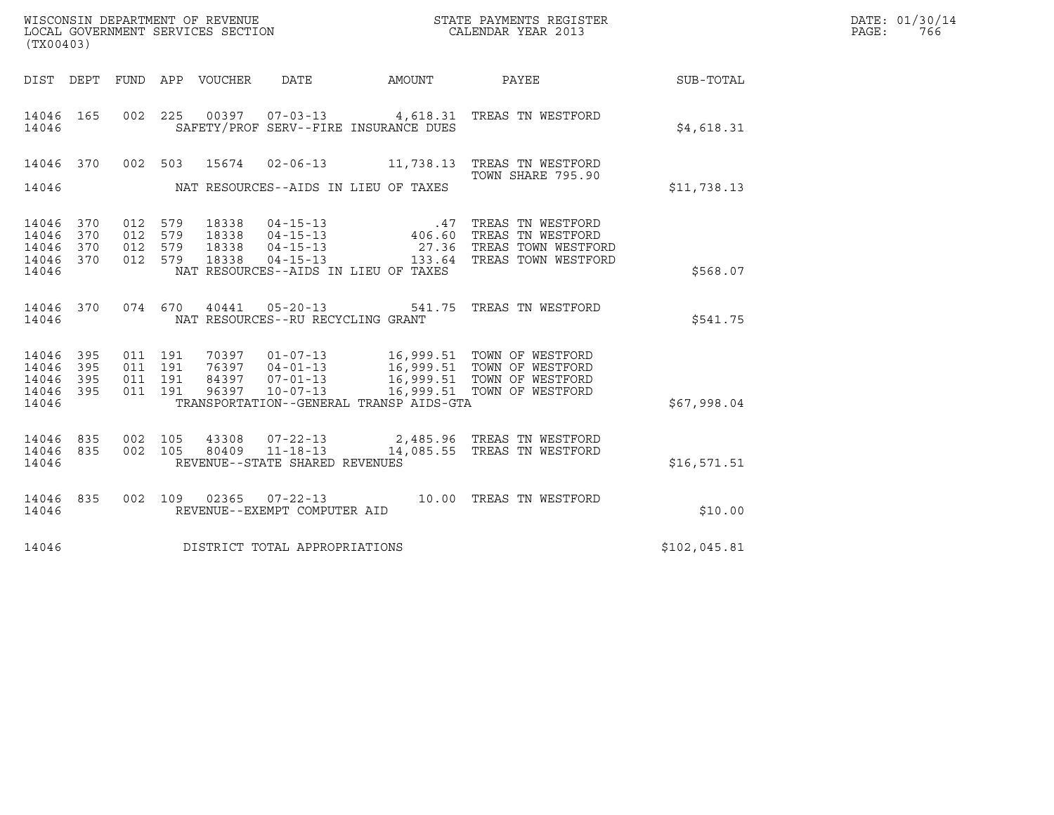| WISCONSIN DEPARTMENT OF REVENUE   | STATE PAYMENTS REGISTER | DATE: 01/30/14 |
|-----------------------------------|-------------------------|----------------|
| LOCAL GOVERNMENT SERVICES SECTION | CALENDAR YEAR 2013      | 766<br>PAGE :  |

| (TX00403)                                         |                   |                                          |               |                                   |                                         | WISCONSIN DEPARTMENT OF REVENUE<br>LOCAL GOVERNMENT SERVICES SECTION<br>CALENDAR YEAR 2013                                                                                          |              | DATE: 01/30/14<br>PAGE:<br>766 |
|---------------------------------------------------|-------------------|------------------------------------------|---------------|-----------------------------------|-----------------------------------------|-------------------------------------------------------------------------------------------------------------------------------------------------------------------------------------|--------------|--------------------------------|
|                                                   |                   |                                          |               |                                   | DIST DEPT FUND APP VOUCHER DATE AMOUNT  | PAYEE                                                                                                                                                                               | SUB-TOTAL    |                                |
| 14046 165<br>14046                                |                   |                                          |               |                                   | SAFETY/PROF SERV--FIRE INSURANCE DUES   | 002 225 00397 07-03-13 4,618.31 TREAS TN WESTFORD                                                                                                                                   | \$4,618.31   |                                |
|                                                   | 14046 370         |                                          | 002 503 15674 |                                   |                                         | 02-06-13 11,738.13 TREAS TN WESTFORD<br>TOWN SHARE 795.90                                                                                                                           |              |                                |
| 14046                                             |                   |                                          |               |                                   | NAT RESOURCES--AIDS IN LIEU OF TAXES    |                                                                                                                                                                                     | \$11,738.13  |                                |
| 14046<br>14046<br>14046<br>14046 370              | 370<br>370<br>370 | 012 579<br>012 579<br>012 579<br>012 579 |               |                                   |                                         |                                                                                                                                                                                     |              |                                |
| 14046                                             |                   |                                          |               |                                   | NAT RESOURCES--AIDS IN LIEU OF TAXES    |                                                                                                                                                                                     | \$568.07     |                                |
| 14046                                             | 14046 370         |                                          |               | NAT RESOURCES--RU RECYCLING GRANT |                                         | 074  670  40441  05-20-13  541.75  TREAS TN WESTFORD                                                                                                                                | \$541.75     |                                |
| 14046<br>14046<br>14046 395<br>14046 395<br>14046 | 395<br>395        | 011 191<br>011 191<br>011 191<br>011 191 | 70397         |                                   | TRANSPORTATION--GENERAL TRANSP AIDS-GTA | 01-07-13 16,999.51 TOWN OF WESTFORD<br>76397  04-01-13  16,999.51  TOWN OF WESTFORD<br>84397  07-01-13  16,999.51  TOWN OF WESTFORD<br>96397  10-07-13  16,999.51  TOWN OF WESTFORD | \$67,998.04  |                                |
| 14046<br>14046 835<br>14046                       | 835               | 002 105                                  | 43308         | REVENUE--STATE SHARED REVENUES    |                                         | 07-22-13 2,485.96 TREAS TN WESTFORD<br>002 105 80409 11-18-13 14,085.55 TREAS TN WESTFORD                                                                                           | \$16,571.51  |                                |
| 14046<br>14046                                    | 835               |                                          |               | REVENUE--EXEMPT COMPUTER AID      |                                         | 002 109 02365 07-22-13 10.00 TREAS TN WESTFORD                                                                                                                                      | \$10.00      |                                |
| 14046                                             |                   |                                          |               | DISTRICT TOTAL APPROPRIATIONS     |                                         |                                                                                                                                                                                     | \$102,045.81 |                                |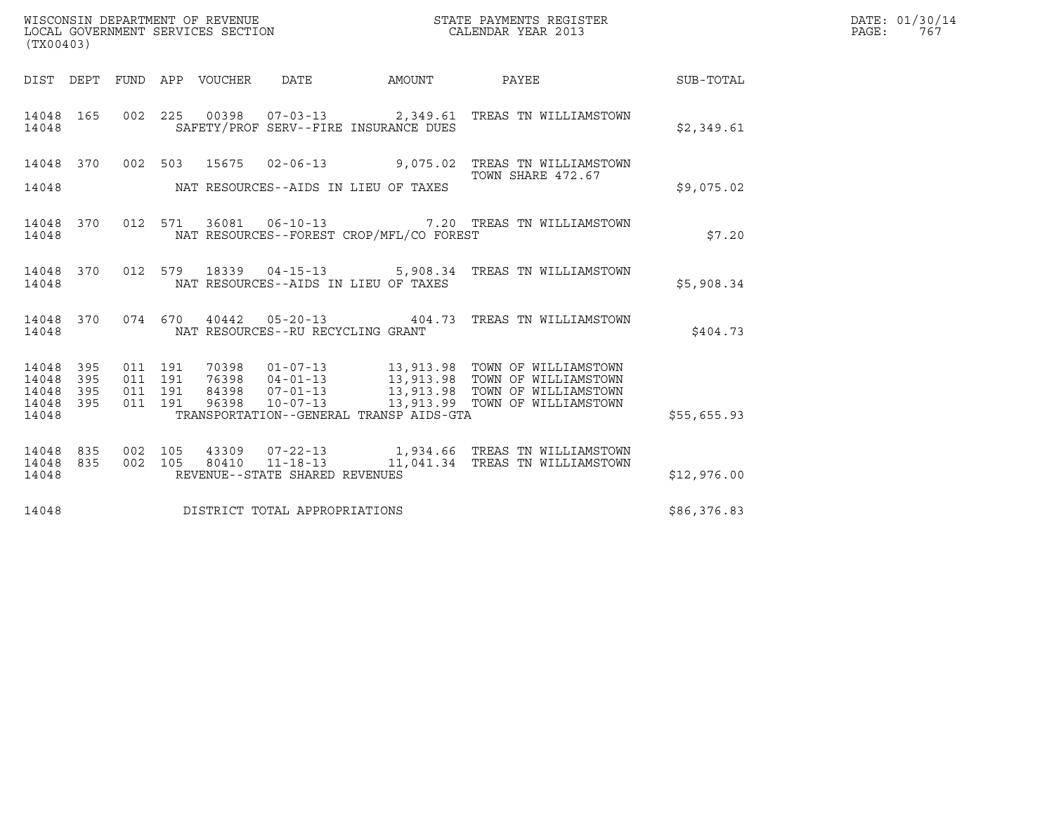| (TX00403)                                 |                          |  |                                 | WISCONSIN DEPARTMENT OF REVENUE<br>LOCAL GOVERNMENT SERVICES SECTION |                                          | STATE PAYMENTS REGISTER<br>CALENDAR YEAR 2013                                                                                                                                                                                    |                  | DATE: 01/30/14<br>PAGE: 767 |
|-------------------------------------------|--------------------------|--|---------------------------------|----------------------------------------------------------------------|------------------------------------------|----------------------------------------------------------------------------------------------------------------------------------------------------------------------------------------------------------------------------------|------------------|-----------------------------|
|                                           |                          |  | DIST DEPT FUND APP VOUCHER DATE |                                                                      | AMOUNT                                   | PAYEE                                                                                                                                                                                                                            | <b>SUB-TOTAL</b> |                             |
| 14048                                     |                          |  |                                 |                                                                      | SAFETY/PROF SERV--FIRE INSURANCE DUES    | 14048 165 002 225 00398 07-03-13 2,349.61 TREAS TN WILLIAMSTOWN                                                                                                                                                                  | \$2,349.61       |                             |
| 14048                                     |                          |  |                                 |                                                                      | NAT RESOURCES--AIDS IN LIEU OF TAXES     | 14048 370 002 503 15675 02-06-13 9,075.02 TREAS TN WILLIAMSTOWN<br>TOWN SHARE 472.67                                                                                                                                             | \$9,075.02       |                             |
| 14048                                     |                          |  |                                 |                                                                      | NAT RESOURCES--FOREST CROP/MFL/CO FOREST | 14048 370 012 571 36081 06-10-13  7.20 TREAS TN WILLIAMSTOWN                                                                                                                                                                     | \$7.20           |                             |
| 14048                                     |                          |  |                                 |                                                                      | NAT RESOURCES--AIDS IN LIEU OF TAXES     | 14048 370  012 579  18339  04-15-13      5,908.34  TREAS TN WILLIAMSTOWN                                                                                                                                                         | \$5,908.34       |                             |
| 14048                                     |                          |  |                                 | NAT RESOURCES--RU RECYCLING GRANT                                    |                                          | 14048 370 074 670 40442 05-20-13 404.73 TREAS TN WILLIAMSTOWN                                                                                                                                                                    | \$404.73         |                             |
| 14048<br>14048<br>14048<br>14048<br>14048 | 395<br>395<br>395<br>395 |  |                                 |                                                                      | TRANSPORTATION--GENERAL TRANSP AIDS-GTA  | 011 191 70398 01-07-13 13,913.98 TOWN OF WILLIAMSTOWN<br>011 191 76398 04-01-13 13,913.98 TOWN OF WILLIAMSTOWN<br>011 191 84398 07-01-13 13,913.98 TOWN OF WILLIAMSTOWN<br>011 191 96398 10-07-13 13,913.99 TOWN OF WILLIAMSTOWN | \$55,655.93      |                             |
| 14048<br>14048<br>14048                   |                          |  |                                 | REVENUE--STATE SHARED REVENUES                                       |                                          | 835 002 105 43309 07-22-13 1,934.66 TREAS TN WILLIAMSTOWN<br>835 002 105 80410 11-18-13 11,041.34 TREAS TN WILLIAMSTOWN                                                                                                          | \$12,976.00      |                             |
| 14048                                     |                          |  |                                 | DISTRICT TOTAL APPROPRIATIONS                                        |                                          |                                                                                                                                                                                                                                  | \$86,376.83      |                             |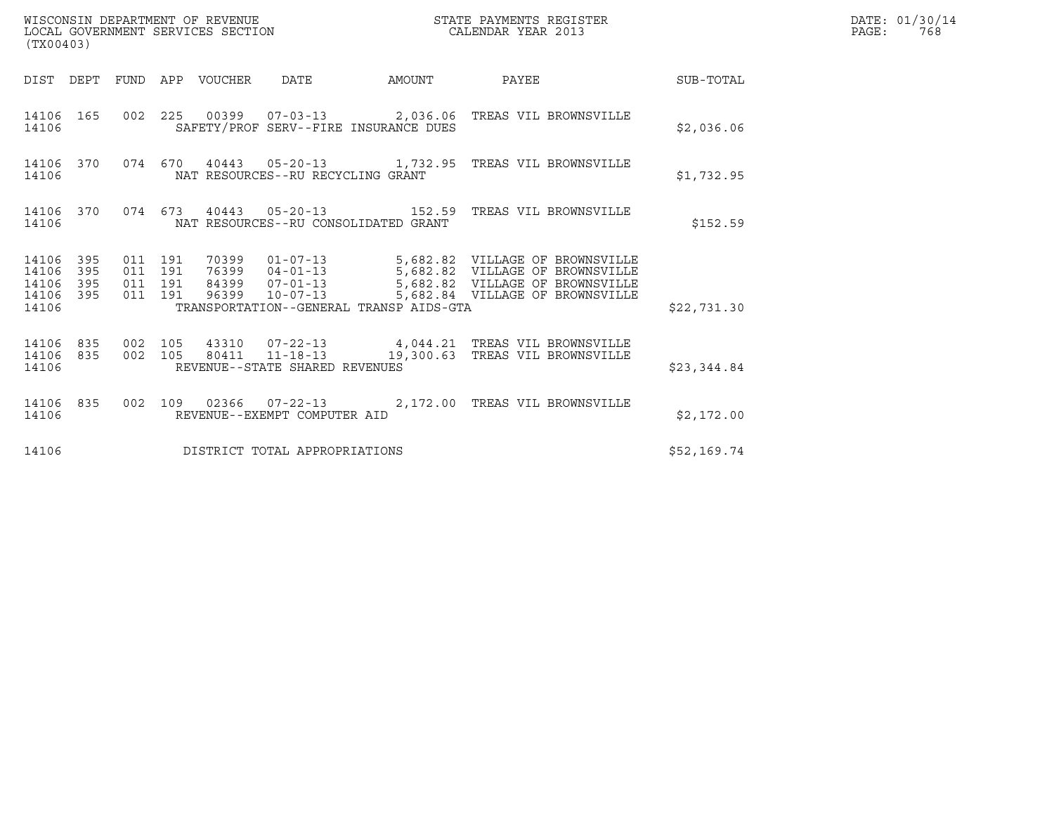| (TX00403)                            |                         |                               |         |                                 |                                         |                                                                                                      |             | DATE: 01/30/14<br>$\mathtt{PAGE}$ :<br>768 |
|--------------------------------------|-------------------------|-------------------------------|---------|---------------------------------|-----------------------------------------|------------------------------------------------------------------------------------------------------|-------------|--------------------------------------------|
|                                      |                         |                               |         | DIST DEPT FUND APP VOUCHER DATE | AMOUNT                                  | PAYEE                                                                                                | SUB-TOTAL   |                                            |
| 14106                                |                         |                               |         |                                 | SAFETY/PROF SERV--FIRE INSURANCE DUES   | 14106  165  002  225  00399  07-03-13  2,036.06  TREAS VIL BROWNSVILLE                               | \$2,036.06  |                                            |
| 14106                                |                         |                               |         |                                 | NAT RESOURCES--RU RECYCLING GRANT       | 14106 370 074 670 40443 05-20-13 1,732.95 TREAS VIL BROWNSVILLE                                      | \$1,732.95  |                                            |
| 14106                                |                         |                               |         |                                 | NAT RESOURCES--RU CONSOLIDATED GRANT    | 14106 370 074 673 40443 05-20-13 152.59 TREAS VIL BROWNSVILLE                                        | \$152.59    |                                            |
| 14106 395<br>14106<br>14106<br>14106 | 395<br>395<br>14106 395 | 011 191<br>011 191<br>011 191 | 011 191 |                                 | TRANSPORTATION--GENERAL TRANSP AIDS-GTA |                                                                                                      | \$22,731.30 |                                            |
| 14106<br>14106                       | 835                     | 14106 835 002 105<br>002 105  |         |                                 | REVENUE--STATE SHARED REVENUES          | 43310  07-22-13  4,044.21 TREAS VIL BROWNSVILLE<br>80411  11-18-13  19,300.63  TREAS VIL BROWNSVILLE | \$23,344.84 |                                            |
| 14106                                | 14106 835               |                               |         |                                 | REVENUE--EXEMPT COMPUTER AID            | 002 109 02366 07-22-13 2,172.00 TREAS VIL BROWNSVILLE                                                | \$2,172.00  |                                            |
| 14106                                |                         |                               |         |                                 | DISTRICT TOTAL APPROPRIATIONS           |                                                                                                      | \$52,169.74 |                                            |

WISCONSIN DEPARTMENT OF REVENUE<br>LOCAL GOVERNMENT SERVICES SECTION STATE PAYMENTS REGISTER SECONDER STATE PASSES OF SAMENTS REGISTER<br>DOCAL GOVERNMENT SERVICES SECTION SECONDER SERVICES OF SECONDAR YEAR 2013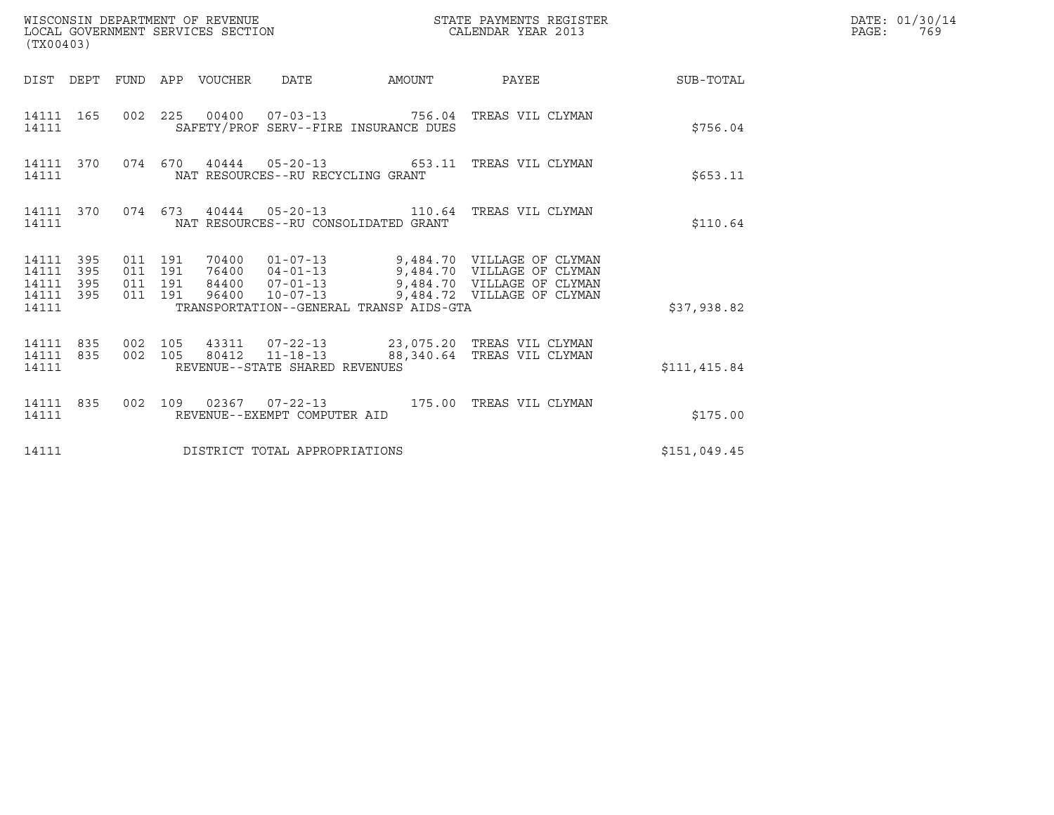| (TX00403)                                                       | WISCONSIN DEPARTMENT OF REVENUE<br>LOCAL GOVERNMENT SERVICES SECTION                                                                                                                                                                                                                | STATE PAYMENTS REGISTER<br>CALENDAR YEAR 2013 |              | DATE: 01/30/14<br>$\mathtt{PAGE:}$<br>769 |
|-----------------------------------------------------------------|-------------------------------------------------------------------------------------------------------------------------------------------------------------------------------------------------------------------------------------------------------------------------------------|-----------------------------------------------|--------------|-------------------------------------------|
|                                                                 | DIST DEPT FUND APP VOUCHER DATE                                                                                                                                                                                                                                                     | AMOUNT PAYEE SUB-TOTAL                        |              |                                           |
| 14111 165<br>14111                                              | 002 225 00400 07-03-13 756.04 TREAS VIL CLYMAN<br>SAFETY/PROF SERV--FIRE INSURANCE DUES                                                                                                                                                                                             |                                               | \$756.04     |                                           |
| 14111 370<br>14111                                              | 074 670 40444 05-20-13 653.11 TREAS VIL CLYMAN<br>NAT RESOURCES--RU RECYCLING GRANT                                                                                                                                                                                                 |                                               | \$653.11     |                                           |
| 14111 370<br>14111                                              | 074 673 40444 05-20-13 110.64 TREAS VIL CLYMAN<br>NAT RESOURCES--RU CONSOLIDATED GRANT                                                                                                                                                                                              |                                               | \$110.64     |                                           |
| 14111 395<br>14111<br>395<br>14111<br>395<br>14111 395<br>14111 | 70400  01-07-13  9,484.70  VILLAGE OF CLYMAN<br>76400  04-01-13  9,484.70  VILLAGE OF CLYMAN<br>84400  07-01-13  9,484.70  VILLAGE OF CLYMAN<br>011 191<br>011 191<br>011 191<br>96400  10-07-13  9,484.72  VILLAGE OF CLYMAN<br>011 191<br>TRANSPORTATION--GENERAL TRANSP AIDS-GTA |                                               | \$37,938.82  |                                           |
| 14111 835<br>14111 835<br>14111                                 | 002 105 43311 07-22-13 23,075.20 TREAS VIL CLYMAN<br>002 105 80412 11-18-13 88,340.64 TREAS VIL CLYMAN<br>002 105<br>REVENUE--STATE SHARED REVENUES                                                                                                                                 |                                               | \$111,415.84 |                                           |
| 14111 835<br>14111                                              | 002 109 02367 07-22-13 175.00 TREAS VIL CLYMAN<br>REVENUE--EXEMPT COMPUTER AID                                                                                                                                                                                                      |                                               | \$175.00     |                                           |
| 14111                                                           | DISTRICT TOTAL APPROPRIATIONS                                                                                                                                                                                                                                                       |                                               | \$151,049.45 |                                           |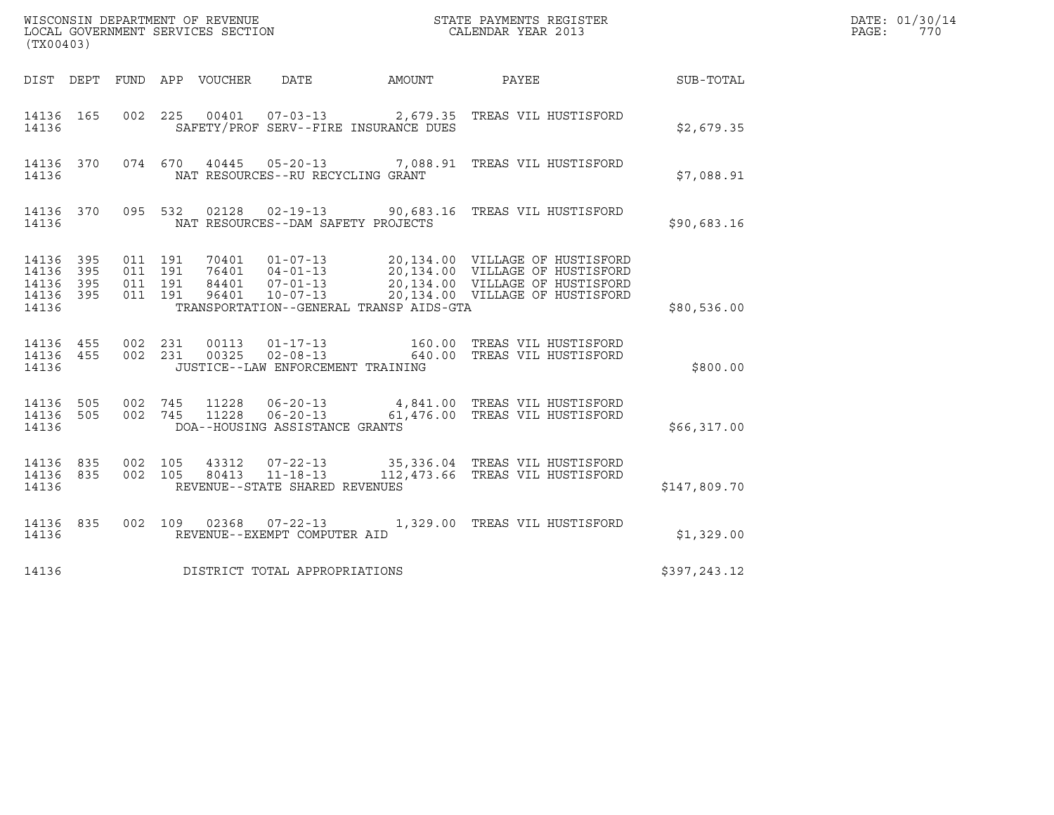|                                               |                   |                                          |                                 |                                                  |                                         |                                                                                                                                                                                                                  |              | DATE: 01/30/14 |
|-----------------------------------------------|-------------------|------------------------------------------|---------------------------------|--------------------------------------------------|-----------------------------------------|------------------------------------------------------------------------------------------------------------------------------------------------------------------------------------------------------------------|--------------|----------------|
| (TX00403)                                     |                   |                                          |                                 |                                                  |                                         |                                                                                                                                                                                                                  |              | PAGE:<br>770   |
|                                               |                   |                                          | DIST DEPT FUND APP VOUCHER DATE |                                                  | AMOUNT                                  | PAYEE                                                                                                                                                                                                            | SUB-TOTAL    |                |
| 14136 165<br>14136                            |                   |                                          |                                 |                                                  | SAFETY/PROF SERV--FIRE INSURANCE DUES   | 002  225  00401  07-03-13  2,679.35  TREAS VIL HUSTISFORD                                                                                                                                                        | \$2,679.35   |                |
| 14136 370<br>14136                            |                   |                                          |                                 | NAT RESOURCES--RU RECYCLING GRANT                |                                         | 074 670 40445 05-20-13 7,088.91 TREAS VIL HUSTISFORD                                                                                                                                                             | \$7,088.91   |                |
| 14136 370<br>14136                            |                   |                                          |                                 | NAT RESOURCES--DAM SAFETY PROJECTS               |                                         | 095 532 02128 02-19-13 90,683.16 TREAS VIL HUSTISFORD                                                                                                                                                            | \$90,683.16  |                |
| 14136<br>14136<br>14136<br>14136 395<br>14136 | 395<br>395<br>395 | 011 191<br>011 191<br>011 191<br>011 191 |                                 |                                                  | TRANSPORTATION--GENERAL TRANSP AIDS-GTA | 70401  01-07-13  20,134.00  VILLAGE OF HUSTISFORD<br>76401  04-01-13  20,134.00  VILLAGE OF HUSTISFORD<br>84401  07-01-13  20,134.00  VILLAGE OF HUSTISFORD<br>96401  10-07-13  20,134.00  VILLAGE OF HUSTISFORD | \$80,536.00  |                |
| 14136 455 002 231<br>14136 455<br>14136       |                   | 002 231                                  |                                 | JUSTICE--LAW ENFORCEMENT TRAINING                |                                         |                                                                                                                                                                                                                  | \$800.00     |                |
| 14136 505 002 745<br>14136 505<br>14136       |                   | 002 745                                  |                                 | DOA--HOUSING ASSISTANCE GRANTS                   |                                         | 11228  06-20-13  4,841.00 TREAS VIL HUSTISFORD<br>11228  06-20-13  61,476.00 TREAS VIL HUSTISFORD                                                                                                                | \$66,317.00  |                |
| 14136 835<br>14136 835<br>14136               |                   | 002 105<br>002 105                       | 43312<br>80413                  | $11 - 18 - 13$<br>REVENUE--STATE SHARED REVENUES |                                         | 07-22-13 35,336.04 TREAS VIL HUSTISFORD<br>112,473.66 TREAS VIL HUSTISFORD                                                                                                                                       | \$147,809.70 |                |
| 14136 835<br>14136                            |                   |                                          |                                 | REVENUE--EXEMPT COMPUTER AID                     |                                         | 002 109 02368 07-22-13 1,329.00 TREAS VIL HUSTISFORD                                                                                                                                                             | \$1,329.00   |                |
| 14136                                         |                   |                                          |                                 | DISTRICT TOTAL APPROPRIATIONS                    |                                         |                                                                                                                                                                                                                  | \$397,243.12 |                |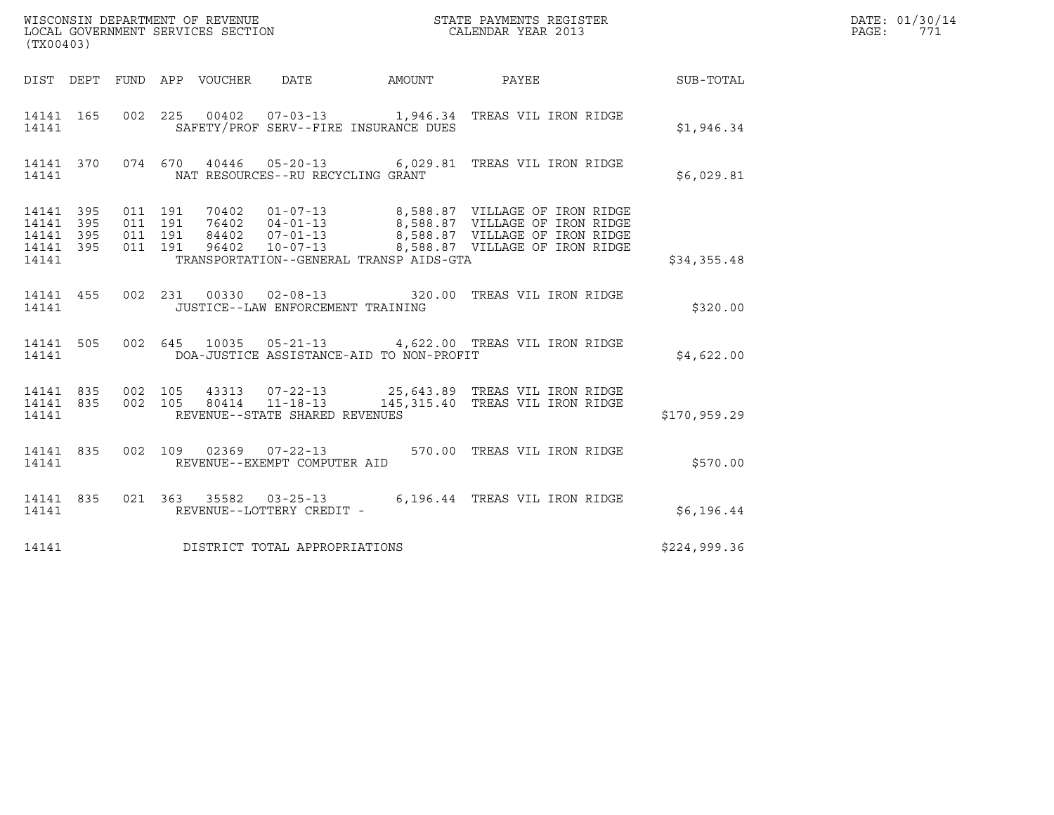| (TX00403)                                             |     |         |                                 |                                          |                                                                                                                                                                                                                                  |              | DATE: 01/30/14<br>$\mathtt{PAGE:}$<br>771 |
|-------------------------------------------------------|-----|---------|---------------------------------|------------------------------------------|----------------------------------------------------------------------------------------------------------------------------------------------------------------------------------------------------------------------------------|--------------|-------------------------------------------|
|                                                       |     |         | DIST DEPT FUND APP VOUCHER DATE |                                          | AMOUNT PAYEE SUB-TOTAL                                                                                                                                                                                                           |              |                                           |
| 14141 165<br>14141                                    |     |         |                                 | SAFETY/PROF SERV--FIRE INSURANCE DUES    | 002 225 00402 07-03-13 1,946.34 TREAS VIL IRON RIDGE                                                                                                                                                                             | \$1,946.34   |                                           |
| 14141                                                 |     |         |                                 | NAT RESOURCES--RU RECYCLING GRANT        | 14141 370 074 670 40446 05-20-13 6,029.81 TREAS VIL IRON RIDGE                                                                                                                                                                   | \$6,029.81   |                                           |
| 14141 395<br>14141<br>14141 395<br>14141 395<br>14141 | 395 | 011 191 | 011 191<br>011 191<br>011 191   | TRANSPORTATION--GENERAL TRANSP AIDS-GTA  | 70402   01-07-13   8,588.87   VILLAGE   OF IRON RIDGE<br>76402   04-01-13   8,588.87   VILLAGE   OF IRON RIDGE<br>84402   07-01-13   8,588.87   VILLAGE   OF IRON RIDGE<br>96402   10-07-13   8,588.87   VILLAGE   OF IRON RIDGE | \$34,355.48  |                                           |
| 14141 455<br>14141                                    |     |         |                                 | JUSTICE--LAW ENFORCEMENT TRAINING        | 002  231  00330  02-08-13  320.00  TREAS VIL IRON RIDGE                                                                                                                                                                          | \$320.00     |                                           |
| 14141 505<br>14141                                    |     |         |                                 | DOA-JUSTICE ASSISTANCE-AID TO NON-PROFIT | 002 645 10035 05-21-13 4,622.00 TREAS VIL IRON RIDGE                                                                                                                                                                             | \$4,622.00   |                                           |
| 14141                                                 |     |         |                                 | REVENUE--STATE SHARED REVENUES           | $14141 835 002 105 43313 07-22-13 25,643.89 \text{ TREAS VIL IRON RIDGE}$<br>14141 835 002 105 80414 11-18-13 145,315.40 TREAS VIL IRON RIDGE                                                                                    | \$170,959.29 |                                           |
| 14141 835<br>14141                                    |     |         |                                 | REVENUE--EXEMPT COMPUTER AID             | 002 109 02369 07-22-13 570.00 TREAS VIL IRON RIDGE                                                                                                                                                                               | \$570.00     |                                           |
| 14141 835<br>14141                                    |     |         |                                 | REVENUE--LOTTERY CREDIT -                | 021 363 35582 03-25-13 6,196.44 TREAS VIL IRON RIDGE                                                                                                                                                                             | \$6,196.44   |                                           |
| 14141                                                 |     |         |                                 | DISTRICT TOTAL APPROPRIATIONS            |                                                                                                                                                                                                                                  | \$224,999.36 |                                           |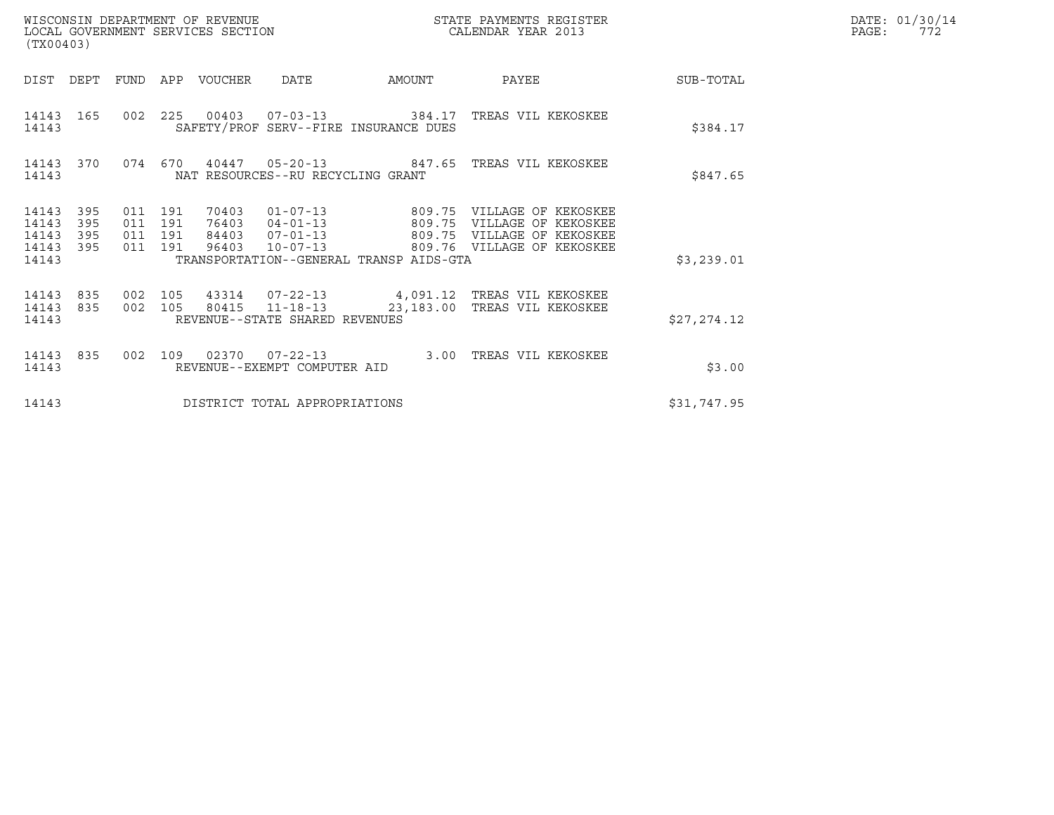| WISCONSIN DEPARTMENT OF REVENUE<br>LOCAL GOVERNMENT SERVICES SECTION<br>$\sqrt{m}$ | STATE PAYMENTS REGISTER<br>CALENDAR YEAR 2013 | DATE: 01/30/14<br>ワワつ<br>PAGE: |
|------------------------------------------------------------------------------------|-----------------------------------------------|--------------------------------|

| (TX00403)                                 |                          |                               |  |                                 |                                   |                                         |                                                                                                                                                                                                   | DATE: 01/30/14<br>PAGE: 772 |  |
|-------------------------------------------|--------------------------|-------------------------------|--|---------------------------------|-----------------------------------|-----------------------------------------|---------------------------------------------------------------------------------------------------------------------------------------------------------------------------------------------------|-----------------------------|--|
|                                           |                          |                               |  | DIST DEPT FUND APP VOUCHER DATE |                                   | <b>AMOUNT</b>                           | <b>PAYEE Example 2</b>                                                                                                                                                                            | SUB-TOTAL                   |  |
| 14143                                     |                          |                               |  |                                 |                                   | SAFETY/PROF SERV--FIRE INSURANCE DUES   | 14143 165 002 225 00403 07-03-13 384.17 TREAS VIL KEKOSKEE                                                                                                                                        | \$384.17                    |  |
| 14143 370<br>14143                        |                          |                               |  |                                 | NAT RESOURCES--RU RECYCLING GRANT |                                         | 074  670  40447  05-20-13  847.65  TREAS VIL KEKOSKEE                                                                                                                                             | \$847.65                    |  |
| 14143<br>14143<br>14143<br>14143<br>14143 | 395<br>395<br>395<br>395 | 011 191<br>011 191<br>011 191 |  |                                 |                                   | TRANSPORTATION--GENERAL TRANSP AIDS-GTA | 70403  01-07-13  809.75  VILLAGE OF KEKOSKEE<br>76403  04-01-13  809.75  VILLAGE OF KEKOSKEE<br>84403  07-01-13  809.75  VILLAGE OF KEKOSKEE<br>011 191 96403 10-07-13 809.76 VILLAGE OF KEKOSKEE | \$3,239.01                  |  |
| 14143 835<br>14143                        |                          |                               |  |                                 | REVENUE--STATE SHARED REVENUES    |                                         | 14143 835 002 105 43314 07-22-13 4,091.12 TREAS VIL KEKOSKEE<br>002 105 80415 11-18-13 23,183.00 TREAS VIL KEKOSKEE                                                                               | \$27, 274.12                |  |
| 14143 835<br>14143                        |                          |                               |  |                                 | REVENUE--EXEMPT COMPUTER AID      |                                         | 002 109 02370 07-22-13 3.00 TREAS VIL KEKOSKEE                                                                                                                                                    | \$3.00                      |  |
| 14143                                     |                          |                               |  |                                 | DISTRICT TOTAL APPROPRIATIONS     |                                         |                                                                                                                                                                                                   | \$31,747.95                 |  |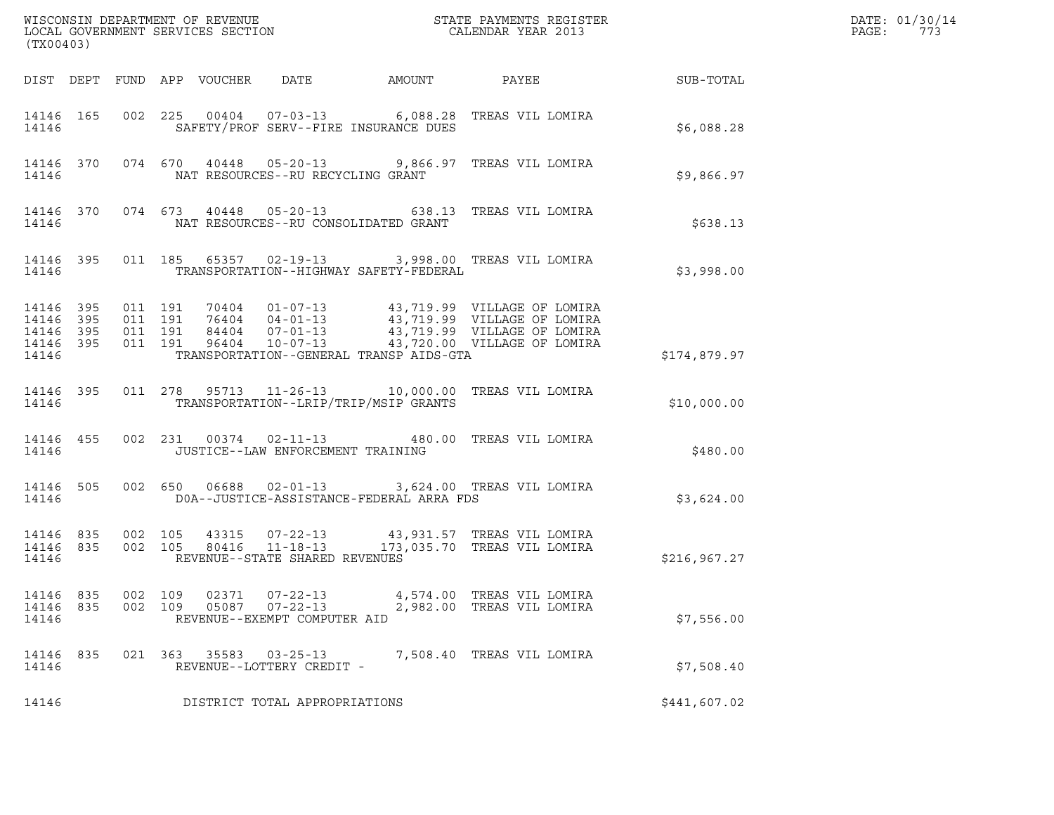| (TX00403)                                                 |     |                |     |                                 |                                                                  |                                          |                                                                                                                                                                                                                      |                 | DATE: 01/30/14<br>PAGE:<br>773 |
|-----------------------------------------------------------|-----|----------------|-----|---------------------------------|------------------------------------------------------------------|------------------------------------------|----------------------------------------------------------------------------------------------------------------------------------------------------------------------------------------------------------------------|-----------------|--------------------------------|
|                                                           |     |                |     | DIST DEPT FUND APP VOUCHER DATE |                                                                  | AMOUNT                                   |                                                                                                                                                                                                                      | PAYEE SUB-TOTAL |                                |
| 14146 165<br>14146                                        |     |                |     |                                 |                                                                  | SAFETY/PROF SERV--FIRE INSURANCE DUES    | 002 225 00404 07-03-13 6,088.28 TREAS VIL LOMIRA                                                                                                                                                                     | \$6,088.28      |                                |
| 14146                                                     |     |                |     |                                 | NAT RESOURCES--RU RECYCLING GRANT                                |                                          | 14146 370 074 670 40448 05-20-13 9,866.97 TREAS VIL LOMIRA                                                                                                                                                           | \$9,866.97      |                                |
| 14146                                                     |     |                |     |                                 |                                                                  | NAT RESOURCES--RU CONSOLIDATED GRANT     | 14146 370 074 673 40448 05-20-13 638.13 TREAS VIL LOMIRA                                                                                                                                                             | \$638.13        |                                |
| 14146                                                     |     |                |     |                                 |                                                                  | TRANSPORTATION--HIGHWAY SAFETY-FEDERAL   | 14146 395 011 185 65357 02-19-13 3,998.00 TREAS VIL LOMIRA                                                                                                                                                           | \$3,998.00      |                                |
| 14146 395<br>14146 395<br>14146 395<br>14146 395<br>14146 |     |                |     |                                 |                                                                  | TRANSPORTATION--GENERAL TRANSP AIDS-GTA  | 011 191 70404 01-07-13 43,719.99 VILLAGE OF LOMIRA<br>011 191 76404 04-01-13 43,719.99 VILLAGE OF LOMIRA<br>011 191 84404 07-01-13 43,719.99 VILLAGE OF LOMIRA<br>011 191 96404 10-07-13 43,720.00 VILLAGE OF LOMIRA | \$174,879.97    |                                |
| 14146 395<br>14146                                        |     |                |     |                                 |                                                                  | TRANSPORTATION--LRIP/TRIP/MSIP GRANTS    | 011  278  95713  11-26-13  10,000.00 TREAS VIL LOMIRA                                                                                                                                                                | \$10,000.00     |                                |
| 14146 455<br>14146                                        |     |                |     |                                 | JUSTICE--LAW ENFORCEMENT TRAINING                                |                                          | 002 231 00374 02-11-13 480.00 TREAS VIL LOMIRA                                                                                                                                                                       | \$480.00        |                                |
| 14146 505<br>14146                                        |     |                |     |                                 |                                                                  | DOA--JUSTICE-ASSISTANCE-FEDERAL ARRA FDS | 002 650 06688 02-01-13 3,624.00 TREAS VIL LOMIRA                                                                                                                                                                     | \$3,624.00      |                                |
| 14146 835<br>14146 835<br>14146                           |     |                |     |                                 | REVENUE--STATE SHARED REVENUES                                   |                                          | 002 105 43315 07-22-13 43,931.57 TREAS VIL LOMIRA<br>002 105 80416 11-18-13 173,035.70 TREAS VIL LOMIRA                                                                                                              | \$216, 967.27   |                                |
| 14146 835<br>14146<br>14146                               | 835 | 002<br>002 109 | 109 | 02371<br>05087                  | $07 - 22 - 13$<br>$07 - 22 - 13$<br>REVENUE--EXEMPT COMPUTER AID |                                          | 4,574.00 TREAS VIL LOMIRA<br>2,982.00 TREAS VIL LOMIRA                                                                                                                                                               | \$7,556.00      |                                |
| 14146<br>14146                                            | 835 |                |     | 021 363 35583                   | $03 - 25 - 13$<br>REVENUE--LOTTERY CREDIT -                      |                                          | 7,508.40 TREAS VIL LOMIRA                                                                                                                                                                                            | \$7,508.40      |                                |
| 14146                                                     |     |                |     |                                 | DISTRICT TOTAL APPROPRIATIONS                                    |                                          |                                                                                                                                                                                                                      | \$441,607.02    |                                |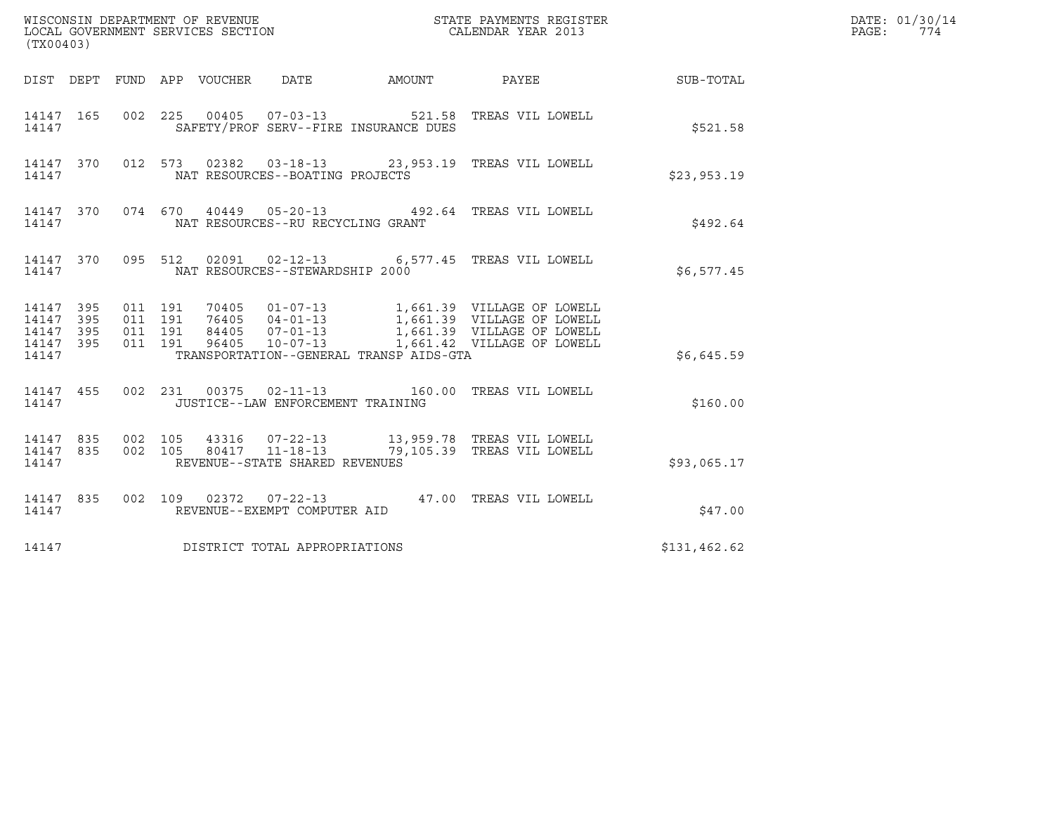| (TX00403)                                         |            |                    |                    |                                   |                                         |                                                                                                                                                                                              |              | DATE: 01/30/14<br>PAGE: 774 |
|---------------------------------------------------|------------|--------------------|--------------------|-----------------------------------|-----------------------------------------|----------------------------------------------------------------------------------------------------------------------------------------------------------------------------------------------|--------------|-----------------------------|
|                                                   |            |                    |                    |                                   |                                         | DIST DEPT FUND APP VOUCHER DATE AMOUNT PAYEE SUB-TOTAL                                                                                                                                       |              |                             |
| 14147                                             |            |                    |                    |                                   | SAFETY/PROF SERV--FIRE INSURANCE DUES   | 14147 165 002 225 00405 07-03-13 521.58 TREAS VIL LOWELL                                                                                                                                     | \$521.58     |                             |
| 14147                                             |            |                    |                    | NAT RESOURCES--BOATING PROJECTS   |                                         | 14147 370 012 573 02382 03-18-13 23,953.19 TREAS VIL LOWELL                                                                                                                                  | \$23,953.19  |                             |
| 14147                                             |            |                    |                    | NAT RESOURCES--RU RECYCLING GRANT |                                         | 14147 370 074 670 40449 05-20-13 492.64 TREAS VIL LOWELL                                                                                                                                     | \$492.64     |                             |
| 14147                                             |            |                    |                    | NAT RESOURCES--STEWARDSHIP 2000   |                                         | 14147 370 095 512 02091 02-12-13 6,577.45 TREAS VIL LOWELL                                                                                                                                   | \$6,577.45   |                             |
| 14147 395<br>14147<br>14147<br>14147 395<br>14147 | 395<br>395 | 011 191<br>011 191 | 011 191<br>011 191 |                                   | TRANSPORTATION--GENERAL TRANSP AIDS-GTA | 70405  01-07-13  1,661.39  VILLAGE OF LOWELL<br>76405  04-01-13  1,661.39  VILLAGE OF LOWELL<br>84405  07-01-13  1,661.39  VILLAGE OF LOWELL<br>96405  10-07-13  1,661.42  VILLAGE OF LOWELL | \$6.645.59   |                             |
| 14147                                             |            |                    |                    | JUSTICE--LAW ENFORCEMENT TRAINING |                                         | 14147 455 002 231 00375 02-11-13 160.00 TREAS VIL LOWELL                                                                                                                                     | \$160.00     |                             |
| 14147                                             |            |                    |                    | REVENUE--STATE SHARED REVENUES    |                                         | 14147 835 002 105 43316 07-22-13 13,959.78 TREAS VIL LOWELL 14147 835 002 105 80417 11-18-13 79,105.39 TREAS VIL LOWELL                                                                      | \$93,065.17  |                             |
| 14147 835<br>14147                                |            |                    |                    | REVENUE--EXEMPT COMPUTER AID      |                                         | 002 109 02372 07-22-13 47.00 TREAS VIL LOWELL                                                                                                                                                | \$47.00      |                             |
| 14147                                             |            |                    |                    | DISTRICT TOTAL APPROPRIATIONS     |                                         |                                                                                                                                                                                              | \$131,462.62 |                             |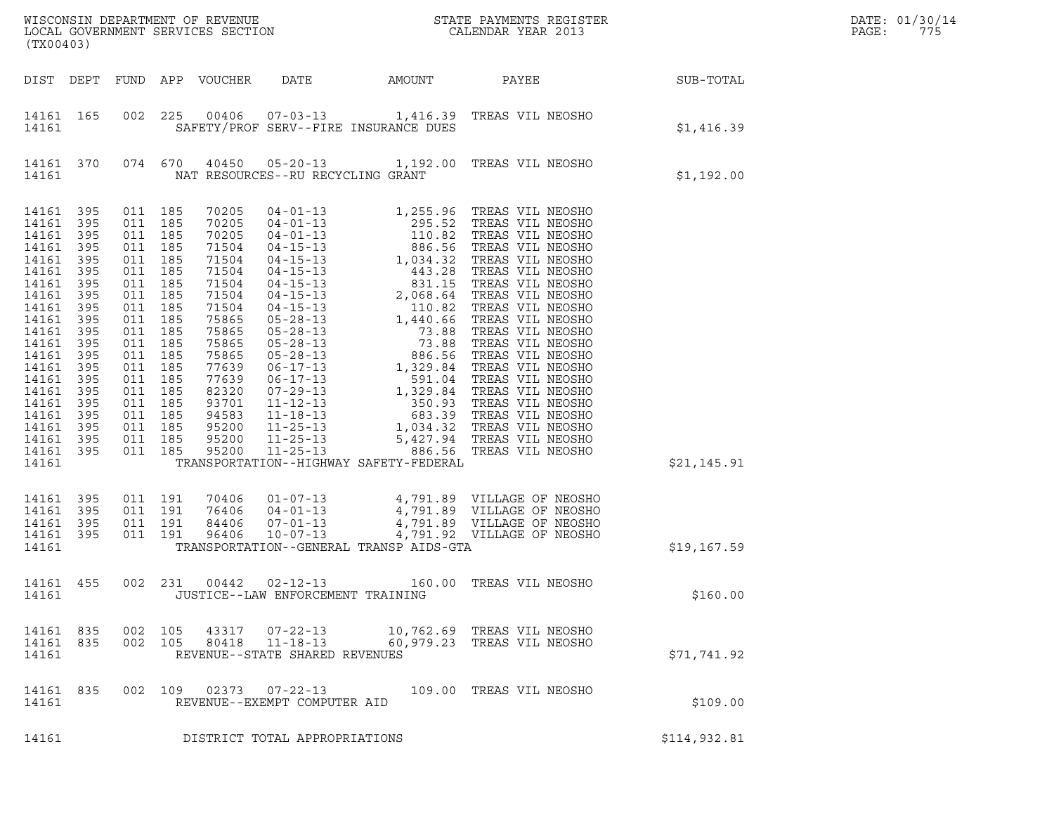| LOCAL GOVERNMENT SERVICES SECTION<br>(TX00403)                                                                                                                                                         |                                                                                                                                          |                                                                                                                                                                                                                                     |         |                                                                                                                                                                                           |                                                        |                                         |                                                                                                                                                          |                  | DATE: 01/30/14<br>PAGE:<br>775 |
|--------------------------------------------------------------------------------------------------------------------------------------------------------------------------------------------------------|------------------------------------------------------------------------------------------------------------------------------------------|-------------------------------------------------------------------------------------------------------------------------------------------------------------------------------------------------------------------------------------|---------|-------------------------------------------------------------------------------------------------------------------------------------------------------------------------------------------|--------------------------------------------------------|-----------------------------------------|----------------------------------------------------------------------------------------------------------------------------------------------------------|------------------|--------------------------------|
|                                                                                                                                                                                                        |                                                                                                                                          |                                                                                                                                                                                                                                     |         | DIST DEPT FUND APP VOUCHER                                                                                                                                                                | DATE                                                   | AMOUNT                                  | PAYEE                                                                                                                                                    | <b>SUB-TOTAL</b> |                                |
| 14161 165<br>14161                                                                                                                                                                                     |                                                                                                                                          | 002                                                                                                                                                                                                                                 | 225     |                                                                                                                                                                                           | SAFETY/PROF SERV--FIRE INSURANCE DUES                  |                                         | 00406  07-03-13  1,416.39  TREAS VIL NEOSHO                                                                                                              | \$1,416.39       |                                |
| 14161                                                                                                                                                                                                  | 14161 370                                                                                                                                |                                                                                                                                                                                                                                     | 074 670 |                                                                                                                                                                                           | NAT RESOURCES--RU RECYCLING GRANT                      |                                         | 40450  05-20-13  1,192.00 TREAS VIL NEOSHO                                                                                                               | \$1,192.00       |                                |
| 14161<br>14161<br>14161<br>14161<br>14161<br>14161<br>14161<br>14161<br>14161<br>14161<br>14161<br>14161<br>14161<br>14161<br>14161<br>14161<br>14161<br>14161<br>14161<br>14161<br>14161 395<br>14161 | 395<br>395<br>395<br>395<br>395<br>395<br>395<br>395<br>395<br>395<br>395<br>395<br>395<br>395<br>395<br>395<br>395<br>395<br>395<br>395 | 011 185<br>011 185<br>011 185<br>011 185<br>011 185<br>011 185<br>011 185<br>011 185<br>011 185<br>011 185<br>011 185<br>011 185<br>011 185<br>011 185<br>011 185<br>011 185<br>011 185<br>011 185<br>011 185<br>011 185<br>011 185 |         | 70205<br>70205<br>70205<br>71504<br>71504<br>71504<br>71504<br>71504<br>71504<br>75865<br>75865<br>75865<br>75865<br>77639<br>77639<br>82320<br>93701<br>94583<br>95200<br>95200<br>95200 |                                                        | TRANSPORTATION--HIGHWAY SAFETY-FEDERAL  |                                                                                                                                                          | \$21,145.91      |                                |
| 14161<br>14161<br>14161<br>14161<br>14161                                                                                                                                                              | 395<br>395<br>395<br>395                                                                                                                 | 011 191<br>011 191<br>011 191<br>011 191                                                                                                                                                                                            |         | 70406<br>76406<br>84406<br>96406                                                                                                                                                          |                                                        | TRANSPORTATION--GENERAL TRANSP AIDS-GTA | 01-07-13 4,791.89 VILLAGE OF NEOSHO<br>04-01-13 4,791.89 VILLAGE OF NEOSHO<br>07-01-13 4,791.89 VILLAGE OF NEOSHO<br>10-07-13 4,791.92 VILLAGE OF NEOSHO | \$19,167.59      |                                |
| 14161 455<br>14161                                                                                                                                                                                     |                                                                                                                                          |                                                                                                                                                                                                                                     |         |                                                                                                                                                                                           | JUSTICE--LAW ENFORCEMENT TRAINING                      |                                         | 002 231 00442 02-12-13 160.00 TREAS VIL NEOSHO                                                                                                           | \$160.00         |                                |
| 14161 835<br>14161 835<br>14161                                                                                                                                                                        |                                                                                                                                          | 002 105<br>002 105                                                                                                                                                                                                                  |         | 43317<br>80418                                                                                                                                                                            | $11 - 18 - 13$<br>REVENUE--STATE SHARED REVENUES       |                                         | 07-22-13 10,762.69 TREAS VIL NEOSHO<br>60,979.23 TREAS VIL NEOSHO                                                                                        | \$71,741.92      |                                |
| 14161 835<br>14161                                                                                                                                                                                     |                                                                                                                                          |                                                                                                                                                                                                                                     |         |                                                                                                                                                                                           | 002 109 02373 07-22-13<br>REVENUE--EXEMPT COMPUTER AID |                                         | 109.00 TREAS VIL NEOSHO                                                                                                                                  | \$109.00         |                                |
| 14161                                                                                                                                                                                                  |                                                                                                                                          |                                                                                                                                                                                                                                     |         |                                                                                                                                                                                           | DISTRICT TOTAL APPROPRIATIONS                          |                                         |                                                                                                                                                          | \$114,932.81     |                                |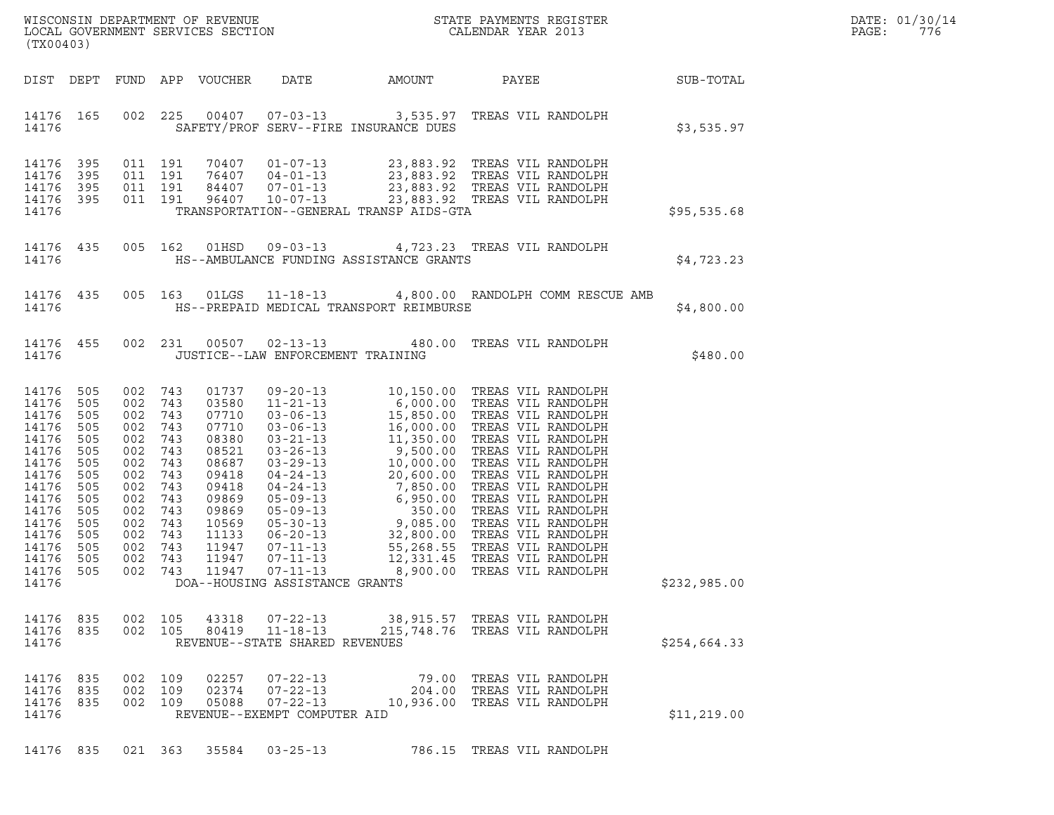|       | DATE: 01/30/14 |
|-------|----------------|
| PAGE: | 776            |

| (TX00403)                                                                                                                                                     |                                                                                                |                                                                                                              |                                                                                                              |                                                                                                                                              |                                                                                    |                                         | ${\tt WISCONSIM\ DEPARTMENT\ OF\ REVENUE}\hbox{\tt STATE\ PAYMENTS\ REGISTER\ LOCAL\ GOVERNMENT\ SERVICES\ SECTION\thinspace\ \bf 1013}$                         |                  | DATE: 01/30/14<br>PAGE:<br>776 |
|---------------------------------------------------------------------------------------------------------------------------------------------------------------|------------------------------------------------------------------------------------------------|--------------------------------------------------------------------------------------------------------------|--------------------------------------------------------------------------------------------------------------|----------------------------------------------------------------------------------------------------------------------------------------------|------------------------------------------------------------------------------------|-----------------------------------------|------------------------------------------------------------------------------------------------------------------------------------------------------------------|------------------|--------------------------------|
| DIST DEPT                                                                                                                                                     |                                                                                                |                                                                                                              |                                                                                                              | FUND APP VOUCHER                                                                                                                             | DATE                                                                               | AMOUNT                                  | PAYEE                                                                                                                                                            | <b>SUB-TOTAL</b> |                                |
| 14176 165<br>14176                                                                                                                                            |                                                                                                |                                                                                                              | 002 225                                                                                                      |                                                                                                                                              |                                                                                    | SAFETY/PROF SERV--FIRE INSURANCE DUES   | 00407  07-03-13  3,535.97  TREAS VIL RANDOLPH                                                                                                                    | \$3,535.97       |                                |
| 14176 395<br>14176<br>14176 395                                                                                                                               | - 395                                                                                          | 011 191<br>011 191<br>011 191                                                                                |                                                                                                              | 70407<br>76407<br>84407                                                                                                                      |                                                                                    |                                         | 01-07-13 23,883.92 TREAS VIL RANDOLPH<br>04-01-13 23,883.92 TREAS VIL RANDOLPH<br>07-01-13 23,883.92 TREAS VIL RANDOLPH<br>10-07-13 23,883.92 TREAS VIL RANDOLPH |                  |                                |
| 14176 395<br>14176                                                                                                                                            |                                                                                                |                                                                                                              | 011 191                                                                                                      | 96407                                                                                                                                        |                                                                                    | TRANSPORTATION--GENERAL TRANSP AIDS-GTA |                                                                                                                                                                  | \$95,535.68      |                                |
| 14176 435<br>14176                                                                                                                                            |                                                                                                |                                                                                                              | 005 162                                                                                                      | 01HSD                                                                                                                                        |                                                                                    | HS--AMBULANCE FUNDING ASSISTANCE GRANTS | 09-03-13 4,723.23 TREAS VIL RANDOLPH                                                                                                                             | \$4,723.23       |                                |
| 14176 435<br>14176                                                                                                                                            |                                                                                                |                                                                                                              |                                                                                                              |                                                                                                                                              |                                                                                    | HS--PREPAID MEDICAL TRANSPORT REIMBURSE | 005 163 01LGS 11-18-13 4,800.00 RANDOLPH COMM RESCUE AMB                                                                                                         | \$4,800.00       |                                |
| 14176 455<br>14176                                                                                                                                            |                                                                                                |                                                                                                              | 002 231                                                                                                      | 00507                                                                                                                                        | JUSTICE--LAW ENFORCEMENT TRAINING                                                  |                                         | 02-13-13 480.00 TREAS VIL RANDOLPH                                                                                                                               | \$480.00         |                                |
| 14176 505<br>14176 505<br>14176<br>14176<br>14176<br>14176<br>14176<br>14176<br>14176<br>14176<br>14176<br>14176<br>14176<br>14176<br>14176<br>14176<br>14176 | 505<br>505<br>505<br>505<br>505<br>505<br>505<br>505<br>505<br>505<br>505<br>505<br>505<br>505 | 002<br>002<br>002<br>002<br>002<br>002<br>002<br>002<br>002<br>002<br>002<br>002<br>002<br>002<br>002<br>002 | 743<br>743<br>743<br>743<br>743<br>743<br>743<br>743<br>743<br>743<br>743<br>743<br>743<br>743<br>743<br>743 | 01737<br>03580<br>07710<br>07710<br>08380<br>08521<br>08687<br>09418<br>09418<br>09869<br>09869<br>10569<br>11133<br>11947<br>11947<br>11947 | $07 - 11 - 13$<br>DOA--HOUSING ASSISTANCE GRANTS                                   | 8,900.00                                | TREAS VIL RANDOLPH                                                                                                                                               | \$232,985.00     |                                |
| 14176 835<br>14176 835<br>14176                                                                                                                               |                                                                                                |                                                                                                              | 002 105                                                                                                      |                                                                                                                                              | 80419 11-18-13<br>REVENUE--STATE SHARED REVENUES                                   |                                         | 002 105 43318 07-22-13 38,915.57 TREAS VIL RANDOLPH<br>215,748.76 TREAS VIL RANDOLPH                                                                             | \$254,664.33     |                                |
| 14176 835<br>14176 835<br>14176 835<br>14176                                                                                                                  |                                                                                                | 002 109                                                                                                      | 002 109<br>002 109                                                                                           | 02257<br>02374<br>05088                                                                                                                      | $07 - 22 - 13$<br>$07 - 22 - 13$<br>$07 - 22 - 13$<br>REVENUE--EXEMPT COMPUTER AID |                                         | 79.00 TREAS VIL RANDOLPH<br>204.00 TREAS VIL RANDOLPH<br>10,936.00 TREAS VIL RANDOLPH                                                                            | \$11,219.00      |                                |
| 14176 835                                                                                                                                                     |                                                                                                |                                                                                                              |                                                                                                              | 021 363 35584                                                                                                                                | $03 - 25 - 13$                                                                     |                                         | 786.15 TREAS VIL RANDOLPH                                                                                                                                        |                  |                                |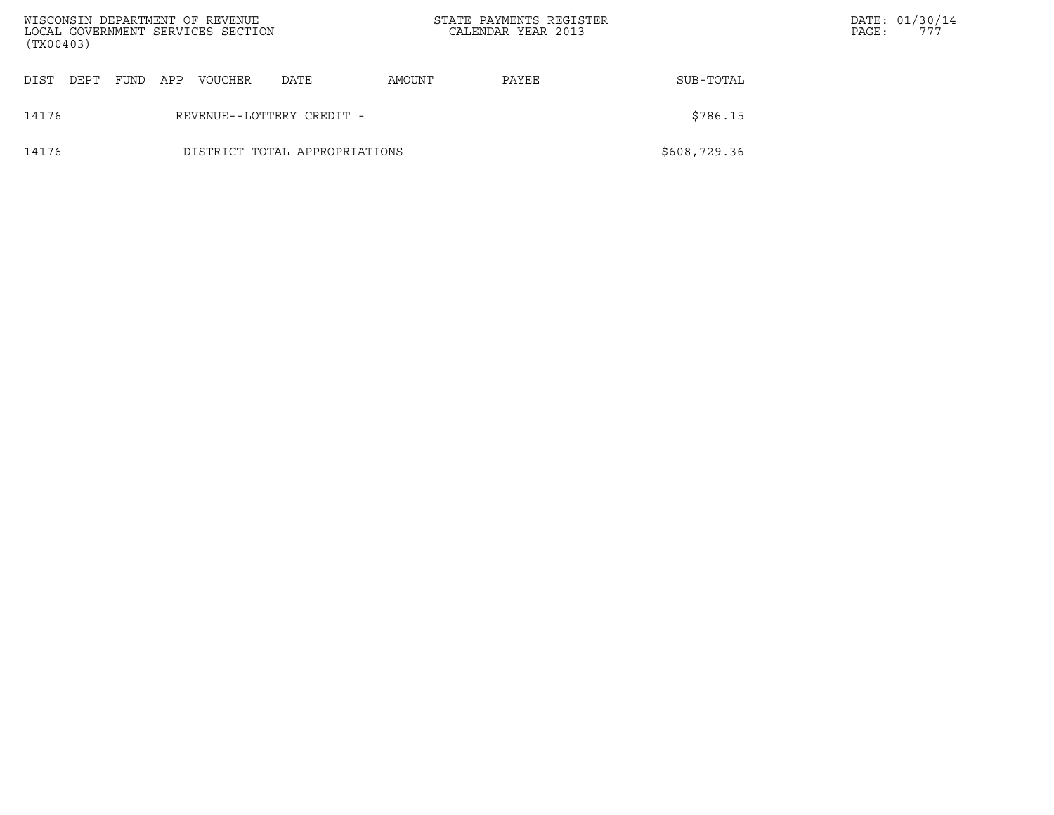| WISCONSIN DEPARTMENT OF REVENUE<br>LOCAL GOVERNMENT SERVICES SECTION<br>(TX00403) |                               |      |     |         |                           | STATE PAYMENTS REGISTER<br>CALENDAR YEAR 2013 |       |              | PAGE: | DATE: 01/30/14<br>777 |
|-----------------------------------------------------------------------------------|-------------------------------|------|-----|---------|---------------------------|-----------------------------------------------|-------|--------------|-------|-----------------------|
| DIST<br>DEPT                                                                      |                               | FUND | APP | VOUCHER | DATE                      | AMOUNT                                        | PAYEE | SUB-TOTAL    |       |                       |
| 14176                                                                             |                               |      |     |         | REVENUE--LOTTERY CREDIT - |                                               |       | \$786.15     |       |                       |
| 14176                                                                             | DISTRICT TOTAL APPROPRIATIONS |      |     |         |                           |                                               |       | \$608,729.36 |       |                       |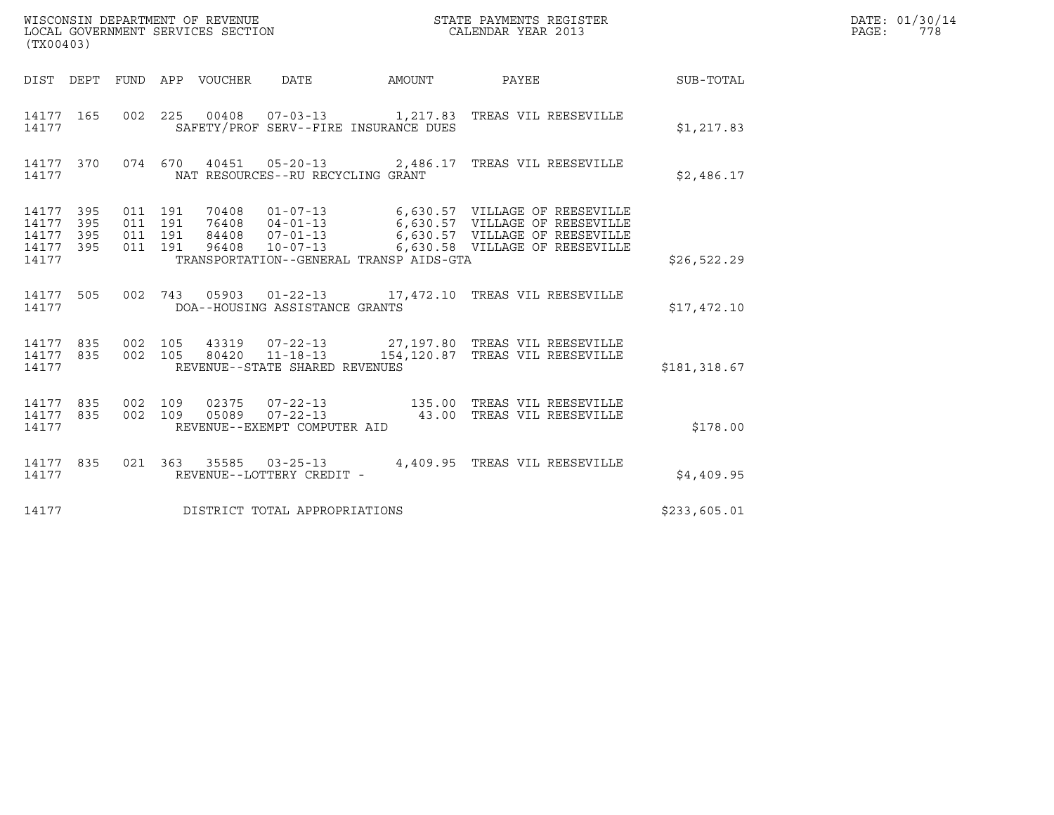| WISCONSIN DEPARTMENT OF REVENUE<br>LOCAL GOVERNMENT SERVICES SECTION | STATE PAYMENTS REGISTER<br>CALENDAR YEAR 2013 | DATE: 01/30/14<br>PAGE:<br>778 |
|----------------------------------------------------------------------|-----------------------------------------------|--------------------------------|

| (TX00403)                                                             |                          |                                                                                                                                                                                                                                                                            |              |
|-----------------------------------------------------------------------|--------------------------|----------------------------------------------------------------------------------------------------------------------------------------------------------------------------------------------------------------------------------------------------------------------------|--------------|
| DIST                                                                  |                          | DEPT FUND APP VOUCHER DATE<br>AMOUNT<br>PAYEE                                                                                                                                                                                                                              | SUB-TOTAL    |
| 14177 165<br>14177                                                    | 002                      | 225<br>SAFETY/PROF SERV--FIRE INSURANCE DUES                                                                                                                                                                                                                               | \$1, 217.83  |
| 14177 370<br>14177                                                    | 074                      | 670<br>40451  05-20-13  2,486.17  TREAS VIL REESEVILLE<br>NAT RESOURCES--RU RECYCLING GRANT                                                                                                                                                                                | \$2,486.17   |
| 395<br>14177<br>395<br>14177<br>14177<br>395<br>395<br>14177<br>14177 | 011<br>011<br>011<br>011 | 191<br>70408<br>$01 - 07 - 13$<br>6,630.57 VILLAGE OF REESEVILLE<br>6,630.57 VILLAGE OF REESEVILLE<br>6,630.57 VILLAGE OF REESEVILLE<br>6,630.58 VILLAGE OF BEESEVILLE<br>191<br>84408<br>191<br>$10 - 07 - 13$<br>191<br>96408<br>TRANSPORTATION--GENERAL TRANSP AIDS-GTA | \$26,522.29  |
| 14177 505<br>14177                                                    | 002                      | 05903  01-22-13  17,472.10  TREAS VIL REESEVILLE<br>743<br>DOA--HOUSING ASSISTANCE GRANTS                                                                                                                                                                                  | \$17,472.10  |
| 835<br>14177<br>835<br>14177<br>14177                                 | 002<br>002               | 105<br>43319  07-22-13  27,197.80  TREAS VIL REESEVILLE<br>80420  11-18-13  154,120.87  TREAS VIL REESEVILLE<br>105<br>REVENUE--STATE SHARED REVENUES                                                                                                                      | \$181,318.67 |
| 14177<br>835<br>835<br>14177<br>14177                                 | 002<br>002               | 109<br>109<br>REVENUE--EXEMPT COMPUTER AID                                                                                                                                                                                                                                 | \$178.00     |
| 14177<br>835<br>14177                                                 | 021                      | 4,409.95 TREAS VIL REESEVILLE<br>363 35585 03-25-13<br>REVENUE--LOTTERY CREDIT -                                                                                                                                                                                           | \$4,409.95   |
| 14177                                                                 |                          | DISTRICT TOTAL APPROPRIATIONS                                                                                                                                                                                                                                              | \$233,605.01 |

(TX00403)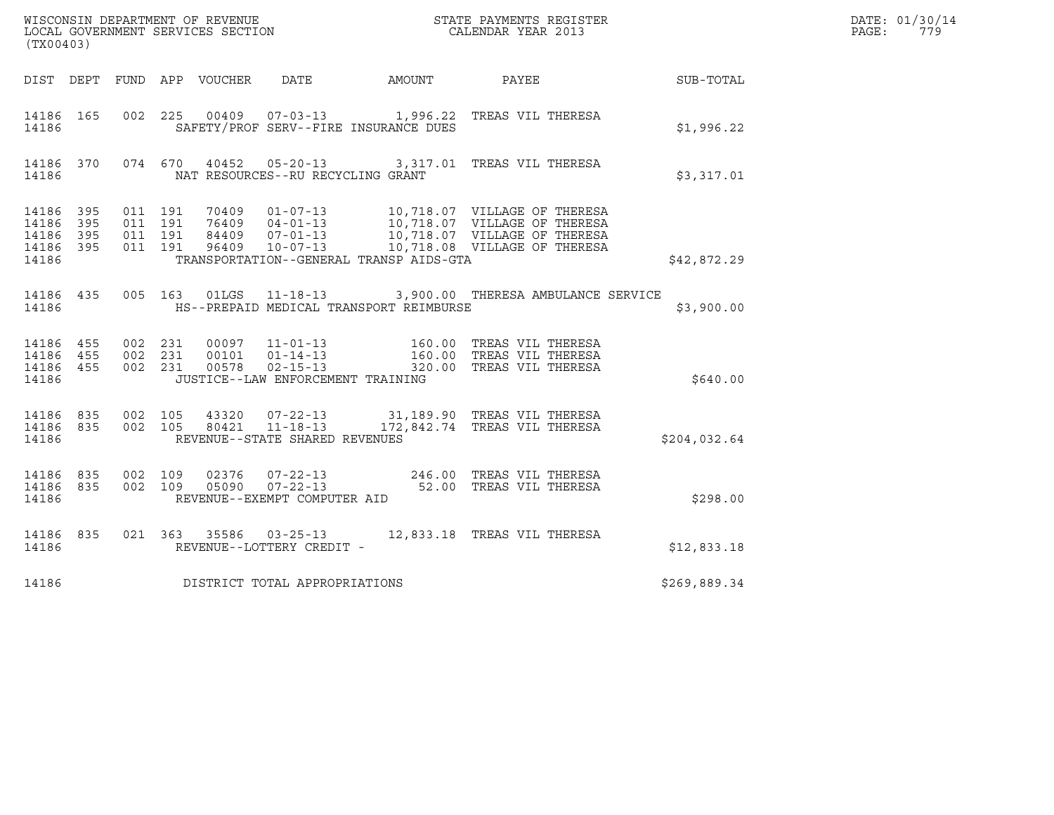| (TX00403)                                |     |                   |  |                                   |                                         |                                                                                                                                                                                                                                                                                                    |              | DATE: 01/30/14<br>$\mathtt{PAGE}$ :<br>779 |
|------------------------------------------|-----|-------------------|--|-----------------------------------|-----------------------------------------|----------------------------------------------------------------------------------------------------------------------------------------------------------------------------------------------------------------------------------------------------------------------------------------------------|--------------|--------------------------------------------|
|                                          |     |                   |  |                                   |                                         | DIST DEPT FUND APP VOUCHER DATE AMOUNT PAYEE SUB-TOTAL                                                                                                                                                                                                                                             |              |                                            |
| 14186                                    |     |                   |  |                                   | SAFETY/PROF SERV--FIRE INSURANCE DUES   | 14186 165 002 225 00409 07-03-13 1,996.22 TREAS VIL THERESA                                                                                                                                                                                                                                        | \$1,996.22   |                                            |
| 14186                                    |     |                   |  | NAT RESOURCES--RU RECYCLING GRANT |                                         | 14186 370 074 670 40452 05-20-13 3,317.01 TREAS VIL THERESA                                                                                                                                                                                                                                        | \$3,317.01   |                                            |
| 14186<br>14186 395<br>14186 395<br>14186 | 395 | 14186 395 011 191 |  |                                   | TRANSPORTATION--GENERAL TRANSP AIDS-GTA |                                                                                                                                                                                                                                                                                                    | \$42,872.29  |                                            |
| 14186                                    |     |                   |  |                                   | HS--PREPAID MEDICAL TRANSPORT REIMBURSE | 14186 435 005 163 01LGS 11-18-13 3,900.00 THERESA AMBULANCE SERVICE                                                                                                                                                                                                                                | \$3,900.00   |                                            |
| 14186                                    |     |                   |  | JUSTICE--LAW ENFORCEMENT TRAINING |                                         | $\begin{array}{cccccccc} 14186 & 455 & 002 & 231 & 00097 & 11-01-13 & & & 160.00 & \text{TREAS VIL THERESA} \\ 14186 & 455 & 002 & 231 & 00101 & 01-14-13 & & & 160.00 & \text{TREAS VIL THERESA} \\ 14186 & 455 & 002 & 231 & 00578 & 02-15-13 & & 320.00 & \text{TREAS VIL THERESA} \end{array}$ | \$640.00     |                                            |
| 14186                                    |     | 14186 835 002 105 |  | REVENUE--STATE SHARED REVENUES    |                                         | 43320  07-22-13  31,189.90  TREAS VIL THERESA<br>14186 835 002 105 80421 11-18-13 172,842.74 TREAS VIL THERESA                                                                                                                                                                                     | \$204,032.64 |                                            |
| 14186                                    |     |                   |  | REVENUE--EXEMPT COMPUTER AID      |                                         | 14186 835 002 109 02376 07-22-13 246.00 TREAS VIL THERESA<br>14186 835 002 109 05090 07-22-13 52.00 TREAS VIL THERESA                                                                                                                                                                              | \$298.00     |                                            |
|                                          |     |                   |  |                                   |                                         | $\begin{tabular}{lllllll} 14186 & 835 & 021 & 363 & 35586 & 03-25-13 & 12,833.18 & TREAS VIL THERESA \\ 14186 & REVENUE--LOTTERY CREDIT - \end{tabular}$                                                                                                                                           | \$12,833.18  |                                            |
| 14186                                    |     |                   |  | DISTRICT TOTAL APPROPRIATIONS     |                                         |                                                                                                                                                                                                                                                                                                    | \$269,889.34 |                                            |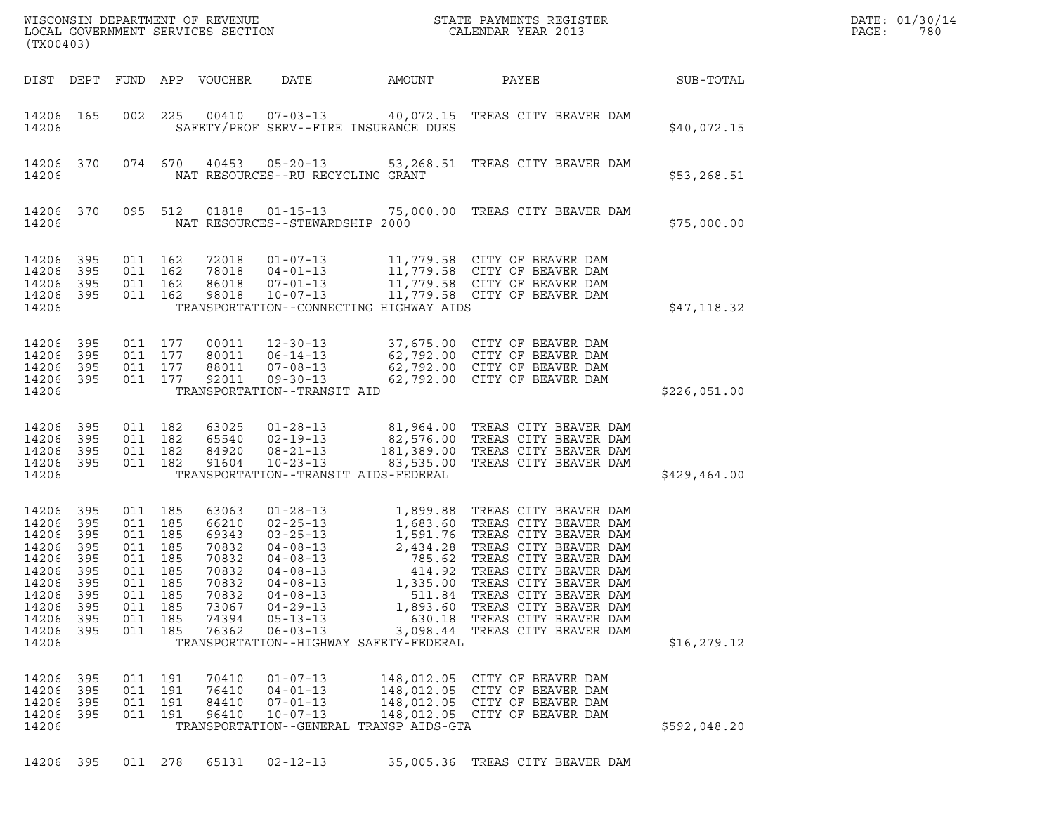| (TX00403)                                                                                                |                                                                           |                                                                                         |                                  | $\tt WISCONSIM DEPARTMENT OF REVENUE$ $\tt WISCONBINS REGISTER$<br>LOCAL GOVERNMENT SERVICES SECTION $\tt CALENDAR$<br>VEAR 2013 |                                                                                                              | DATE: 01/30/14<br>PAGE:<br>780                               |                                                                                                                                                                                                                                                                                                                                                     |               |  |
|----------------------------------------------------------------------------------------------------------|---------------------------------------------------------------------------|-----------------------------------------------------------------------------------------|----------------------------------|----------------------------------------------------------------------------------------------------------------------------------|--------------------------------------------------------------------------------------------------------------|--------------------------------------------------------------|-----------------------------------------------------------------------------------------------------------------------------------------------------------------------------------------------------------------------------------------------------------------------------------------------------------------------------------------------------|---------------|--|
|                                                                                                          | DIST DEPT                                                                 |                                                                                         |                                  | FUND APP VOUCHER                                                                                                                 | DATE                                                                                                         | AMOUNT                                                       | PAYEE                                                                                                                                                                                                                                                                                                                                               | SUB-TOTAL     |  |
| 14206 165<br>14206                                                                                       |                                                                           | 002                                                                                     | 225                              | 00410                                                                                                                            | $07 - 03 - 13$                                                                                               | SAFETY/PROF SERV--FIRE INSURANCE DUES                        | 40,072.15 TREAS CITY BEAVER DAM                                                                                                                                                                                                                                                                                                                     | \$40,072.15   |  |
| 14206 370<br>14206                                                                                       |                                                                           |                                                                                         | 074 670                          | 40453                                                                                                                            | NAT RESOURCES--RU RECYCLING GRANT                                                                            |                                                              | 05-20-13 53,268.51 TREAS CITY BEAVER DAM                                                                                                                                                                                                                                                                                                            | \$53,268.51   |  |
| 14206 370<br>14206                                                                                       |                                                                           |                                                                                         | 095 512                          | 01818                                                                                                                            | NAT RESOURCES--STEWARDSHIP 2000                                                                              |                                                              | 01-15-13 75,000.00 TREAS CITY BEAVER DAM                                                                                                                                                                                                                                                                                                            | \$75,000.00   |  |
| 14206<br>14206<br>14206<br>14206<br>14206                                                                | 395<br>395<br>395<br>395                                                  | 011 162<br>011 162<br>011 162                                                           | 011 162                          | 72018<br>78018<br>86018<br>98018                                                                                                 | $01 - 07 - 13$<br>$04 - 01 - 13$<br>$07 - 01 - 13$<br>$10 - 07 - 13$                                         | TRANSPORTATION--CONNECTING HIGHWAY AIDS                      | 11,779.58 CITY OF BEAVER DAM<br>11,779.58 CITY OF BEAVER DAM<br>11,779.58 CITY OF BEAVER DAM<br>11,779.58 CITY OF BEAVER DAM                                                                                                                                                                                                                        | \$47,118.32   |  |
| 14206<br>14206<br>14206<br>14206 395<br>14206                                                            | 395<br>395<br>395                                                         | 011 177<br>011 177<br>011 177                                                           | 011 177                          | 00011<br>80011<br>88011<br>92011                                                                                                 | $12 - 30 - 13$<br>$06 - 14 - 13$<br>$07 - 08 - 13$<br>$09 - 30 - 13$<br>TRANSPORTATION--TRANSIT AID          |                                                              | 37,675.00 CITY OF BEAVER DAM<br>62,792.00 CITY OF BEAVER DAM<br>62,792.00 CITY OF BEAVER DAM<br>62,792.00 CITY OF BEAVER DAM                                                                                                                                                                                                                        | \$226,051.00  |  |
| 14206<br>14206<br>14206<br>14206 395<br>14206                                                            | 395<br>395<br>395                                                         | 011 182<br>011 182<br>011 182                                                           | 011 182                          | 63025<br>65540<br>84920<br>91604                                                                                                 | $01 - 28 - 13$<br>$02 - 19 - 13$<br>$08 - 21 - 13$<br>$10 - 23 - 13$<br>TRANSPORTATION--TRANSIT AIDS-FEDERAL |                                                              | 81,964.00 TREAS CITY BEAVER DAM<br>82,576.00 TREAS CITY BEAVER DAM<br>181,389.00 TREAS CITY BEAVER DAM<br>83,535.00 TREAS CITY BEAVER DAM                                                                                                                                                                                                           | \$429, 464.00 |  |
| 14206<br>14206<br>14206<br>14206<br>14206<br>14206<br>14206<br>14206<br>14206<br>14206<br>14206<br>14206 | 395<br>395<br>395<br>395<br>395<br>395<br>395<br>395<br>395<br>395<br>395 | 011 185<br>011 185<br>011 185<br>011 185<br>011 185<br>011<br>011 185<br>011<br>011 185 | 011 185<br>185<br>185<br>011 185 | 63063<br>66210<br>69343<br>70832<br>70832<br>70832<br>70832<br>70832<br>73067<br>74394<br>76362                                  | $04 - 08 - 13$<br>$04 - 08 - 13$<br>$04 - 08 - 13$<br>$04 - 29 - 13$<br>$05 - 13 - 13$<br>$06 - 03 - 13$     | 414.92<br>1,335.00<br>TRANSPORTATION--HIGHWAY SAFETY-FEDERAL | 1,683.60 TREAS CITY BEAVER DAM<br>03-25-13 1,591.76 TREAS CITY BEAVER DAM<br>04-08-13 2,434.28 TREAS CITY BEAVER DAM<br>04-08-13 785 20 TREAS CITY BEAVER PEA<br>TREAS CITY BEAVER DAM<br>TREAS CITY BEAVER DAM<br>511.84 TREAS CITY BEAVER DAM<br>1,893.60 TREAS CITY BEAVER DAM<br>630.18 TREAS CITY BEAVER DAM<br>3,098.44 TREAS CITY BEAVER DAM | \$16, 279.12  |  |
| 14206<br>14206<br>14206<br>14206<br>14206                                                                | 395<br>395<br>395<br>395                                                  | 011 191<br>011 191                                                                      | 011 191<br>011 191               | 70410<br>76410<br>84410<br>96410                                                                                                 | $01 - 07 - 13$<br>$04 - 01 - 13$<br>$07 - 01 - 13$<br>$10 - 07 - 13$                                         | TRANSPORTATION--GENERAL TRANSP AIDS-GTA                      | 148,012.05 CITY OF BEAVER DAM<br>148,012.05 CITY OF BEAVER DAM<br>148,012.05 CITY OF BEAVER DAM<br>148,012.05 CITY OF BEAVER DAM                                                                                                                                                                                                                    | \$592,048.20  |  |
| 14206 395                                                                                                |                                                                           |                                                                                         | 011 278                          | 65131                                                                                                                            | $02 - 12 - 13$                                                                                               |                                                              | 35,005.36 TREAS CITY BEAVER DAM                                                                                                                                                                                                                                                                                                                     |               |  |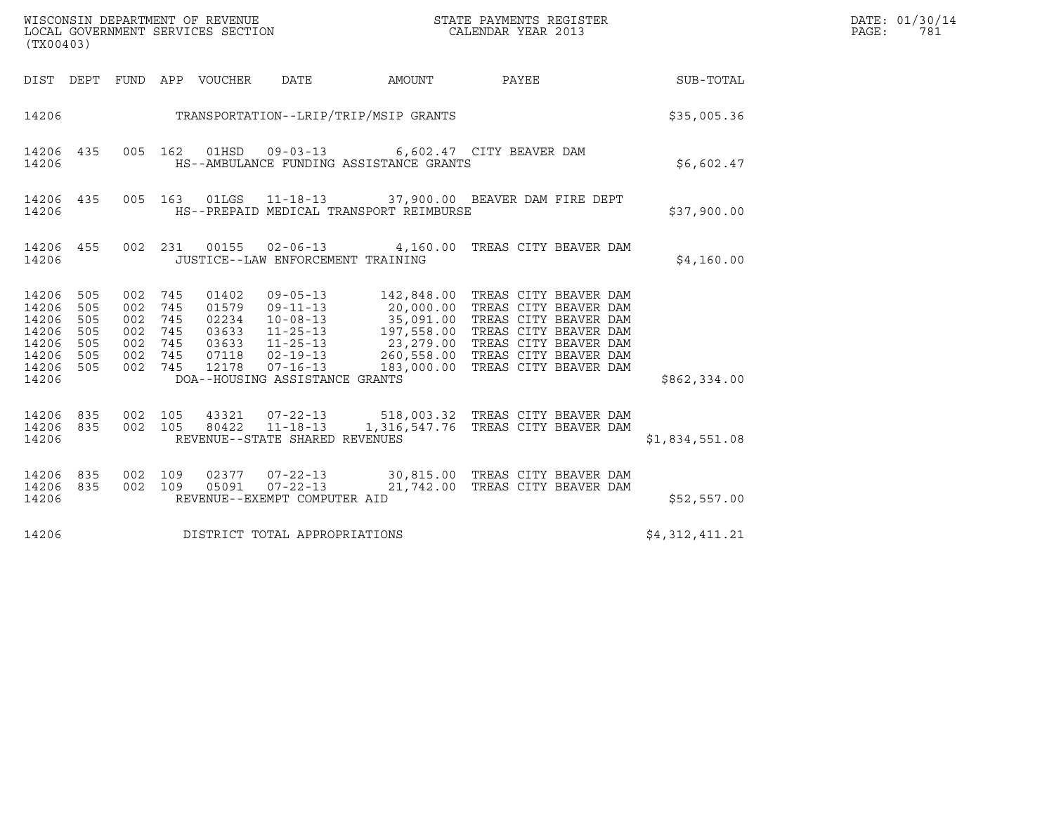| (TX00403)                                                                |                                        |                    |                                 |                                   |                                         |                                                                                                                                                                                                                                                                                                                                         |                | DATE: 01/30/14<br>$\mathtt{PAGE}$ :<br>781 |
|--------------------------------------------------------------------------|----------------------------------------|--------------------|---------------------------------|-----------------------------------|-----------------------------------------|-----------------------------------------------------------------------------------------------------------------------------------------------------------------------------------------------------------------------------------------------------------------------------------------------------------------------------------------|----------------|--------------------------------------------|
|                                                                          |                                        |                    | DIST DEPT FUND APP VOUCHER DATE |                                   |                                         | AMOUNT PAYEE SUB-TOTAL                                                                                                                                                                                                                                                                                                                  |                |                                            |
| 14206                                                                    |                                        |                    |                                 |                                   | TRANSPORTATION--LRIP/TRIP/MSIP GRANTS   |                                                                                                                                                                                                                                                                                                                                         | \$35,005.36    |                                            |
| 14206 435<br>14206                                                       |                                        |                    |                                 |                                   | HS--AMBULANCE FUNDING ASSISTANCE GRANTS | 005 162 01HSD 09-03-13 6,602.47 CITY BEAVER DAM                                                                                                                                                                                                                                                                                         | \$6,602.47     |                                            |
| 14206                                                                    |                                        |                    |                                 |                                   | HS--PREPAID MEDICAL TRANSPORT REIMBURSE | 14206 435 005 163 01LGS 11-18-13 37,900.00 BEAVER DAM FIRE DEPT                                                                                                                                                                                                                                                                         | \$37,900.00    |                                            |
| 14206                                                                    |                                        |                    |                                 | JUSTICE--LAW ENFORCEMENT TRAINING |                                         | 14206 455 002 231 00155 02-06-13 4,160.00 TREAS CITY BEAVER DAM                                                                                                                                                                                                                                                                         | \$4,160.00     |                                            |
| 14206<br>14206<br>14206<br>14206<br>14206<br>14206<br>14206 505<br>14206 | 505<br>505<br>505<br>505<br>505<br>505 |                    |                                 | DOA--HOUSING ASSISTANCE GRANTS    |                                         | $\begin{array}{cccccc} 002 & 745 & 01402 & 09-05-13 & 142,848.00 & \text{TREAS CITY BEAVER DAM} \\ 002 & 745 & 01579 & 09-11-13 & 20,000.00 & \text{TREAS CITY BEAVER DAM} \\ 002 & 745 & 02234 & 10-08-13 & 35,091.00 & \text{TREAS CITY BEAVER DAM} \\ 002 & 745 & 03633 & 11-25-13 & 197,558.00 & \text{TREAS CITY BEAVER DAM} \\ 0$ | \$862,334.00   |                                            |
| 14206 835 002 105<br>14206 835<br>14206                                  |                                        | 002 105            |                                 | REVENUE--STATE SHARED REVENUES    |                                         | 43321  07-22-13  518,003.32  TREAS CITY BEAVER DAM<br>80422  11-18-13  1,316,547.76  TREAS CITY BEAVER DAM                                                                                                                                                                                                                              | \$1,834,551.08 |                                            |
| 14206 835<br>14206 835<br>14206                                          |                                        | 002 109<br>002 109 |                                 | REVENUE--EXEMPT COMPUTER AID      |                                         | 02377  07-22-13  30,815.00 TREAS CITY BEAVER DAM<br>05091  07-22-13  21,742.00 TREAS CITY BEAVER DAM                                                                                                                                                                                                                                    | \$52,557.00    |                                            |
| 14206                                                                    |                                        |                    |                                 | DISTRICT TOTAL APPROPRIATIONS     |                                         |                                                                                                                                                                                                                                                                                                                                         | \$4,312,411.21 |                                            |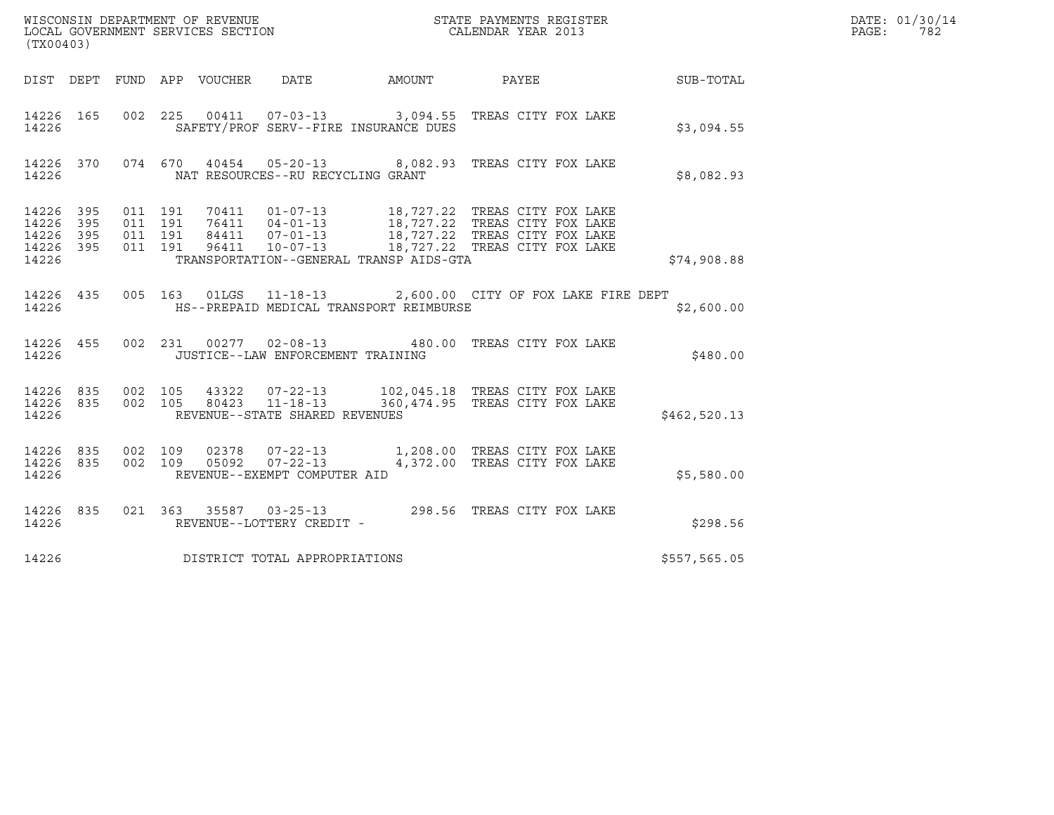| (TX00403)                                 |                          |                               |         |                                 |                                                                    |                                         |                                                                                                                                                                                                      |              | DATE: 01/30/14<br>PAGE:<br>782 |
|-------------------------------------------|--------------------------|-------------------------------|---------|---------------------------------|--------------------------------------------------------------------|-----------------------------------------|------------------------------------------------------------------------------------------------------------------------------------------------------------------------------------------------------|--------------|--------------------------------|
|                                           |                          |                               |         | DIST DEPT FUND APP VOUCHER DATE |                                                                    | AMOUNT PAYEE                            |                                                                                                                                                                                                      | SUB-TOTAL    |                                |
| 14226 165<br>14226                        |                          |                               |         |                                 |                                                                    | SAFETY/PROF SERV--FIRE INSURANCE DUES   | 002 225 00411 07-03-13 3,094.55 TREAS CITY FOX LAKE                                                                                                                                                  | \$3,094.55   |                                |
| 14226                                     |                          |                               |         |                                 | NAT RESOURCES--RU RECYCLING GRANT                                  |                                         | 14226 370 074 670 40454 05-20-13 8,082.93 TREAS CITY FOX LAKE                                                                                                                                        | \$8,082.93   |                                |
| 14226<br>14226<br>14226<br>14226<br>14226 | 395<br>395<br>395<br>395 | 011 191<br>011 191<br>011 191 | 011 191 |                                 |                                                                    | TRANSPORTATION--GENERAL TRANSP AIDS-GTA | 70411  01-07-13  18,727.22 TREAS CITY FOX LAKE<br>76411  04-01-13  18,727.22 TREAS CITY FOX LAKE<br>84411  07-01-13  18,727.22 TREAS CITY FOX LAKE<br>96411  10-07-13  18,727.22 TREAS CITY FOX LAKE | \$74,908.88  |                                |
| 14226 435<br>14226                        |                          |                               |         | 005 163 01LGS                   |                                                                    | HS--PREPAID MEDICAL TRANSPORT REIMBURSE | 11-18-13 2,600.00 CITY OF FOX LAKE FIRE DEPT                                                                                                                                                         | \$2,600.00   |                                |
| 14226 455<br>14226                        |                          |                               |         |                                 | 002 231 00277 02-08-13<br>JUSTICE--LAW ENFORCEMENT TRAINING        |                                         | 480.00 TREAS CITY FOX LAKE                                                                                                                                                                           | \$480.00     |                                |
| 14226<br>14226                            | 14226 835<br>835         | 002 105                       | 002 105 | 43322                           | $07 - 22 - 13$<br>80423 11-18-13<br>REVENUE--STATE SHARED REVENUES |                                         | 102,045.18 TREAS CITY FOX LAKE<br>360,474.95 TREAS CITY FOX LAKE                                                                                                                                     | \$462,520.13 |                                |
| 14226<br>14226 835<br>14226               | 835                      | 002 109                       | 002 109 | 05092                           | REVENUE--EXEMPT COMPUTER AID                                       |                                         | 02378  07-22-13  1,208.00 TREAS CITY FOX LAKE<br>07-22-13 4,372.00 TREAS CITY FOX LAKE                                                                                                               | \$5,580.00   |                                |
| 14226 835<br>14226                        |                          |                               |         |                                 | REVENUE--LOTTERY CREDIT -                                          |                                         |                                                                                                                                                                                                      | \$298.56     |                                |
| 14226                                     |                          |                               |         |                                 | DISTRICT TOTAL APPROPRIATIONS                                      |                                         |                                                                                                                                                                                                      | \$557,565.05 |                                |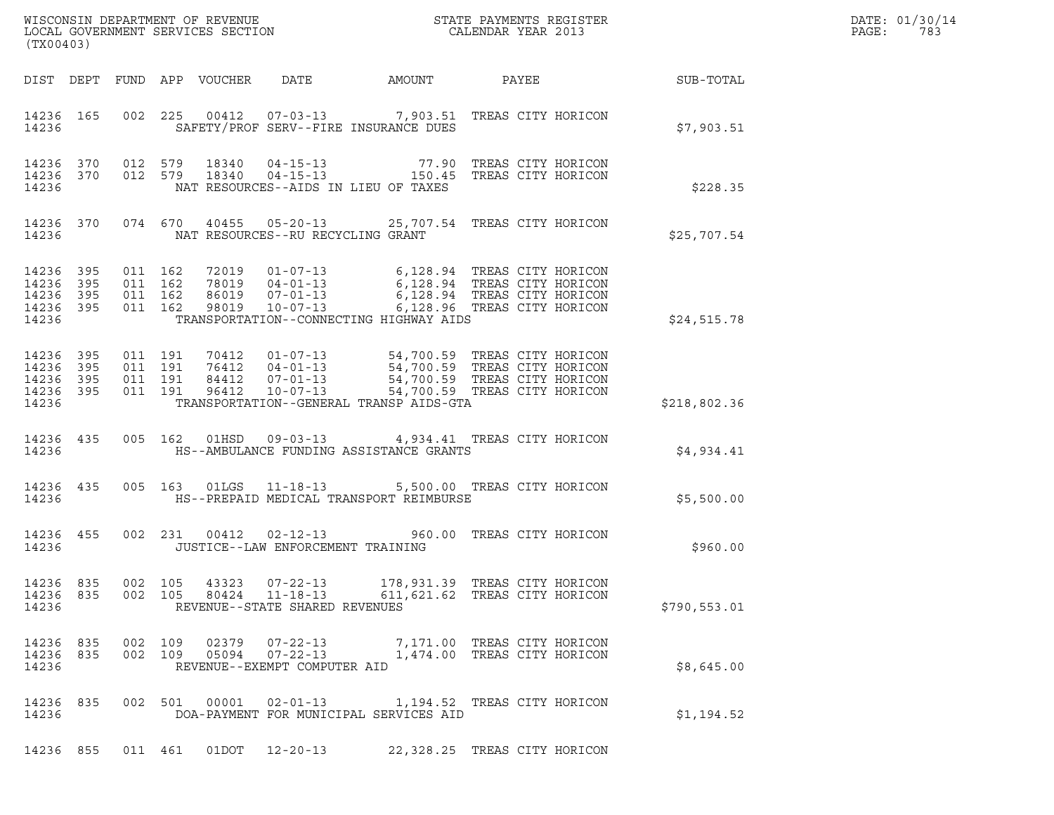|       | DATE: 01/30/14 |
|-------|----------------|
| PAGE: | 783            |

| (TX00403)                                     |                   |                                          |         | LOCAL GOVERNMENT SERVICES SECTION |                                                                  | ${\tt WISCONSIM\ DEPARTMENT\ OF\ REVENUE}\hbox{\tt REVIEW\hbox{\tt STATE\ PAYMENTS\ REGISTER}\noCALENDAR\ YEAR\ 2013}$                                                                                                                      |                                                                 |                  | DATE: 01/30/14<br>PAGE:<br>783 |
|-----------------------------------------------|-------------------|------------------------------------------|---------|-----------------------------------|------------------------------------------------------------------|---------------------------------------------------------------------------------------------------------------------------------------------------------------------------------------------------------------------------------------------|-----------------------------------------------------------------|------------------|--------------------------------|
|                                               |                   |                                          |         | DIST DEPT FUND APP VOUCHER        |                                                                  | DATE AMOUNT PAYEE                                                                                                                                                                                                                           |                                                                 | <b>SUB-TOTAL</b> |                                |
| 14236 165<br>14236                            |                   |                                          |         |                                   |                                                                  | 002 225 00412 07-03-13 7,903.51 TREAS CITY HORICON<br>SAFETY/PROF SERV--FIRE INSURANCE DUES                                                                                                                                                 |                                                                 | \$7,903.51       |                                |
| 14236 370 012 579<br>14236 370<br>14236       |                   |                                          |         |                                   |                                                                  | 012 579 18340 04-15-13 77.90 TREAS CITY HORICON<br>012 579 18340 04-15-13 150.45 TREAS CITY HORICON<br>NAT RESOURCES--AIDS IN LIEU OF TAXES                                                                                                 |                                                                 | \$228.35         |                                |
| 14236 370<br>14236                            |                   |                                          |         |                                   | NAT RESOURCES--RU RECYCLING GRANT                                | 074 670 40455 05-20-13 25,707.54 TREAS CITY HORICON                                                                                                                                                                                         |                                                                 | \$25,707.54      |                                |
| 14236<br>14236<br>14236<br>14236 395<br>14236 | 395<br>395<br>395 | 011 162<br>011 162<br>011 162<br>011 162 |         |                                   |                                                                  | 72019  01-07-13  6,128.94  TREAS CITY HORICON<br>78019  04-01-13  6,128.94  TREAS CITY HORICON<br>86019  07-01-13  6,128.94  TREAS CITY HORICON<br>98019  10-07-13  6,128.96  TREAS CITY HORICON<br>TRANSPORTATION--CONNECTING HIGHWAY AIDS |                                                                 | \$24,515.78      |                                |
| 14236 395<br>14236<br>14236<br>14236<br>14236 | 395<br>395<br>395 | 011 191<br>011 191<br>011 191            | 011 191 | 96412                             | $10 - 07 - 13$                                                   | 70412  01-07-13  54,700.59  TREAS CITY HORICON<br>76412  04-01-13  54,700.59  TREAS CITY HORICON<br>84412  07-01-13  54,700.59  TREAS CITY HORICON<br>TRANSPORTATION--GENERAL TRANSP AIDS-GTA                                               | 54,700.59 TREAS CITY HORICON                                    | \$218,802.36     |                                |
| 14236 435<br>14236                            |                   | 005 162                                  |         |                                   |                                                                  | 01HSD  09-03-13  4,934.41 TREAS CITY HORICON<br>HS--AMBULANCE FUNDING ASSISTANCE GRANTS                                                                                                                                                     |                                                                 | \$4,934.41       |                                |
| 14236 435<br>14236                            |                   |                                          |         | 005 163 01LGS                     |                                                                  | 11-18-13 5,500.00 TREAS CITY HORICON<br>HS--PREPAID MEDICAL TRANSPORT REIMBURSE                                                                                                                                                             |                                                                 | \$5,500.00       |                                |
| 14236 455<br>14236                            |                   |                                          |         | 002 231 00412                     | $02 - 12 - 13$<br>JUSTICE--LAW ENFORCEMENT TRAINING              |                                                                                                                                                                                                                                             | 960.00 TREAS CITY HORICON                                       | \$960.00         |                                |
| 14236 835<br>14236 835<br>14236               |                   | 002 105<br>002 105                       |         | 43323<br>80424                    | 07-22-13<br>$11 - 18 - 13$<br>REVENUE--STATE SHARED REVENUES     |                                                                                                                                                                                                                                             | 178,931.39 TREAS CITY HORICON<br>611, 621.62 TREAS CITY HORICON | \$790,553.01     |                                |
| 14236 835<br>14236 835<br>14236               |                   | 002 109<br>002 109                       |         | 02379<br>05094                    | $07 - 22 - 13$<br>$07 - 22 - 13$<br>REVENUE--EXEMPT COMPUTER AID |                                                                                                                                                                                                                                             | 7,171.00 TREAS CITY HORICON<br>1,474.00 TREAS CITY HORICON      | \$8,645.00       |                                |
| 14236 835<br>14236                            |                   |                                          |         | 002 501 00001                     | $02 - 01 - 13$                                                   | 1,194.52 TREAS CITY HORICON<br>DOA-PAYMENT FOR MUNICIPAL SERVICES AID                                                                                                                                                                       |                                                                 | \$1,194.52       |                                |

14236 855 011 461 01DOT 12-20-13 22,328.25 TREAS CITY HORICON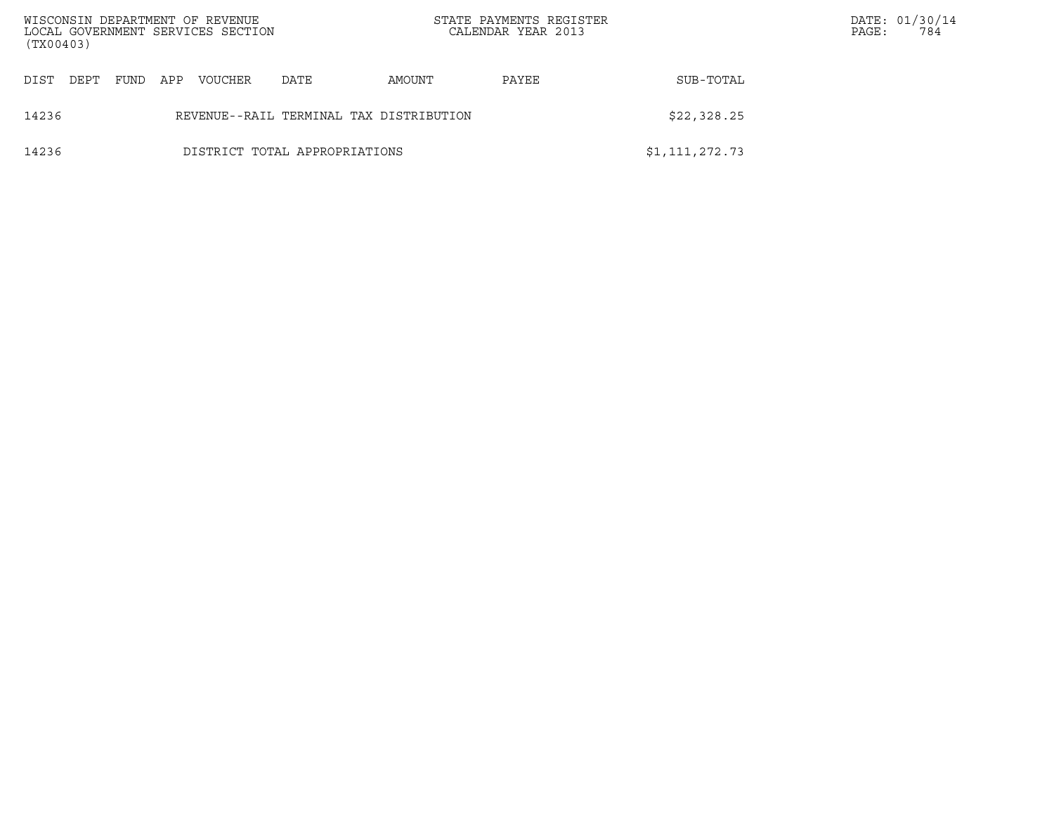| (TX00403) |      |      |     | WISCONSIN DEPARTMENT OF REVENUE<br>LOCAL GOVERNMENT SERVICES SECTION |                                         |        | STATE PAYMENTS REGISTER<br>CALENDAR YEAR 2013 |                | PAGE: | DATE: 01/30/14<br>784 |
|-----------|------|------|-----|----------------------------------------------------------------------|-----------------------------------------|--------|-----------------------------------------------|----------------|-------|-----------------------|
| DIST      | DEPT | FUND | APP | <b>VOUCHER</b>                                                       | DATE                                    | AMOUNT | PAYEE                                         | SUB-TOTAL      |       |                       |
| 14236     |      |      |     |                                                                      | REVENUE--RAIL TERMINAL TAX DISTRIBUTION |        |                                               | \$22,328.25    |       |                       |
| 14236     |      |      |     |                                                                      | DISTRICT TOTAL APPROPRIATIONS           |        |                                               | \$1,111,272.73 |       |                       |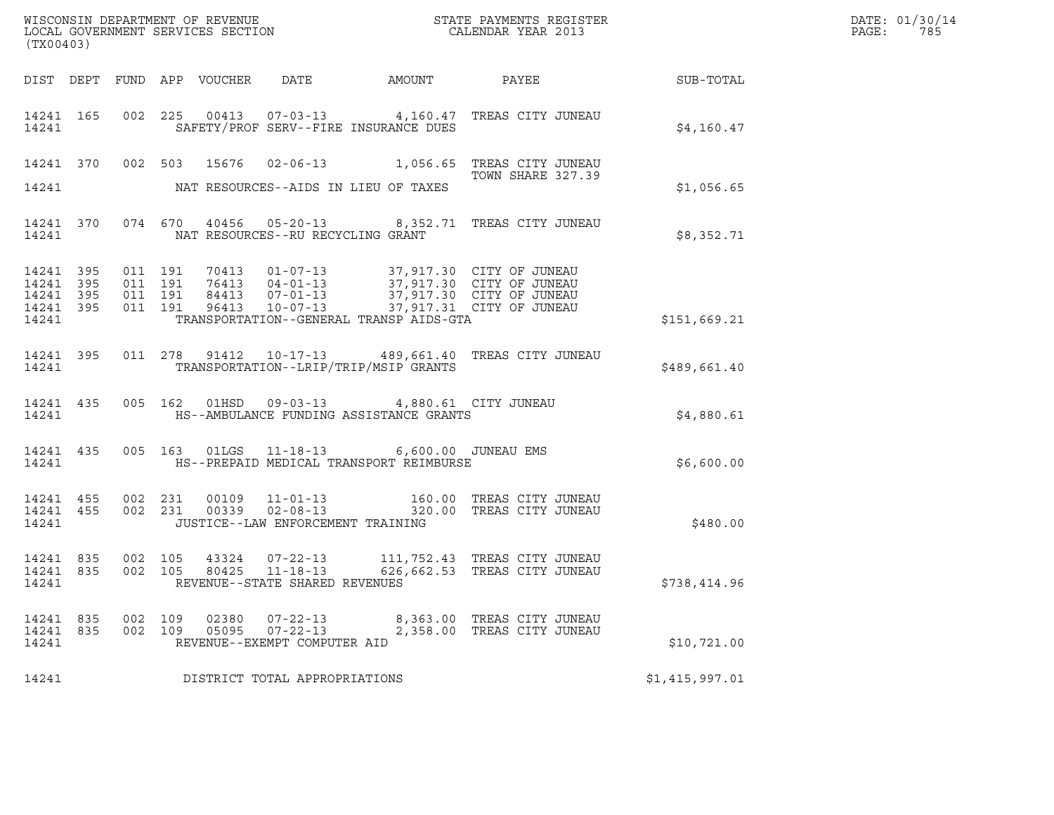| (TX00403)                                                 |           |                    |                    |       |                                                                    |                                                                                        |                                                                                                                                                                                      |                | DATE: 01/30/14<br>PAGE:<br>785 |
|-----------------------------------------------------------|-----------|--------------------|--------------------|-------|--------------------------------------------------------------------|----------------------------------------------------------------------------------------|--------------------------------------------------------------------------------------------------------------------------------------------------------------------------------------|----------------|--------------------------------|
|                                                           |           |                    |                    |       |                                                                    |                                                                                        |                                                                                                                                                                                      |                |                                |
| 14241 165<br>14241                                        |           |                    |                    |       | SAFETY/PROF SERV--FIRE INSURANCE DUES                              |                                                                                        | 002 225 00413 07-03-13 4,160.47 TREAS CITY JUNEAU                                                                                                                                    | \$4,160.47     |                                |
|                                                           |           |                    |                    |       |                                                                    |                                                                                        | 14241 370 002 503 15676 02-06-13 1,056.65 TREAS CITY JUNEAU<br>TOWN SHARE 327.39                                                                                                     |                |                                |
| 14241                                                     |           |                    |                    |       | NAT RESOURCES--AIDS IN LIEU OF TAXES                               |                                                                                        |                                                                                                                                                                                      | \$1,056.65     |                                |
| 14241                                                     | 14241 370 |                    |                    |       | NAT RESOURCES--RU RECYCLING GRANT                                  |                                                                                        | 074 670 40456 05-20-13 8,352.71 TREAS CITY JUNEAU                                                                                                                                    | \$8,352.71     |                                |
| 14241 395<br>14241 395<br>14241 395<br>14241 395<br>14241 |           | 011 191<br>011 191 | 011 191<br>011 191 |       |                                                                    | TRANSPORTATION--GENERAL TRANSP AIDS-GTA                                                | 70413  01-07-13  37,917.30  CITY OF JUNEAU<br>76413  04-01-13  37,917.30  CITY OF JUNEAU<br>84413  07-01-13  37,917.30  CITY OF JUNEAU<br>96413  10-07-13  37,917.31  CITY OF JUNEAU | \$151,669.21   |                                |
| 14241 395<br>14241                                        |           |                    |                    |       | TRANSPORTATION--LRIP/TRIP/MSIP GRANTS                              |                                                                                        | 011  278  91412  10-17-13  489,661.40  TREAS CITY JUNEAU                                                                                                                             | \$489,661.40   |                                |
| 14241 435<br>14241                                        |           |                    |                    |       |                                                                    | 005 162 01HSD 09-03-13 4,880.61 CITY JUNEAU<br>HS--AMBULANCE FUNDING ASSISTANCE GRANTS |                                                                                                                                                                                      | \$4,880.61     |                                |
| 14241 435<br>14241                                        |           |                    |                    |       |                                                                    | 005 163 01LGS 11-18-13 6,600.00 JUNEAU EMS<br>HS--PREPAID MEDICAL TRANSPORT REIMBURSE  |                                                                                                                                                                                      | \$6,600.00     |                                |
| 14241 455 002 231<br>14241 455<br>14241                   |           |                    | 002 231            |       | JUSTICE--LAW ENFORCEMENT TRAINING                                  |                                                                                        | 00109   11-01-13   160.00 TREAS CITY JUNEAU<br>00339   02-08-13   320.00 TREAS CITY JUNEAU                                                                                           | \$480.00       |                                |
| 14241 835<br>14241 835<br>14241                           |           | 002 105<br>002 105 |                    |       | 43324 07-22-13<br>80425 11-18-13<br>REVENUE--STATE SHARED REVENUES |                                                                                        | 111,752.43 TREAS CITY JUNEAU<br>626,662.53 TREAS CITY JUNEAU                                                                                                                         | \$738,414.96   |                                |
| 14241 835<br>14241 835<br>14241                           |           | 002 109<br>002 109 |                    | 02380 | 07-22-13<br>05095 07-22-13<br>REVENUE--EXEMPT COMPUTER AID         |                                                                                        | 8,363.00 TREAS CITY JUNEAU<br>2,358.00 TREAS CITY JUNEAU                                                                                                                             | \$10,721.00    |                                |
| 14241                                                     |           |                    |                    |       | DISTRICT TOTAL APPROPRIATIONS                                      |                                                                                        |                                                                                                                                                                                      | \$1,415,997.01 |                                |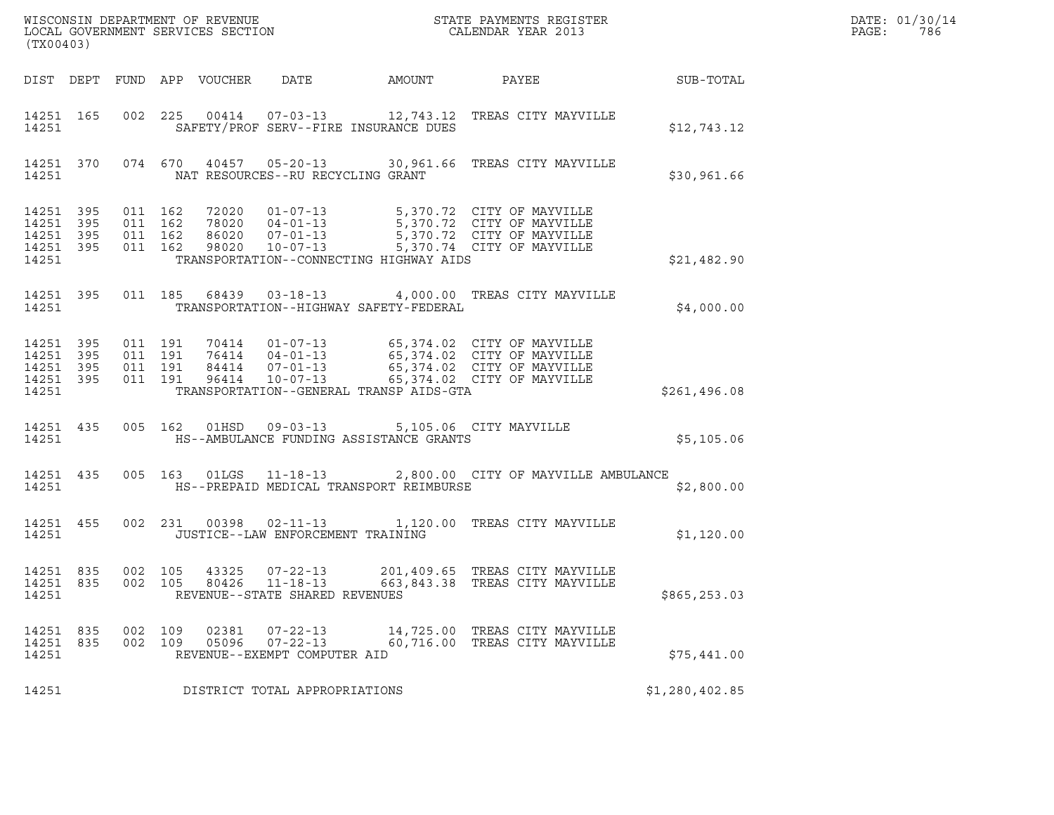| DATE: | 01/30/14 |
|-------|----------|
| PAGE: | 786      |

| (TX00403)                                                 |     |                                          |                                 |                                                                            |                                                                                                    |                                                                                                                                                                                              |                | DATE: 01/30/14<br>PAGE:<br>786 |
|-----------------------------------------------------------|-----|------------------------------------------|---------------------------------|----------------------------------------------------------------------------|----------------------------------------------------------------------------------------------------|----------------------------------------------------------------------------------------------------------------------------------------------------------------------------------------------|----------------|--------------------------------|
|                                                           |     |                                          | DIST DEPT FUND APP VOUCHER DATE |                                                                            | AMOUNT                                                                                             | PAYEE SUB-TOTAL                                                                                                                                                                              |                |                                |
| 14251 165<br>14251                                        |     |                                          |                                 |                                                                            | SAFETY/PROF SERV--FIRE INSURANCE DUES                                                              | 002 225 00414 07-03-13 12,743.12 TREAS CITY MAYVILLE                                                                                                                                         | \$12,743.12    |                                |
| 14251                                                     |     |                                          |                                 | NAT RESOURCES--RU RECYCLING GRANT                                          |                                                                                                    | 14251 370 074 670 40457 05-20-13 30,961.66 TREAS CITY MAYVILLE                                                                                                                               | \$30,961.66    |                                |
| 14251 395<br>14251<br>14251 395<br>14251 395<br>14251     | 395 | 011 162<br>011 162<br>011 162<br>011 162 |                                 |                                                                            | TRANSPORTATION--CONNECTING HIGHWAY AIDS                                                            | 72020  01-07-13  5,370.72  CITY OF MAYVILLE<br>78020  04-01-13  5,370.72  CITY OF MAYVILLE<br>86020  07-01-13  5,370.72  CITY OF MAYVILLE<br>98020  10-07-13  5,370.74  CITY OF MAYVILLE     | \$21,482.90    |                                |
| 14251 395<br>14251                                        |     |                                          |                                 |                                                                            | TRANSPORTATION--HIGHWAY SAFETY-FEDERAL                                                             | 011 185 68439 03-18-13 4,000.00 TREAS CITY MAYVILLE                                                                                                                                          | \$4,000.00     |                                |
| 14251 395<br>14251 395<br>14251 395<br>14251 395<br>14251 |     | 011 191<br>011 191<br>011 191<br>011 191 |                                 |                                                                            | TRANSPORTATION--GENERAL TRANSP AIDS-GTA                                                            | 70414  01-07-13  65,374.02  CITY OF MAYVILLE<br>76414  04-01-13  65,374.02  CITY OF MAYVILLE<br>84414  07-01-13  65,374.02  CITY OF MAYVILLE<br>96414  10-07-13  65,374.02  CITY OF MAYVILLE | \$261,496.08   |                                |
| 14251                                                     |     |                                          |                                 |                                                                            | 14251 435 005 162 01HSD 09-03-13 5,105.06 CITY MAYVILLE<br>HS--AMBULANCE FUNDING ASSISTANCE GRANTS |                                                                                                                                                                                              | \$5,105.06     |                                |
| 14251 435<br>14251                                        |     |                                          |                                 |                                                                            | HS--PREPAID MEDICAL TRANSPORT REIMBURSE                                                            | 005 163 01LGS 11-18-13 2,800.00 CITY OF MAYVILLE AMBULANCE                                                                                                                                   | \$2,800.00     |                                |
| 14251 455<br>14251                                        |     |                                          |                                 | JUSTICE--LAW ENFORCEMENT TRAINING                                          |                                                                                                    | 002 231 00398 02-11-13 1,120.00 TREAS CITY MAYVILLE                                                                                                                                          | \$1,120.00     |                                |
| 14251 835<br>14251 835<br>14251                           |     | 002 105                                  |                                 | 002 105 43325 07-22-13<br>80426 11-18-13<br>REVENUE--STATE SHARED REVENUES |                                                                                                    | 201,409.65 TREAS CITY MAYVILLE<br>663,843.38 TREAS CITY MAYVILLE                                                                                                                             | \$865,253.03   |                                |
| 14251 835<br>14251 835<br>14251                           |     | 002 109<br>002 109                       | 02381<br>05096                  | $07 - 22 - 13$<br>$07 - 22 - 13$<br>REVENUE--EXEMPT COMPUTER AID           |                                                                                                    | 14,725.00 TREAS CITY MAYVILLE<br>60.716.00 TREAS CITY MAYVILLE                                                                                                                               | \$75,441.00    |                                |
| 14251                                                     |     |                                          |                                 | DISTRICT TOTAL APPROPRIATIONS                                              |                                                                                                    |                                                                                                                                                                                              | \$1,280,402.85 |                                |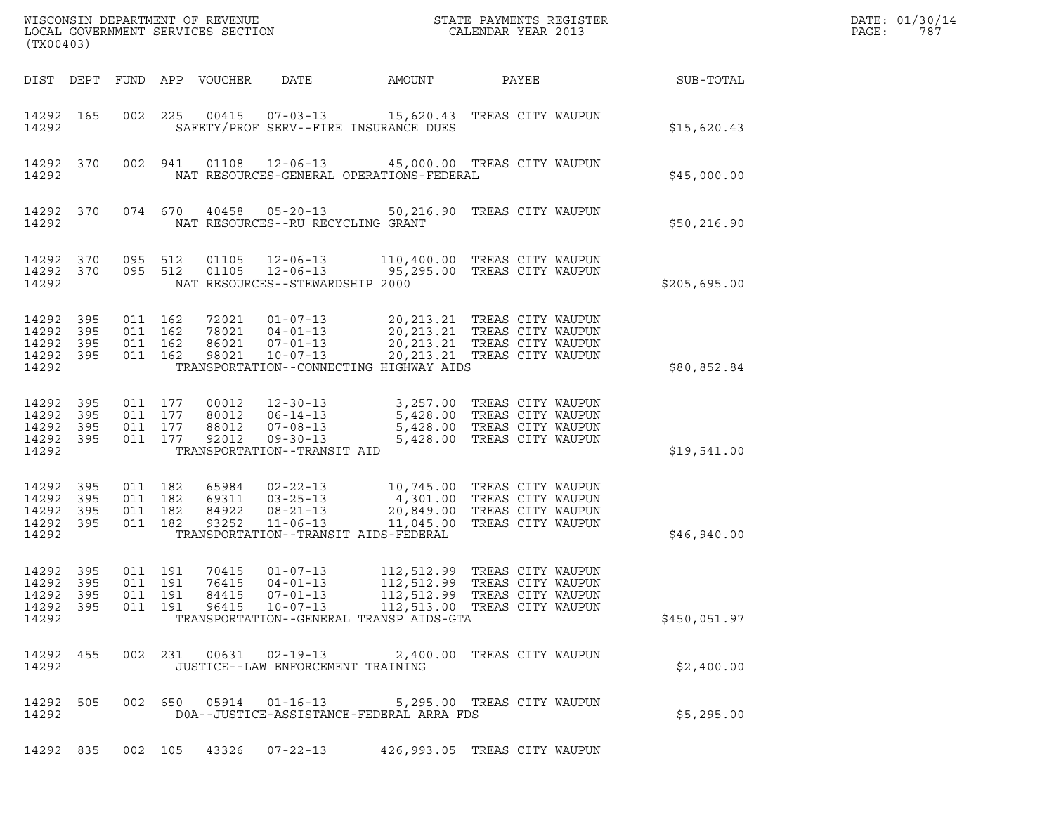| (TX00403)                                                 |           |         |                                          | WISCONSIN DEPARTMENT OF REVENUE<br>LOCAL GOVERNMENT SERVICES SECTION |                                                                      | STATE PAYMENTS REGISTER<br>CALENDAR YEAR 2013                                                                                                                                                           |                                        |              | DATE: 01/30/14<br>PAGE:<br>787 |
|-----------------------------------------------------------|-----------|---------|------------------------------------------|----------------------------------------------------------------------|----------------------------------------------------------------------|---------------------------------------------------------------------------------------------------------------------------------------------------------------------------------------------------------|----------------------------------------|--------------|--------------------------------|
|                                                           | DIST DEPT |         |                                          | FUND APP VOUCHER                                                     | DATE                                                                 | AMOUNT                                                                                                                                                                                                  | PAYEE                                  | SUB-TOTAL    |                                |
| 14292 165<br>14292                                        |           |         | 002 225                                  |                                                                      | $00415$ $07-03-13$                                                   | 15,620.43 TREAS CITY WAUPUN<br>SAFETY/PROF SERV--FIRE INSURANCE DUES                                                                                                                                    |                                        | \$15,620.43  |                                |
| 14292 370<br>14292                                        |           |         | 002 941                                  |                                                                      |                                                                      | 01108  12-06-13  45,000.00  TREAS CITY WAUPUN<br>NAT RESOURCES-GENERAL OPERATIONS-FEDERAL                                                                                                               |                                        | \$45,000.00  |                                |
| 14292 370<br>14292                                        |           |         | 074 670                                  |                                                                      | NAT RESOURCES--RU RECYCLING GRANT                                    | 40458  05-20-13  50,216.90  TREAS CITY WAUPUN                                                                                                                                                           |                                        | \$50,216.90  |                                |
| 14292 370<br>14292 370<br>14292                           |           | 095 512 | 095 512                                  | 01105                                                                | NAT RESOURCES--STEWARDSHIP 2000                                      | 12-06-13 110,400.00 TREAS CITY WAUPUN<br>01105 12-06-13 95,295.00 TREAS CITY WAUPUN                                                                                                                     |                                        | \$205,695.00 |                                |
| 14292 395<br>14292 395<br>14292 395<br>14292 395<br>14292 |           | 011 162 | 011 162<br>011 162<br>011 162            | 72021<br>78021<br>86021<br>98021                                     |                                                                      | 01-07-13 20,213.21 TREAS CITY WAUPUN<br>04-01-13 20,213.21 TREAS CITY WAUPUN<br>07-01-13 20,213.21 TREAS CITY WAUPUN<br>10-07-13 20,213.21 TREAS CITY WAUPUN<br>TRANSPORTATION--CONNECTING HIGHWAY AIDS |                                        | \$80,852.84  |                                |
| 14292 395<br>14292<br>14292 395<br>14292 395<br>14292     | 395       | 011 177 | 011 177<br>011 177<br>011 177            | 00012<br>80012<br>88012<br>92012                                     | TRANSPORTATION--TRANSIT AID                                          | 12-30-13<br>06-14-13<br>07-08-13<br>07-08-13<br>5,428.00 TREAS CITY WAUPUN<br>09-30-13<br>5,428.00 TREAS CITY WAUPUN                                                                                    |                                        | \$19,541.00  |                                |
| 14292 395<br>14292 395<br>14292 395<br>14292 395<br>14292 |           |         | 011 182<br>011 182<br>011 182<br>011 182 | 65984<br>69311<br>84922<br>93252                                     | $02 - 22 - 13$<br>$03 - 25 - 13$<br>$08 - 21 - 13$<br>$11 - 06 - 13$ | 10,745.00 TREAS CITY WAUPUN<br>4,301.00 TREAS CITY WAUPUN<br>20,849.00<br>11,045.00<br>TRANSPORTATION--TRANSIT AIDS-FEDERAL                                                                             | TREAS CITY WAUPUN<br>TREAS CITY WAUPUN | \$46,940.00  |                                |
| 14292 395<br>14292 395<br>14292 395<br>14292 395<br>14292 |           |         | 011 191<br>011 191<br>011 191<br>011 191 | 70415<br>76415<br>84415<br>96415                                     | $01 - 07 - 13$<br>$04 - 01 - 13$<br>07-01-13<br>$10 - 07 - 13$       | 112,512.99 TREAS CITY WAUPUN<br>112,512.99 TREAS CITY WAUPUN<br>112,512.99 TREAS CITY WAUPUN<br>112,513.00 TREAS CITY WAUPUN<br>TRANSPORTATION--GENERAL TRANSP AIDS-GTA                                 |                                        | \$450,051.97 |                                |
| 14292 455<br>14292                                        |           |         |                                          |                                                                      | 002 231 00631 02-19-13<br>JUSTICE--LAW ENFORCEMENT TRAINING          |                                                                                                                                                                                                         | 2,400.00 TREAS CITY WAUPUN             | \$2,400.00   |                                |
| 14292 505<br>14292                                        |           |         |                                          |                                                                      | 002 650 05914 01-16-13                                               | DOA--JUSTICE-ASSISTANCE-FEDERAL ARRA FDS                                                                                                                                                                | 5,295.00 TREAS CITY WAUPUN             | \$5,295.00   |                                |
| 14292 835                                                 |           |         |                                          |                                                                      | 002 105 43326 07-22-13                                               | 426,993.05 TREAS CITY WAUPUN                                                                                                                                                                            |                                        |              |                                |